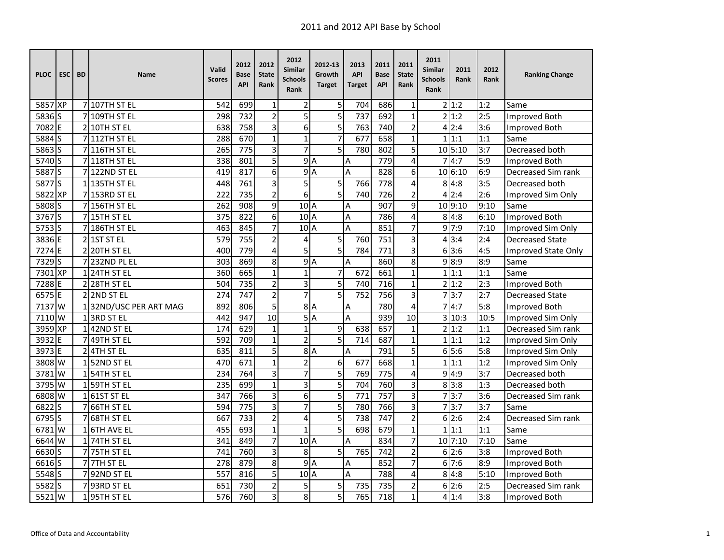| <b>PLOC</b>         | ESC <sub>I</sub> | <b>BD</b>    | Name                  | Valid<br><b>Scores</b> | 2012<br>Base<br><b>API</b> | 2012<br><b>State</b><br>Rank | 2012<br><b>Similar</b><br><b>Schools</b><br><b>Rank</b> | 2012-13<br>Growth<br><b>Target</b> | 2013<br><b>API</b><br><b>Target</b> | 2011<br><b>Base</b><br><b>API</b> | 2011<br><b>State</b><br>Rank | 2011<br><b>Similar</b><br><b>Schools</b><br>Rank | 2011<br>Rank | 2012<br>Rank | <b>Ranking Change</b>      |
|---------------------|------------------|--------------|-----------------------|------------------------|----------------------------|------------------------------|---------------------------------------------------------|------------------------------------|-------------------------------------|-----------------------------------|------------------------------|--------------------------------------------------|--------------|--------------|----------------------------|
| 5857 XP             |                  |              | 7 107TH ST EL         | 542                    | 699                        | $\mathbf{1}$                 | $\overline{2}$                                          | 5                                  | 704                                 | 686                               | 1                            |                                                  | 2 1:2        | 1:2          | Same                       |
| 5836 <sub>S</sub>   |                  |              | 7109TH ST EL          | 298                    | 732                        | $\overline{2}$               | 5                                                       | 5                                  | 737                                 | 692                               | $\mathbf{1}$                 |                                                  | 2 1:2        | 2:5          | Improved Both              |
| 7082 E              |                  |              | 2 10TH ST EL          | 638                    | 758                        | $\overline{3}$               | 6                                                       | 5                                  | 763                                 | 740                               | $\overline{c}$               |                                                  | 4 2:4        | 3:6          | <b>Improved Both</b>       |
| 5884 S              |                  |              | 7 112TH ST EL         | 288                    | 670                        | $\mathbf 1$                  | $\overline{1}$                                          | $\overline{7}$                     | 677                                 | 658                               | $\mathbf{1}$                 |                                                  | 1 1:1        | 1:1          | Same                       |
| 5863 S              |                  |              | 7 116TH ST EL         | 265                    | 775                        | 3                            | $\overline{7}$                                          | 5                                  | 780                                 | 802                               | 5                            |                                                  | 10 5:10      | 3:7          | Decreased both             |
| 5740S               |                  |              | 7 118TH ST EL         | 338                    | 801                        | $\overline{5}$               |                                                         | 9A                                 | Α                                   | 779                               | $\overline{\mathbf{4}}$      | 7                                                | 4:7          | 5:9          | <b>Improved Both</b>       |
| 5887S               |                  |              | 7 122ND ST EL         | 419                    | 817                        | 6                            |                                                         | 9A                                 | A                                   | 828                               | 6                            |                                                  | 10 6:10      | 6:9          | Decreased Sim rank         |
| 5877 <sub>S</sub>   |                  |              | 1135TH ST EL          | 448                    | 761                        | 3                            | 5                                                       | 5                                  | 766                                 | 778                               | 4                            | 8                                                | 4:8          | 3:5          | Decreased both             |
| 5822 XP             |                  |              | 7 153RD ST EL         | 222                    | 735                        | $\overline{2}$               | 6                                                       | $\overline{5}$                     | 740                                 | 726                               | $\overline{2}$               |                                                  | 4 2:4        | 2:6          | Improved Sim Only          |
| 5808 S              |                  |              | 7 156TH ST EL         | 262                    | 908                        | 9                            | 10 <sub>A</sub>                                         |                                    | Α                                   | 907                               | 9                            |                                                  | 10 9:10      | 9:10         | Same                       |
| $3767\overline{S}$  |                  |              | 715TH ST EL           | 375                    | 822                        | 6                            | 10 <sup>1</sup> A                                       |                                    | Α                                   | 786                               | 4                            |                                                  | 8 4:8        | 6:10         | Improved Both              |
| 5753S               |                  |              | 7 186TH ST EL         | 463                    | 845                        | $\overline{7}$               | 10 <sub>A</sub>                                         |                                    | A                                   | 851                               | 7                            |                                                  | 9'7:9        | 7:10         | Improved Sim Only          |
| 3836 E              |                  |              | $2$ 1ST ST EL         | 579                    | 755                        | $\overline{2}$               | 4                                                       | 5                                  | 760                                 | 751                               | 3                            |                                                  | 4 3:4        | 2:4          | <b>Decreased State</b>     |
| 7274E               |                  |              | 220TH ST EL           | 400                    | 779                        | 4                            | 5                                                       | 5                                  | 784                                 | 771                               | 3                            |                                                  | 63:6         | 4:5          | <b>Improved State Only</b> |
| 7329 <sub>S</sub>   |                  |              | 7 232ND PL EL         | 303                    | 869                        | 8                            |                                                         | 9A                                 | A                                   | 860                               | 8                            |                                                  | 9 8:9        | 8:9          | Same                       |
| 7301 XP             |                  |              | 124TH ST EL           | 360                    | 665                        | $\mathbf 1$                  | $\overline{1}$                                          | 7                                  | 672                                 | 661                               | $\mathbf{1}$                 | $\mathbf{1}$                                     | 1:1          | 1:1          | Same                       |
| 7288 E              |                  |              | 228TH ST EL           | 504                    | 735                        | $\overline{2}$               | 3                                                       | 5                                  | 740                                 | 716                               | 1                            | $\overline{2}$                                   | 1:2          | 2:3          | Improved Both              |
| 6575 E              |                  |              | 22ND ST EL            | 274                    | $\overline{747}$           | $\overline{2}$               | $\overline{7}$                                          | $\overline{5}$                     | 752                                 | 756                               | 3                            | $\overline{7}$                                   | 3:7          | 2:7          | <b>Decreased State</b>     |
| 7137 W              |                  |              | 132ND/USC PER ART MAG | 892                    | 806                        | 5                            |                                                         | 8A                                 | Α                                   | 780                               | 4                            | 7                                                | 4:7          | 5:8          | Improved Both              |
| 7110 W              |                  |              | 13RD ST EL            | 442                    | 947                        | 10                           |                                                         | 5A                                 | A                                   | 939                               | 10                           |                                                  | 3 10:3       | 10:5         | Improved Sim Only          |
| 3959 XP             |                  |              | 42ND ST EL            | 174                    | 629                        | $\mathbf{1}$                 | $\mathbf{1}$                                            | 9                                  | 638                                 | 657                               | $\mathbf{1}$                 |                                                  | 2 1:2        | 1:1          | <b>Decreased Sim rank</b>  |
| 3932                | E                |              | 49TH ST EL            | 592                    | 709                        | $\mathbf 1$                  | $\overline{a}$                                          | 5                                  | 714                                 | 687                               | $\mathbf{1}$                 |                                                  | 1 1:1        | 1:2          | Improved Sim Only          |
| 3973 E              |                  |              | 24TH ST EL            | 635                    | 811                        | 5                            |                                                         | 8A                                 | Α                                   | 791                               | 5                            |                                                  | 65:6         | 5:8          | Improved Sim Only          |
| 3808 W              |                  | $\mathbf{1}$ | 52ND ST EL            | 470                    | 671                        | $\mathbf{1}$                 | $\overline{2}$                                          | 6                                  | 677                                 | 668                               | $\mathbf{1}$                 |                                                  | 1 1:1        | 1:2          | Improved Sim Only          |
| 3781 W              |                  |              | 154TH ST EL           | 234                    | 764                        | 3                            | 7                                                       | $\overline{5}$                     | 769                                 | 775                               | 4                            |                                                  | 9 4:9        | 3:7          | Decreased both             |
| 3795 W              |                  |              | 1 59TH ST EL          | 235                    | 699                        | $\mathbf{1}$                 | 3                                                       | 5                                  | 704                                 | 760                               | 3                            |                                                  | 8 3:8        | 1:3          | Decreased both             |
| 6808 W              |                  | $\mathbf{1}$ | 61ST ST EL            | 347                    | 766                        | 3                            | 6                                                       | 5                                  | 771                                 | 757                               | 3                            |                                                  | 7 3:7        | 3:6          | Decreased Sim rank         |
| 6822                | lS               |              | 66TH ST EL            | 594                    | 775                        | 3                            | $\overline{7}$                                          | 5                                  | 780                                 | 766                               | 3                            | 7                                                | 3:7          | 3:7          | Same                       |
| 6795 S              |                  |              | 68TH ST EL            | 667                    | 733                        | $\overline{2}$               | 4                                                       | 5                                  | 738                                 | 747                               | 2                            |                                                  | 6 2:6        | 2:4          | Decreased Sim rank         |
| $6781 \overline{W}$ |                  |              | <b>6TH AVE EL</b>     | 455                    | 693                        | $\mathbf{1}$                 | $\mathbf{1}$                                            | 5                                  | 698                                 | 679                               | $\mathbf{1}$                 |                                                  | 1 1:1        | 1:1          | Same                       |
| 6644 W              |                  |              | 1 74TH ST EL          | 341                    | 849                        | $\overline{7}$               | 10A                                                     |                                    | Α                                   | 834                               | 7                            |                                                  | 10 7:10      | 7:10         | Same                       |
| 6630 S              |                  |              | 7 75TH ST EL          | 741                    | 760                        | 3                            | 8                                                       | 5                                  | 765                                 | 742                               | 2                            |                                                  | 6 2:6        | 3:8          | Improved Both              |
| 6616 <sub>S</sub>   |                  |              | 77TH ST EL            | 278                    | 879                        | 8                            | $\overline{9}$                                          | ΙA                                 | A                                   | 852                               | $\overline{7}$               |                                                  | 67:6         | 8:9          | <b>Improved Both</b>       |
| 5548S               |                  |              | 792ND ST EL           | 557                    | 816                        | 5                            | 10A                                                     |                                    | A                                   | 788                               | 4                            |                                                  | 8 4:8        | 5:10         | Improved Both              |
| 5582S               |                  |              | 7 93RD ST EL          | 651                    | 730                        | $\overline{2}$               | 5                                                       | 5                                  | 735                                 | 735                               | 2                            |                                                  | 6 2:6        | 2:5          | Decreased Sim rank         |
| 5521W               |                  |              | 95TH ST EL            | 576                    | 760                        | 3                            | 8                                                       | 5                                  | 765                                 | 718                               | $\mathbf{1}$                 |                                                  | 4 1:4        | 3:8          | <b>Improved Both</b>       |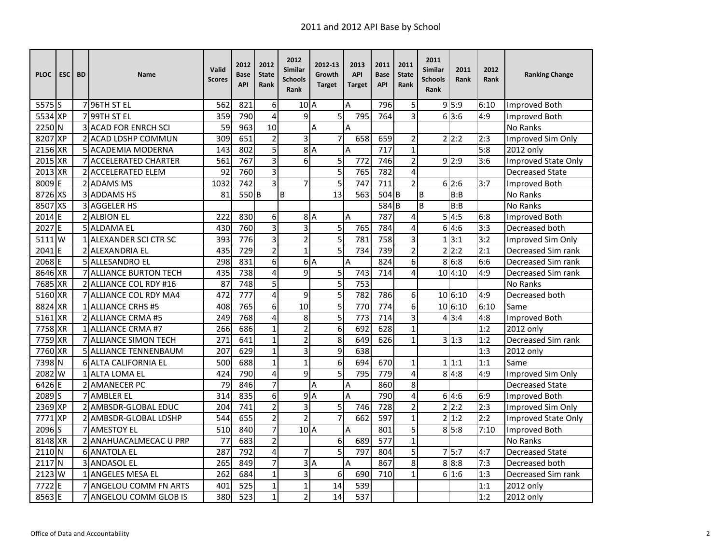| <b>PLOC</b>       | <b>ESC</b> | <b>BD</b> | Name                          | Valid<br><b>Scores</b> | 2012<br>Base<br><b>API</b> | 2012<br><b>State</b><br>Rank | 2012<br>Similar<br>Schools<br>Rank | 2012-13<br>Growth<br><b>Target</b> | 2013<br><b>API</b><br>Target | 2011<br><b>Base</b><br><b>API</b> | 2011<br><b>State</b><br>Rank | 2011<br>Similar<br><b>Schools</b><br>Rank | 2011<br>Rank | 2012<br>Rank | <b>Ranking Change</b>  |
|-------------------|------------|-----------|-------------------------------|------------------------|----------------------------|------------------------------|------------------------------------|------------------------------------|------------------------------|-----------------------------------|------------------------------|-------------------------------------------|--------------|--------------|------------------------|
| 5575 <sup>S</sup> |            |           | 7 96TH ST EL                  | 562                    | 821                        | 6                            | 10 <sub>A</sub>                    |                                    | A                            | 796                               | 5                            |                                           | 9 5:9        | 6:10         | Improved Both          |
| 5534 XP           |            |           | 7 99TH ST EL                  | 359                    | 790                        | $\overline{\mathbf{4}}$      | 9                                  | 5                                  | 795                          | 764                               | 3                            |                                           | 6 3:6        | 4:9          | Improved Both          |
| 2250 N            |            |           | <b>3 ACAD FOR ENRCH SCI</b>   | 59                     | 963                        | 10                           |                                    | A                                  | A                            |                                   |                              |                                           |              |              | No Ranks               |
| 8207              | <b>XP</b>  |           | 2 ACAD LDSHP COMMUN           | 309                    | 651                        | $\overline{2}$               | 3                                  | $\overline{7}$                     | 658                          | 659                               | 2                            |                                           | 2 2:2        | 2:3          | Improved Sim Only      |
| 2156              | <b>XR</b>  |           | 5 ACADEMIA MODERNA            | 143                    | 802                        | 5                            | 8                                  | $\overline{A}$                     | A                            | 717                               | $\mathbf{1}$                 |                                           |              | 5:8          | 2012 only              |
| 2015              | <b>XR</b>  |           | 7 ACCELERATED CHARTER         | 561                    | 767                        | 3                            | 6                                  | 5                                  | 772                          | 746                               | $\overline{2}$               |                                           | 9 2:9        | 3:6          | Improved State Only    |
| 2013 XR           |            |           | <b>2IACCELERATED ELEM</b>     | 92                     | 760                        | $\overline{3}$               |                                    | $\overline{5}$                     | 765                          | 782                               | $\overline{\mathbf{4}}$      |                                           |              |              | <b>Decreased State</b> |
| 8009              | ΙE         |           | 2 ADAMS MS                    | 1032                   | 742                        | $\overline{3}$               | 7                                  | 5                                  | 747                          | 711                               | $\overline{2}$               |                                           | 6 2:6        | 3:7          | Improved Both          |
| 8726 XS           |            |           | 3 ADDAMS HS                   | 81                     | 550B                       |                              | B                                  | $\overline{13}$                    | 563                          | 504B                              |                              | B                                         | B:B          |              | No Ranks               |
| 8507              | <b>XS</b>  |           | 3 AGGELER HS                  |                        |                            |                              |                                    |                                    |                              | $584$ B                           |                              | <sub>R</sub>                              | B:B          |              | No Ranks               |
| 2014              | E          |           | 2 ALBION EL                   | 222                    | 830                        | 6                            | 8                                  | $\overline{A}$                     | A                            | 787                               | 4                            | 5                                         | 4:5          | 6:8          | Improved Both          |
| 2027              | E          |           | <b>5 ALDAMA EL</b>            | 430                    | 760                        | 3                            | 3                                  | 5                                  | 765                          | 784                               | 4                            | 6                                         | 4:6          | 3:3          | Decreased both         |
| 5111              | W          |           | 1 ALEXANDER SCI CTR SC        | 393                    | 776                        | $\overline{3}$               | $\overline{2}$                     | $\overline{5}$                     | 781                          | 758                               | 3                            | 1                                         | 3:1          | 3:2          | Improved Sim Only      |
| 2041              | IF         |           | 2 ALEXANDRIA EL               | 435                    | 729                        | $\overline{c}$               | $\overline{1}$                     | 5                                  | 734                          | 739                               | $\overline{2}$               |                                           | 2 2:2        | 2:1          | Decreased Sim rank     |
| 2068 E            |            |           | 5 ALLESANDRO EL               | 298                    | 831                        | $\overline{6}$               |                                    | 6A                                 | A                            | 824                               | 6                            |                                           | 8 6:8        | 6:6          | Decreased Sim rank     |
| 8646 XR           |            |           | <b>7 ALLIANCE BURTON TECH</b> | 435                    | 738                        | 4                            | 9                                  | 5                                  | 743                          | 714                               | 4                            |                                           | 1014:10      | 4:9          | Decreased Sim rank     |
| 7685              | <b>XR</b>  |           | 2 ALLIANCE COL RDY #16        | 87                     | 748                        | 5                            |                                    | $\overline{5}$                     | 753                          |                                   |                              |                                           |              |              | No Ranks               |
| 5160              | <b>XR</b>  |           | 7 ALLIANCE COL RDY MA4        | 472                    | 777                        | 4                            | 9                                  | 5                                  | 782                          | 786                               | 6                            |                                           | 10 6:10      | 4:9          | Decreased both         |
| 8824              | <b>XR</b>  |           | 1 ALLIANCE CRHS #5            | 408                    | 765                        | 6                            | 10                                 | 5                                  | 770                          | 774                               | 6                            |                                           | 106:10       | 6:10         | Same                   |
| 5161 XR           |            |           | 2 ALLIANCE CRMA #5            | 249                    | 768                        | $\overline{\mathbf{4}}$      | 8                                  | $\overline{5}$                     | 773                          | 714                               | 3                            |                                           | 4 3:4        | 4:8          | <b>Improved Both</b>   |
| 7758              | <b>XR</b>  |           | 1 ALLIANCE CRMA #7            | 266                    | 686                        | $\mathbf{1}$                 | $\overline{2}$                     | $\overline{6}$                     | 692                          | 628                               | $\mathbf{1}$                 |                                           |              | 1:2          | 2012 only              |
| 7759              | <b>XR</b>  |           | <b>7 ALLIANCE SIMON TECH</b>  | 271                    | 641                        | $\mathbf{1}$                 | $\overline{2}$                     | 8                                  | 649                          | 626                               | $\mathbf{1}$                 |                                           | 3 1:3        | 1:2          | Decreased Sim rank     |
| 7760 XR           |            |           | <b>5 ALLIANCE TENNENBAUM</b>  | 207                    | 629                        | $\mathbf{1}$                 | $\overline{3}$                     | $\overline{9}$                     | 638                          |                                   |                              |                                           |              | 1:3          | 2012 only              |
| 7398              | N          |           | <b>6 ALTA CALIFORNIA EL</b>   | 500                    | 688                        | $\mathbf{1}$                 | $\mathbf{1}$                       | 6                                  | 694                          | 670                               | $\mathbf{1}$                 |                                           | 1 1:1        | 1:1          | Same                   |
| 2082              | W          |           | 1 ALTA LOMA EL                | 424                    | 790                        | 4                            | 9                                  | 5                                  | 795                          | 779                               | 4                            |                                           | 8 4:8        | 4:9          | Improved Sim Only      |
| 6426              | F          |           | 2 AMANECER PC                 | 79                     | 846                        | $\overline{7}$               |                                    | Α                                  | Α                            | 860                               | 8                            |                                           |              |              | <b>Decreased State</b> |
| 2089              | ΙS         |           | 7 AMBLER EL                   | 314                    | 835                        | 6                            | 9                                  | $\overline{A}$                     | A                            | 790                               | 4                            |                                           | 64:6         | 6:9          | Improved Both          |
| $2369$ XP         |            |           | 2 AMBSDR-GLOBAL EDUC          | 204                    | $\overline{741}$           | $\overline{2}$               | $\overline{3}$                     | $\overline{5}$                     | 746                          | $\overline{728}$                  | $\overline{c}$               |                                           | 2 2:2        | 2:3          | Improved Sim Only      |
| 7771              | <b>XP</b>  |           | 2 AMBSDR-GLOBAL LDSHP         | 544                    | 655                        | $\overline{2}$               | $\overline{2}$                     | $\overline{7}$                     | 662                          | 597                               | $\mathbf{1}$                 |                                           | 2 1:2        | 2:2          | Improved State Only    |
| 2096              | lS         |           | <b>7 AMESTOY EL</b>           | 510                    | 840                        | 7                            | $102$ A                            |                                    | Α                            | 801                               | 5                            |                                           | 8 5:8        | 7:10         | Improved Both          |
| 8148              | <b>XR</b>  |           | 2 ANAHUACALMECAC U PRP        | 77                     | 683                        | $\overline{c}$               |                                    | 6                                  | 689                          | 577                               | $\mathbf{1}$                 |                                           |              |              | No Ranks               |
| 2110              | N          |           | <b>6 ANATOLA EL</b>           | 287                    | 792                        | 4                            | 7                                  | 5                                  | 797                          | 804                               | 5                            |                                           | 75:7         | 4:7          | <b>Decreased State</b> |
| 2117              | IN.        |           | 3 ANDASOL EL                  | 265                    | 849                        | $\overline{7}$               |                                    | 3A                                 | A                            | 867                               | 8                            |                                           | 8 8:8        | 7:3          | Decreased both         |
| 2123              | W          |           | <b>1 ANGELES MESA EL</b>      | 262                    | 684                        | $\mathbf{1}$                 | 3                                  | 6                                  | 690                          | 710                               | $\mathbf{1}$                 |                                           | 61:6         | 1:3          | Decreased Sim rank     |
| 7722              | E          |           | <b>7 ANGELOU COMM FN ARTS</b> | 401                    | 525                        | $\mathbf{1}$                 | $\mathbf{1}$                       | 14                                 | 539                          |                                   |                              |                                           |              | 1:1          | 2012 only              |
| 8563              | E          |           | 7 ANGELOU COMM GLOB IS        | 380                    | 523                        | $\mathbf{1}$                 | $\overline{2}$                     | 14                                 | 537                          |                                   |                              |                                           |              | 1:2          | 2012 only              |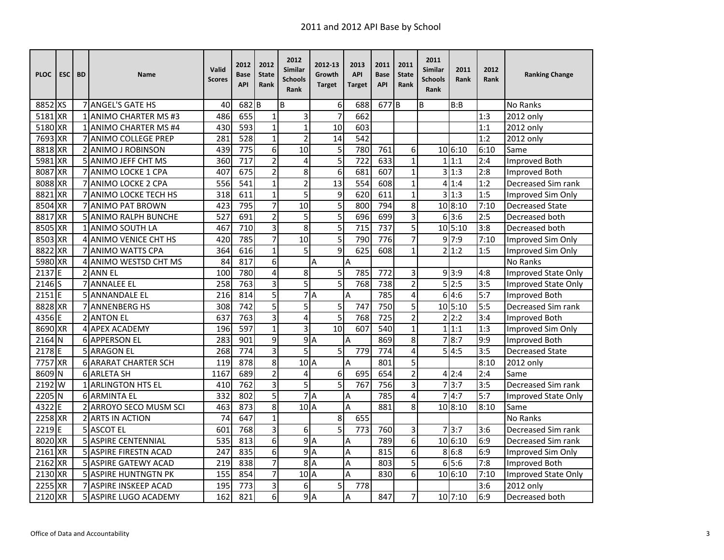| <b>PLOC</b> | <b>ESC</b> | <b>BD</b> | <b>Name</b>                  | Valid<br><b>Scores</b> | 2012<br>Base<br><b>API</b> | 2012<br><b>State</b><br>Rank | 2012<br>Similar<br>Schools<br>Rank | 2012-13<br>Growth<br><b>Target</b> | 2013<br><b>API</b><br>Target | 2011<br><b>Base</b><br><b>API</b> | 2011<br><b>State</b><br>Rank | 2011<br><b>Similar</b><br><b>Schools</b><br>Rank | 2011<br>Rank | 2012<br>Rank | <b>Ranking Change</b>      |
|-------------|------------|-----------|------------------------------|------------------------|----------------------------|------------------------------|------------------------------------|------------------------------------|------------------------------|-----------------------------------|------------------------------|--------------------------------------------------|--------------|--------------|----------------------------|
| 8852 XS     |            |           | 7 ANGEL'S GATE HS            | 40                     | 682                        | B                            | B                                  | 6                                  | 688                          | 677 <sub>B</sub>                  |                              | B                                                | B:B          |              | No Ranks                   |
| 5181 XR     |            |           | 1 ANIMO CHARTER MS #3        | 486                    | 655                        | $\mathbf{1}$                 | 3                                  | $\overline{7}$                     | 662                          |                                   |                              |                                                  |              | 1:3          | 2012 only                  |
| 5180 XR     |            |           | 1 ANIMO CHARTER MS #4        | 430                    | 593                        | $\mathbf{1}$                 | $\overline{1}$                     | 10                                 | 603                          |                                   |                              |                                                  |              | 1:1          | 2012 only                  |
| 7693        | <b>XR</b>  |           | 7 ANIMO COLLEGE PREP         | 281                    | 528                        | $\mathbf{1}$                 | $\overline{c}$                     | 14                                 | 542                          |                                   |                              |                                                  |              | 1:2          | 2012 only                  |
| 8818        | <b>XR</b>  |           | 2 ANIMO J ROBINSON           | 439                    | 775                        | 6                            | 10                                 | 5                                  | 780                          | 761                               | 6                            |                                                  | 10 6:10      | 6:10         | Same                       |
| 5981        | <b>XR</b>  |           | 5 ANIMO JEFF CHT MS          | 360                    | 717                        | $\overline{2}$               | 4                                  | 5                                  | 722                          | 633                               | $\mathbf{1}$                 |                                                  | 1 1:1        | 2:4          | Improved Both              |
| 8087        | <b>XR</b>  |           | 7 ANIMO LOCKE 1 CPA          | 407                    | 675                        | $\overline{2}$               | 8                                  | 6                                  | 681                          | 607                               | $\mathbf{1}$                 |                                                  | 3 1:3        | 2:8          | Improved Both              |
| 8088        | <b>XR</b>  |           | 7 ANIMO LOCKE 2 CPA          | 556                    | 541                        | $\mathbf{1}$                 | $\overline{c}$                     | 13                                 | 554                          | 608                               | $\mathbf{1}$                 |                                                  | 41:4         | 1:2          | Decreased Sim rank         |
| 8821        | <b>XR</b>  |           | 7 ANIMO LOCKE TECH HS        | 318                    | $\overline{611}$           | $\mathbf{1}$                 | 5                                  | $\overline{9}$                     | 620                          | 611                               | $\mathbf{1}$                 | 3                                                | 1:3          | 1:5          | Improved Sim Only          |
| 8504        | <b>XR</b>  |           | 7 ANIMO PAT BROWN            | 423                    | 795                        | 7                            | 10                                 | 5                                  | 800                          | 794                               | 8                            |                                                  | 10 8:10      | 7:10         | <b>Decreased State</b>     |
| 8817        | <b>XR</b>  |           | <b>5 ANIMO RALPH BUNCHE</b>  | 527                    | 691                        | $\overline{2}$               | 5                                  | 5                                  | 696                          | 699                               | 3                            |                                                  | 613:6        | 2:5          | Decreased both             |
| 8505        | <b>XR</b>  |           | 1 ANIMO SOUTH LA             | 467                    | 710                        | 3                            | 8                                  | 5                                  | 715                          | 737                               | 5                            |                                                  | 10 5:10      | 3:8          | Decreased both             |
| 8503        | <b>XR</b>  |           | 4 ANIMO VENICE CHT HS        | 420                    | 785                        | $\overline{7}$               | 10                                 | 5                                  | 790                          | 776                               | $\overline{7}$               |                                                  | 9 7:9        | 7:10         | Improved Sim Only          |
| 8822        | <b>XR</b>  |           | 7 ANIMO WATTS CPA            | 364                    | 616                        | $\mathbf{1}$                 | 5                                  | 9                                  | 625                          | 608                               | $\mathbf{1}$                 |                                                  | 21:2         | 1:5          | Improved Sim Only          |
| 5980 XR     |            |           | 4 ANIMO WESTSD CHT MS        | 84                     | 817                        | 6                            |                                    | Α                                  | Α                            |                                   |                              |                                                  |              |              | No Ranks                   |
| 2137        | ΙE         |           | 2 ANN EL                     | 100                    | 780                        | $\overline{4}$               | 8                                  | 5                                  | 785                          | 772                               | 3                            |                                                  | 9 3:9        | 4:8          | Improved State Only        |
| 2146        | lS         |           | <b>7 ANNALEE EL</b>          | 258                    | 763                        | 3                            | 5                                  | 5                                  | 768                          | 738                               | $\overline{c}$               |                                                  | 5 2:5        | 3:5          | <b>Improved State Only</b> |
| 2151        | F          |           | 5 ANNANDALE EL               | 216                    | 814                        | 5                            | 7                                  | $\overline{A}$                     | A                            | 785                               | 4                            |                                                  | 6 4:6        | 5:7          | Improved Both              |
| 8828        | <b>XR</b>  |           | <b>7 ANNENBERG HS</b>        | 308                    | 742                        | 5                            | 5                                  | 5                                  | 747                          | 750                               | 5                            |                                                  | 10 5:10      | 5:5          | Decreased Sim rank         |
| 4356 E      |            |           | <b>2 ANTON EL</b>            | 637                    | 763                        | $\overline{3}$               | 4                                  | 5                                  | $\overline{768}$             | $\frac{1}{725}$                   | $\overline{2}$               |                                                  | 2 2:2        | 3:4          | <b>Improved Both</b>       |
| 8690 XR     |            |           | 4 APEX ACADEMY               | 196                    | 597                        | $\mathbf{1}$                 | 3                                  | $\overline{10}$                    | 607                          | $\overline{540}$                  | $\mathbf 1$                  |                                                  | 1 1:1        | 1:3          | Improved Sim Only          |
| 2164 N      |            |           | 6 APPERSON EL                | 283                    | 901                        | 9                            | 9A                                 |                                    | A                            | 869                               | 8                            | $\overline{7}$                                   | 8:7          | 9:9          | <b>Improved Both</b>       |
| 2178        | E          |           | <b>5 ARAGON EL</b>           | 268                    | 774                        | 3                            | 5                                  | 5                                  | 779                          | 774                               | 4                            |                                                  | 5 4:5        | 3:5          | <b>Decreased State</b>     |
| 7757        | <b>XR</b>  |           | <b>6 ARARAT CHARTER SCH</b>  | 119                    | 878                        | 8                            | $102$ A                            |                                    | A                            | 801                               | 5                            |                                                  |              | 8:10         | 2012 only                  |
| 8609        | N          |           | <b>6 ARLETA SH</b>           | 1167                   | 689                        | $\overline{2}$               | 4                                  | 6                                  | 695                          | 654                               | $\overline{2}$               |                                                  | 4 2:4        | 2:4          | Same                       |
| 2192        | W          |           | 1 ARLINGTON HTS EL           | 410                    | 762                        | $\overline{3}$               | $\overline{5}$                     | $\overline{5}$                     | 767                          | 756                               | 3                            |                                                  | 7 3:7        | 3:5          | Decreased Sim rank         |
| 2205        | N          |           | <b>6 ARMINTA EL</b>          | 332                    | 802                        | $\overline{5}$               |                                    | $\overline{7}$ A                   | Α                            | 785                               | 4                            | 7                                                | 4:7          | 5:7          | Improved State Only        |
| 4322        | E          |           | 2 ARROYO SECO MUSM SCI       | 463                    | 873                        | 8                            | 10 <sub>A</sub>                    |                                    | A                            | 881                               | 8                            |                                                  | 10 8:10      | 8:10         | Same                       |
| 2258 XR     |            |           | 2 ARTS IN ACTION             | 74                     | 647                        | $\mathbf{1}$                 |                                    | 8                                  | 655                          |                                   |                              |                                                  |              |              | No Ranks                   |
| 2219        | F          |           | 5 ASCOT EL                   | 601                    | 768                        | 3                            | 6                                  | 5                                  | 773                          | 760                               | 3                            |                                                  | 73:7         | 3:6          | Decreased Sim rank         |
| 8020        | <b>XR</b>  |           | <b>5 ASPIRE CENTENNIAL</b>   | 535                    | 813                        | 6                            | 9                                  | $\overline{A}$                     | Α                            | 789                               | 6                            |                                                  | 10 6:10      | 6:9          | Decreased Sim rank         |
| 2161        | <b>XR</b>  |           | 5 ASPIRE FIRESTN ACAD        | 247                    | 835                        | $\overline{6}$               | $\overline{9}$                     | $\overline{A}$                     | A                            | 815                               | 6                            |                                                  | 8 6:8        | 6:9          | Improved Sim Only          |
| 2162        | <b>XR</b>  |           | 5 ASPIRE GATEWY ACAD         | 219                    | 838                        | $\overline{7}$               | 8 <sup>1</sup>                     | $\overline{A}$                     | A                            | 803                               | 5                            |                                                  | 6 5:6        | 7:8          | Improved Both              |
| 2130 XR     |            |           | <b>5 ASPIRE HUNTNGTN PK</b>  | 155                    | 854                        | 7                            | $10$ <sup>A</sup>                  |                                    | Α                            | 830                               | 6                            |                                                  | 106:10       | 7:10         | Improved State Only        |
| 2255 XR     |            |           | 7 ASPIRE INSKEEP ACAD        | 195                    | 773                        | 3                            | 6                                  | 5                                  | 778                          |                                   |                              |                                                  |              | 3:6          | 2012 only                  |
| 2120        | <b>XR</b>  |           | <b>5 ASPIRE LUGO ACADEMY</b> | 162                    | 821                        | 6                            | 9A                                 |                                    | A                            | 847                               | $\overline{7}$               |                                                  | 10 7:10      | 6:9          | Decreased both             |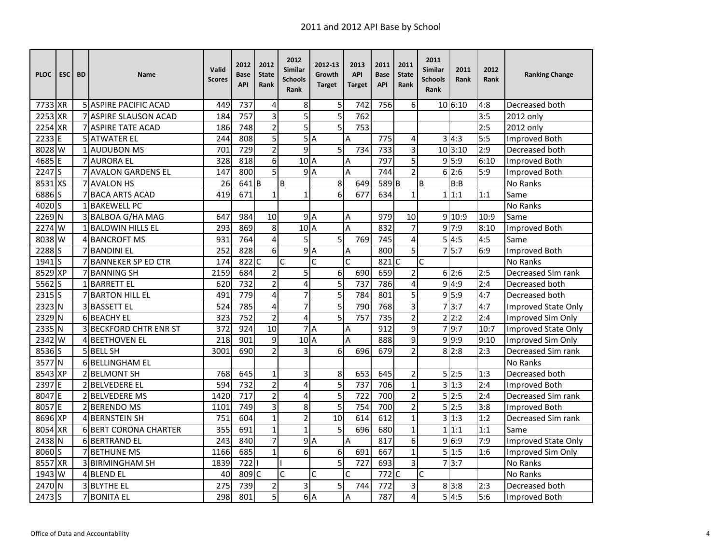| <b>PLOC</b> | <b>ESC</b> | <b>BD</b> | <b>Name</b>                   | Valid<br><b>Scores</b> | 2012<br>Base<br><b>API</b> | 2012<br><b>State</b><br>Rank | 2012<br>Similar<br><b>Schools</b><br>Rank | 2012-13<br>Growth<br><b>Target</b> | 2013<br><b>API</b><br>Target | 2011<br><b>Base</b><br><b>API</b> | 2011<br><b>State</b><br>Rank | 2011<br><b>Similar</b><br><b>Schools</b><br>Rank | 2011<br>Rank | 2012<br>Rank | <b>Ranking Change</b>      |
|-------------|------------|-----------|-------------------------------|------------------------|----------------------------|------------------------------|-------------------------------------------|------------------------------------|------------------------------|-----------------------------------|------------------------------|--------------------------------------------------|--------------|--------------|----------------------------|
| 7733 XR     |            |           | <b>5 ASPIRE PACIFIC ACAD</b>  | 449                    | 737                        | 4                            | 8                                         | 5                                  | 742                          | 756                               | 6                            |                                                  | 10 6:10      | 4:8          | Decreased both             |
| 2253 XR     |            |           | 7 ASPIRE SLAUSON ACAD         | 184                    | 757                        | $\overline{3}$               | $\overline{5}$                            | $\overline{5}$                     | 762                          |                                   |                              |                                                  |              | 3:5          | 2012 only                  |
| 2254 XR     |            |           | 7 ASPIRE TATE ACAD            | 186                    | 748                        | $\overline{2}$               | $\overline{5}$                            | $\overline{5}$                     | 753                          |                                   |                              |                                                  |              | 2:5          | 2012 only                  |
| 2233        | E          |           | <b>5 ATWATER EL</b>           | 244                    | 808                        | 5                            |                                           | 5A                                 | A                            | 775                               | 4                            |                                                  | 3 4:3        | 5:5          | Improved Both              |
| 8028        | W          |           | 1 AUDUBON MS                  | 701                    | 729                        | $\overline{2}$               | 9                                         | 5                                  | 734                          | 733                               | 3                            |                                                  | 10 3:10      | 2:9          | Decreased both             |
| 4685        | F          |           | <b>7 AURORA EL</b>            | 328                    | 818                        | 6                            | 10 <sub>A</sub>                           |                                    | Α                            | 797                               | 5                            |                                                  | 9 5:9        | 6:10         | Improved Both              |
| 2247        | ls         |           | <b>7 AVALON GARDENS EL</b>    | 147                    | 800                        | $\overline{5}$               |                                           | 9A                                 | A                            | 744                               | $\overline{2}$               |                                                  | 6 2:6        | 5:9          | Improved Both              |
| 8531 XS     |            |           | 7 AVALON HS                   | 26                     | 641B                       |                              | B                                         | 8                                  | 649                          | 589 <sub>B</sub>                  |                              | B                                                | B:B          |              | No Ranks                   |
| 6886        | Is         |           | 7 BACA ARTS ACAD              | 419                    | 671                        | $\mathbf{1}$                 | $\mathbf{1}$                              | $\overline{6}$                     | 677                          | 634                               | 1                            |                                                  | 1 1:1        | 1:1          | Same                       |
| 4020 S      |            |           | 1 BAKEWELL PC                 |                        |                            |                              |                                           |                                    |                              |                                   |                              |                                                  |              |              | No Ranks                   |
| 2269        | N          |           | 3 BALBOA G/HA MAG             | 647                    | 984                        | 10                           |                                           | $\overline{9}$ A                   | A                            | 979                               | 10                           |                                                  | 9 10:9       | 10:9         | Same                       |
| 2274        | W          |           | <b>1 BALDWIN HILLS EL</b>     | 293                    | 869                        | 8                            | $102$ A                                   |                                    | A                            | 832                               | 7                            |                                                  | 9 7:9        | 8:10         | Improved Both              |
| 8038        | W          |           | 4 BANCROFT MS                 | 931                    | 764                        | $\overline{\mathbf{4}}$      | 5                                         | 5                                  | 769                          | 745                               | 4                            |                                                  | 5 4:5        | 4:5          | Same                       |
| 2288        | ΙS         |           | 7 BANDINI EL                  | 252                    | 828                        | 6                            | 9                                         | $\overline{A}$                     | A                            | 800                               | 5                            |                                                  | 5:7          | 6:9          | Improved Both              |
| $1941$ S    |            |           | 7 BANNEKER SP ED CTR          | 174                    | 822 C                      |                              | Ċ                                         | Ċ                                  | Ċ                            | 821C                              |                              | $\overline{\mathsf{c}}$                          |              |              | No Ranks                   |
| 8529 XP     |            |           | 7 BANNING SH                  | 2159                   | 684                        | $\overline{2}$               | 5                                         | 6                                  | 690                          | 659                               | 2                            |                                                  | 6 2:6        | 2:5          | Decreased Sim rank         |
| 5562S       |            |           | 1 BARRETT EL                  | 620                    | 732                        | $\overline{2}$               | 4                                         | 5                                  | 737                          | 786                               | 4                            |                                                  | 9 4:9        | 2:4          | Decreased both             |
| 2315        | Is         |           | 7 BARTON HILL EL              | 491                    | 779                        | $\overline{4}$               | 7                                         | 5                                  | 784                          | 801                               | 5                            |                                                  | 9 5:9        | 4:7          | Decreased both             |
| 2323 N      |            |           | 3 BASSETT EL                  | 524                    | 785                        | $\overline{4}$               | $\overline{7}$                            | 5                                  | 790                          | 768                               | 3                            |                                                  | 7 3:7        | 4:7          | <b>Improved State Only</b> |
| 2329 N      |            |           | 6 BEACHY EL                   | 323                    | $\overline{752}$           | $\overline{2}$               | $\overline{4}$                            | 5                                  | 757                          | $\overline{735}$                  | $\overline{2}$               |                                                  | 2 2:2        | 2:4          | Improved Sim Only          |
| 2335        | IN.        |           | <b>3 BECKFORD CHTR ENR ST</b> | 372                    | 924                        | $\overline{10}$              | 7                                         | A                                  | Α                            | 912                               | $\overline{9}$               |                                                  | 79:7         | 10:7         | Improved State Only        |
| 2342 W      |            |           | 4 BEETHOVEN EL                | 218                    | 901                        | 9                            | 10 <sub>A</sub>                           |                                    | A                            | 888                               | 9                            |                                                  | 9 9:9        | 9:10         | Improved Sim Only          |
| 8536 S      |            |           | 5 BELL SH                     | 3001                   | 690                        | $\overline{2}$               | 3                                         | 6                                  | 696                          | 679                               | $\overline{2}$               |                                                  | 8 2:8        | 2:3          | Decreased Sim rank         |
| 3577        | <b>N</b>   |           | 6 BELLINGHAM EL               |                        |                            |                              |                                           |                                    |                              |                                   |                              |                                                  |              |              | No Ranks                   |
| 8543 XP     |            |           | 2 BELMONT SH                  | 768                    | 645                        | $\mathbf{1}$                 | 3                                         | 8                                  | 653                          | 645                               | $\overline{2}$               |                                                  | 5 2:5        | 1:3          | Decreased both             |
| 2397        | IF         |           | <b>2IBELVEDERE EL</b>         | 594                    | 732                        | $\overline{2}$               | $\overline{4}$                            | $\overline{5}$                     | $\overline{737}$             | 706                               | $\mathbf 1$                  |                                                  | 3 1:3        | 2:4          | <b>Improved Both</b>       |
| 8047        | IF         |           | 2 BELVEDERE MS                | 1420                   | 717                        | $\overline{2}$               | 4                                         | $\overline{5}$                     | 722                          | 700                               | $\overline{2}$               |                                                  | 5 2:5        | 2:4          | Decreased Sim rank         |
| 8057 E      |            |           | 2 BERENDO MS                  | 1101                   | 749                        | 3                            | 8                                         | $\overline{5}$                     | 754                          | 700                               | $\overline{2}$               |                                                  | 5 2:5        | 3:8          | Improved Both              |
| 8696 XP     |            |           | 4 BERNSTEIN SH                | 751                    | 604                        | $\mathbf{1}$                 | $\overline{2}$                            | 10                                 | 614                          | 612                               | $\mathbf{1}$                 |                                                  | 3 1:3        | 1:2          | Decreased Sim rank         |
| 8054        | <b>XR</b>  |           | <b>6 BERT CORONA CHARTER</b>  | 355                    | 691                        | $\mathbf{1}$                 | $\overline{1}$                            | 5                                  | 696                          | 680                               | $\mathbf{1}$                 |                                                  | 1 1:1        | 1:1          | Same                       |
| 2438        | <b>N</b>   |           | <b>6 BERTRAND EL</b>          | 243                    | 840                        | 7                            | 9                                         | $\overline{A}$                     | A                            | 817                               | 6                            |                                                  | 9 6:9        | 7:9          | Improved State Only        |
| 8060        | lS.        |           | <b>7IBETHUNE MS</b>           | 1166                   | 685                        | $\mathbf{1}$                 | 6                                         | 6                                  | 691                          | 667                               | $\mathbf{1}$                 |                                                  | 5 1:5        | 1:6          | Improved Sim Only          |
| 8557        | <b>XR</b>  |           | 3 BIRMINGHAM SH               | 1839                   | 722                        |                              |                                           | 5                                  | 727                          | 693                               | 3                            |                                                  | 3:7          |              | No Ranks                   |
| 1943        | lw         |           | 4 BLEND EL                    | 40                     | 809 C                      |                              | Ċ                                         | C                                  | C                            | $772$ C                           |                              | Ċ                                                |              |              | No Ranks                   |
| $2470$ N    |            |           | 3 BLYTHE EL                   | 275                    | 739                        | $\overline{2}$               | 3                                         | 5                                  | 744                          | 772                               | 3                            |                                                  | 8 3:8        | 2:3          | Decreased both             |
| 2473        | Is         |           | <b>7 BONITA EL</b>            | 298                    | 801                        | 5                            |                                           | 6A                                 | A                            | 787                               | $\overline{\mathbf{4}}$      |                                                  | 5 4:5        | 5:6          | Improved Both              |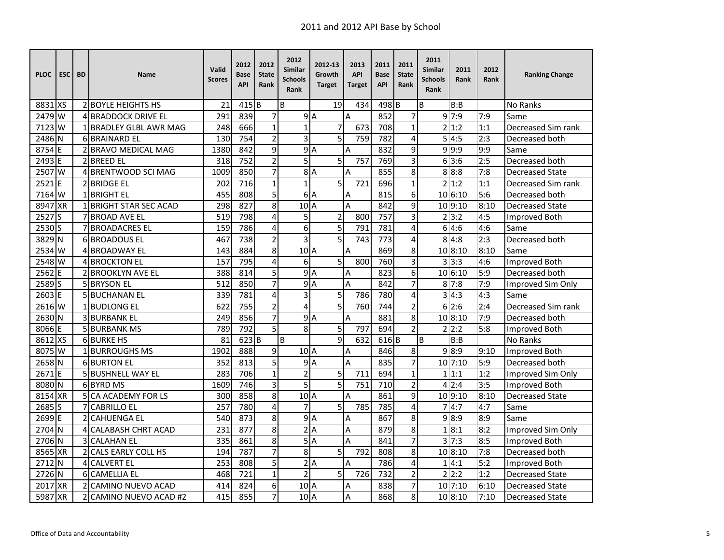| <b>PLOC</b>       | <b>ESC</b> | <b>BD</b> | <b>Name</b>                 | Valid<br><b>Scores</b> | 2012<br>Base<br><b>API</b> | 2012<br><b>State</b><br>Rank | 2012<br>Similar<br><b>Schools</b><br>Rank | 2012-13<br>Growth<br><b>Target</b> | 2013<br><b>API</b><br><b>Target</b> | 2011<br><b>Base</b><br><b>API</b> | 2011<br><b>State</b><br>Rank | 2011<br><b>Similar</b><br><b>Schools</b><br>Rank | 2011<br>Rank | 2012<br><b>Rank</b> | <b>Ranking Change</b>  |
|-------------------|------------|-----------|-----------------------------|------------------------|----------------------------|------------------------------|-------------------------------------------|------------------------------------|-------------------------------------|-----------------------------------|------------------------------|--------------------------------------------------|--------------|---------------------|------------------------|
| 8831 XS           |            |           | 2 BOYLE HEIGHTS HS          | 21                     | $415$ B                    |                              | B                                         | 19                                 | 434                                 | 498 <sub>B</sub>                  |                              | B                                                | B:B          |                     | <b>No Ranks</b>        |
| 2479 W            |            | 4         | <b>BRADDOCK DRIVE EL</b>    | 291                    | 839                        | $\overline{7}$               |                                           | 9A                                 | A                                   | 852                               | 7                            |                                                  | 9 7:9        | 7:9                 | Same                   |
| 7123 W            |            |           | 1 BRADLEY GLBL AWR MAG      | 248                    | 666                        | $\mathbf{1}$                 | $\mathbf{1}$                              | $\overline{7}$                     | 673                                 | 708                               | $\mathbf{1}$                 |                                                  | 2 1:2        | 1:1                 | Decreased Sim rank     |
| 2486 N            |            |           | 6 BRAINARD EL               | 130                    | 754                        | $\mathbf 2$                  | 3                                         | $\overline{5}$                     | 759                                 | 782                               | 4                            |                                                  | 5 4:5        | 2:3                 | Decreased both         |
| 8754              | E          |           | <b>BRAVO MEDICAL MAG</b>    | 1380                   | 842                        | 9                            | 9A                                        |                                    | A                                   | 832                               | 9                            |                                                  | 9 9:9        | 9:9                 | Same                   |
| 2493 E            |            |           | 2 BREED EL                  | 318                    | 752                        | $\overline{2}$               | 5                                         | 5                                  | 757                                 | 769                               | 3                            |                                                  | 613:6        | 2:5                 | Decreased both         |
| 2507 W            |            |           | 4 BRENTWOOD SCI MAG         | 1009                   | 850                        | $\overline{7}$               |                                           | 8A                                 | A                                   | 855                               | 8                            |                                                  | 8 8:8        | 7:8                 | <b>Decreased State</b> |
| 2521              | ΙE         |           | <b>2 BRIDGE EL</b>          | 202                    | 716                        | $\mathbf{1}$                 | $\overline{1}$                            | 5                                  | 721                                 | 696                               | $\mathbf{1}$                 |                                                  | 2 1:2        | 1:1                 | Decreased Sim rank     |
| 7164 W            |            |           | 1 BRIGHT EL                 | 455                    | $\overline{808}$           | $\overline{5}$               |                                           | 6A                                 | Α                                   | 815                               | 6                            |                                                  | 10 6:10      | 5:6                 | Decreased both         |
| 8947 XR           |            |           | <b>BRIGHT STAR SEC ACAD</b> | 298                    | 827                        | 8                            | 10A                                       |                                    | A                                   | 842                               | 9                            |                                                  | 10 9:10      | 8:10                | <b>Decreased State</b> |
| 2527              | ls         |           | <b>BROAD AVE EL</b>         | 519                    | 798                        | 4                            | 5                                         | $\overline{2}$                     | 800                                 | 757                               | 3                            |                                                  | 2 3:2        | 4:5                 | <b>Improved Both</b>   |
| 2530S             |            |           | <b>BROADACRES EL</b>        | 159                    | 786                        | 4                            | 6                                         | 5                                  | 791                                 | 781                               | 4                            | 6                                                | 4:6          | 4:6                 | Same                   |
| 3829 N            |            |           | <b>6 BROADOUS EL</b>        | 467                    | 738                        | $\overline{2}$               | $\overline{3}$                            | 5                                  | 743                                 | 773                               | 4                            |                                                  | 8 4:8        | 2:3                 | Decreased both         |
| 2534 W            |            |           | 4 BROADWAY EL               | 143                    | 884                        | 8                            | 10A                                       |                                    | A                                   | 869                               | 8                            |                                                  | 10 8:10      | 8:10                | Same                   |
| 2548 W            |            |           | 4 BROCKTON EL               | 157                    | 795                        | 4                            | 6                                         | $\overline{5}$                     | 800                                 | 760                               | 3                            | 3                                                | 3:3          | 4:6                 | <b>Improved Both</b>   |
| 2562              | IE.        |           | 2 BROOKLYN AVE EL           | 388                    | 814                        | 5                            | 9A                                        |                                    | A                                   | 823                               | 6                            |                                                  | 10 6:10      | 5:9                 | Decreased both         |
| 2589 <sub>S</sub> |            |           | <b>5 BRYSON EL</b>          | 512                    | 850                        | $\overline{7}$               |                                           | 9A                                 | A                                   | 842                               | 7                            |                                                  | $8 \, 7:8$   | 7:9                 | Improved Sim Only      |
| 2603              | F          |           | 5 BUCHANAN EL               | 339                    | 781                        | $\overline{\mathbf{4}}$      | 3                                         | 5                                  | 786                                 | 780                               | 4                            | 3                                                | 4:3          | 4:3                 | Same                   |
| 2616 W            |            |           | <b>1 BUDLONG EL</b>         | 622                    | 755                        | $\overline{2}$               | 4                                         | 5                                  | 760                                 | 744                               | 2                            | 6                                                | 2:6          | 2:4                 | Decreased Sim rank     |
| 2630 N            |            |           | <b>3 BURBANK EL</b>         | 249                    | 856                        | $\overline{7}$               | 9                                         | A                                  | A                                   | 881                               | 8                            |                                                  | 10 8:10      | 7:9                 | Decreased both         |
| 8066 E            |            |           | <b>5 BURBANK MS</b>         | 789                    | 792                        | $\overline{5}$               | $\overline{8}$                            | 5                                  | 797                                 | 694                               | $\overline{2}$               | 2                                                | 2:2          | 5:8                 | Improved Both          |
| 8612 XS           |            |           | <b>6 BURKE HS</b>           | 81                     | 623B                       |                              | B                                         | 9                                  | 632                                 | $616$ B                           |                              | B                                                | B:B          |                     | No Ranks               |
| 8075 W            |            |           | 1 BURROUGHS MS              | 1902                   | 888                        | 9                            | 10 <sup>1</sup> A                         |                                    | Α                                   | 846                               | 8                            |                                                  | 9 8:9        | 9:10                | <b>Improved Both</b>   |
| 2658 N            |            |           | <b>6 BURTON EL</b>          | 352                    | 813                        | 5                            | 9A                                        |                                    | A                                   | 835                               | 7                            |                                                  | $10$ 7:10    | 5:9                 | Decreased both         |
| $2671$ E          |            |           | 5 BUSHNELL WAY EL           | 283                    | 706                        | $\mathbf 1$                  | $\overline{2}$                            | 5                                  | 711                                 | 694                               | $\mathbf{1}$                 |                                                  | 1 1:1        | 1:2                 | Improved Sim Only      |
| 8080 N            |            |           | 6 BYRD MS                   | 1609                   | 746                        | $\overline{3}$               | $\overline{5}$                            | $\overline{5}$                     | 751                                 | 710                               | $\overline{2}$               |                                                  | 4 2:4        | 3:5                 | Improved Both          |
| 8154 XR           |            |           | 5 CA ACADEMY FOR LS         | 300                    | 858                        | 8                            | 10 <sub>A</sub>                           |                                    | A                                   | 861                               | 9                            |                                                  | 10 9:10      | 8:10                | <b>Decreased State</b> |
| 2685S             |            |           | <b>CABRILLO EL</b>          | 257                    | 780                        | 4                            | 7                                         | 5                                  | 785                                 | 785                               | 4                            |                                                  | 4:7          | 4:7                 | Same                   |
| 2699 E            |            |           | <b>2ICAHUENGA EL</b>        | 540                    | 873                        | 8                            | 9A                                        |                                    | Α                                   | 867                               | 8                            |                                                  | 9 8:9        | 8:9                 | Same                   |
| 2704 N            |            |           | <b>CALABASH CHRT ACAD</b>   | 231                    | 877                        | 8                            | 2A                                        |                                    | A                                   | 879                               | 8                            | 1                                                | 8:1          | 8:2                 | Improved Sim Only      |
| 2706 N            |            |           | <b>CALAHAN EL</b>           | 335                    | 861                        | 8                            | 5A                                        |                                    | A                                   | 841                               | 7                            | 3                                                | 7:3          | 8:5                 | Improved Both          |
| 8565 XR           |            | 2         | <b>CALS EARLY COLL HS</b>   | 194                    | 787                        | $\overline{7}$               | $\overline{8}$                            | 5                                  | 792                                 | 808                               | 8                            |                                                  | 10 8:10      | 7:8                 | Decreased both         |
| 2712 N            |            | 4         | <b>CALVERT EL</b>           | 253                    | 808                        | 5                            |                                           | 2A                                 | Α                                   | 786                               | 4                            |                                                  | 4:1          | 5:2                 | Improved Both          |
| 2726 N            |            |           | <b>6</b> CAMELLIA EL        | 468                    | 721                        | $\mathbf{1}$                 | $\overline{2}$                            | 5                                  | 726                                 | 732                               | $\overline{c}$               | $\overline{2}$                                   | 2:2          | 1:2                 | <b>Decreased State</b> |
| 2017              | <b>XR</b>  |           | 2 CAMINO NUEVO ACAD         | 414                    | 824                        | 6                            | 10 <sup>1</sup> A                         |                                    | A                                   | 838                               | 7                            |                                                  | $10$ 7:10    | 6:10                | <b>Decreased State</b> |
| 5987              | <b>XR</b>  |           | 2 CAMINO NUEVO ACAD #2      | 415                    | 855                        | 7                            | 10 <sub>A</sub>                           |                                    | A                                   | 868                               | 8                            |                                                  | 10 8:10      | 7:10                | <b>Decreased State</b> |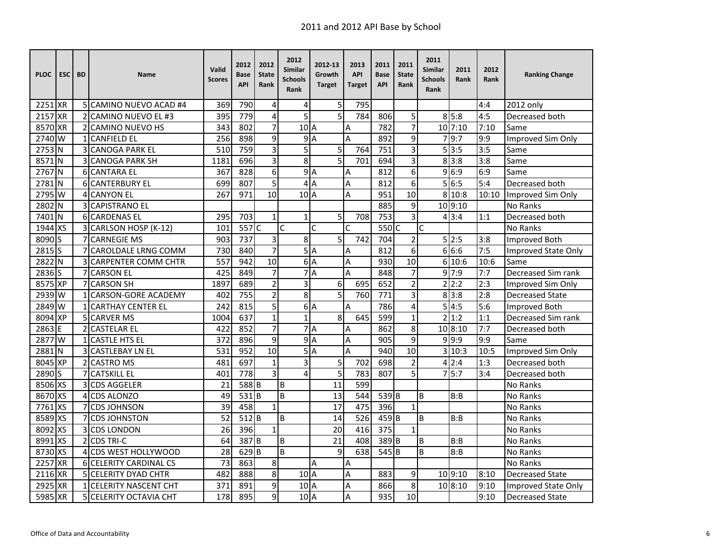| <b>PLOC</b> | ESC <sub>I</sub> | <b>BD</b> | <b>Name</b>                   | Valid<br><b>Scores</b> | 2012<br>Base<br><b>API</b> | 2012<br><b>State</b><br>Rank | 2012<br>Similar<br><b>Schools</b><br>Rank | 2012-13<br>Growth<br><b>Target</b> | 2013<br><b>API</b><br><b>Target</b> | 2011<br><b>Base</b><br><b>API</b> | 2011<br><b>State</b><br>Rank | 2011<br>Similar<br><b>Schools</b><br>Rank | 2011<br>Rank | 2012<br>Rank | <b>Ranking Change</b>  |
|-------------|------------------|-----------|-------------------------------|------------------------|----------------------------|------------------------------|-------------------------------------------|------------------------------------|-------------------------------------|-----------------------------------|------------------------------|-------------------------------------------|--------------|--------------|------------------------|
| 2251 XR     |                  |           | 5 CAMINO NUEVO ACAD #4        | 369                    | 790                        | 4                            | 4                                         | 5                                  | 795                                 |                                   |                              |                                           |              | 4:4          | 2012 only              |
| 2157 XR     |                  |           | 2 CAMINO NUEVO EL #3          | 395                    | 779                        | $\overline{\mathbf{4}}$      | 5                                         | $\overline{5}$                     | 784                                 | 806                               | 5                            |                                           | 8 5:8        | 4:5          | Decreased both         |
| 8570 XR     |                  |           | 2 CAMINO NUEVO HS             | 343                    | 802                        | $\overline{7}$               | 10 <sub>A</sub>                           |                                    | Α                                   | 782                               | $\overline{7}$               |                                           | 10 7:10      | 7:10         | Same                   |
| 2740 W      |                  |           | <b>CANFIELD EL</b>            | 256                    | 898                        | 9                            | 9                                         | A                                  | A                                   | 892                               | 9                            |                                           | 9:7          | 9:9          | Improved Sim Only      |
| 2753        | N                |           | <b>CANOGA PARK EL</b>         | 510                    | 759                        | 3                            | 5                                         | 5                                  | 764                                 | 751                               | 3                            |                                           | 5 3:5        | 3:5          | Same                   |
| 8571        | IΝ               |           | <b>3 CANOGA PARK SH</b>       | 1181                   | 696                        | 3                            | 8                                         | 5                                  | 701                                 | 694                               | 3                            |                                           | 8 3:8        | 3:8          | Same                   |
| 2767        | ΙN               |           | <b>6 CANTARA EL</b>           | 367                    | 828                        | 6                            | 9A                                        |                                    | Α                                   | 812                               | 6                            |                                           | 9 6:9        | 6:9          | Same                   |
| 2781        | N                |           | 6 CANTERBURY EL               | 699                    | 807                        | 5                            |                                           | 4A                                 | A                                   | 812                               | 6                            |                                           | 56:5         | 5:4          | Decreased both         |
| 2795 W      |                  |           | <b>4 CANYON EL</b>            | 267                    | 971                        | 10                           | 10 <sub>A</sub>                           |                                    | A                                   | 951                               | 10                           |                                           | 8 10:8       | 10:10        | Improved Sim Only      |
| 2802        | ΙN               |           | <b>3ICAPISTRANO EL</b>        |                        |                            |                              |                                           |                                    |                                     | 885                               | 9                            |                                           | 10 9:10      |              | No Ranks               |
| 7401        | N                |           | 6 CARDENAS EL                 | 295                    | 703                        | $\mathbf{1}$                 | $\mathbf{1}$                              | 5                                  | 708                                 | 753                               | 3                            |                                           | 4 3:4        | 1:1          | Decreased both         |
| 1944        | <b>XS</b>        |           | 3 CARLSON HOSP (K-12)         | 101                    | $557$ C                    |                              | Ċ                                         | Ċ                                  | C                                   | 550 C                             |                              | C                                         |              |              | No Ranks               |
| 8090 S      |                  |           | <b>CARNEGIE MS</b>            | 903                    | 737                        | 3                            | 8                                         | 5                                  | 742                                 | 704                               | $\overline{2}$               |                                           | 5 2:5        | 3:8          | Improved Both          |
| 2815S       |                  |           | <b>CAROLDALE LRNG COMM</b>    | 730                    | 840                        | $\overline{7}$               |                                           | 5A                                 | A                                   | 812                               | 6                            |                                           | 66:6         | 7:5          | Improved State Only    |
| 2822 N      |                  |           | <b>CARPENTER COMM CHTR</b>    | 557                    | 942                        | 10                           | 6A                                        |                                    | Α                                   | 930                               | 10                           |                                           | 6 10:6       | 10:6         | Same                   |
| 2836 S      |                  |           | 7 CARSON EL                   | 425                    | 849                        | $\overline{7}$               | 7A                                        |                                    | A                                   | 848                               | $\overline{7}$               |                                           | 9 7:9        | 7:7          | Decreased Sim rank     |
| 8575 XP     |                  |           | <b>CARSON SH</b>              | 1897                   | 689                        | $\overline{2}$               | 3                                         | 6                                  | 695                                 | 652                               | $\overline{2}$               |                                           | 2 2:2        | 2:3          | Improved Sim Only      |
| 2939        | W                |           | <b>CARSON-GORE ACADEMY</b>    | 402                    | 755                        | $\overline{2}$               | $\overline{8}$                            | $\overline{5}$                     | 760                                 | 771                               | 3                            |                                           | 8 3:8        | 2:8          | <b>Decreased State</b> |
| 2849        | <b>W</b>         | 1         | <b>CARTHAY CENTER EL</b>      | 242                    | 815                        | 5                            |                                           | 6A                                 | A                                   | 786                               | 4                            |                                           | 5 4:5        | 5:6          | Improved Both          |
| 8094 XP     |                  |           | <b>5 CARVER MS</b>            | 1004                   | 637                        | $\mathbf{1}$                 | $\mathbf 1$                               | 8                                  | 645                                 | 599                               | $\mathbf 1$                  |                                           | 2 1:2        | 1:1          | Decreased Sim rank     |
| 2863 E      |                  |           | <b>2 CASTELAR EL</b>          | 422                    | 852                        | $\overline{7}$               |                                           | 7A                                 | Α                                   | 862                               | 8                            |                                           | 10 8:10      | 7:7          | Decreased both         |
| 2877 W      |                  |           | <b>1 ICASTLE HTS EL</b>       | 372                    | 896                        | 9                            | 9A                                        |                                    | A                                   | 905                               | 9                            |                                           | 9 9:9        | 9:9          | Same                   |
| 2881        | N                |           | <b>CASTLEBAY LN EL</b>        | 531                    | 952                        | 10                           | 5A                                        |                                    | A                                   | 940                               | 10                           |                                           | 3 10:3       | 10:5         | Improved Sim Only      |
| 8045 XP     |                  |           | <b>CASTRO MS</b>              | 481                    | 697                        | $\mathbf 1$                  | $\overline{3}$                            | 5                                  | 702                                 | 698                               | $\overline{2}$               | 4                                         | 2:4          | 1:3          | Decreased both         |
| 2890 S      |                  |           | <b>CATSKILL EL</b>            | 401                    | 778                        | 3                            | 4                                         | 5                                  | 783                                 | 807                               | 5                            |                                           | 5:7          | 3:4          | Decreased both         |
| 8506 XS     |                  |           | <b>CDS AGGELER</b>            | 21                     | 588B                       |                              | B                                         | 11                                 | 599                                 |                                   |                              |                                           |              |              | No Ranks               |
| 8670 XS     |                  | 4         | <b>CDS ALONZO</b>             | 49                     | 531 B                      |                              | B                                         | 13                                 | 544                                 | 539B                              |                              | B                                         | B:B          |              | No Ranks               |
| 7761 XS     |                  |           | <b>CDS JOHNSON</b>            | 39                     | 458                        | $\mathbf{1}$                 |                                           | 17                                 | 475                                 | 396                               | 1                            |                                           |              |              | <b>No Ranks</b>        |
| 8589 XS     |                  |           | 7 CDS JOHNSTON                | 52                     | 512B                       |                              | B                                         | 14                                 | 526                                 | 459 B                             |                              | B                                         | B:B          |              | No Ranks               |
| 8092        | <b>XS</b>        |           | <b>3 CDS LONDON</b>           | 26                     | 396                        | $\mathbf{1}$                 |                                           | 20                                 | 416                                 | 375                               | 1                            |                                           |              |              | <b>No Ranks</b>        |
| 8991        | <b>xs</b>        |           | 2 CDS TRI-C                   | 64                     | 387B                       |                              | B                                         | 21                                 | 408                                 | 389 <sub>B</sub>                  |                              | B                                         | B:B          |              | No Ranks               |
| 8730 XS     |                  |           | 4 CDS WEST HOLLYWOOD          | 28                     | $629$ <sub>B</sub>         |                              | $\overline{B}$                            | $\overline{9}$                     | 638                                 | $545$ B                           |                              | B                                         | B:B          |              | No Ranks               |
| 2257 XR     |                  |           | 6 CELERITY CARDINAL CS        | 73                     | 863                        | $\bf 8$                      |                                           | А                                  | Α                                   |                                   |                              |                                           |              |              | No Ranks               |
| 2116 XR     |                  |           | 5 CELERITY DYAD CHTR          | 482                    | 888                        | 8                            | 10 <sub>A</sub>                           |                                    | Α                                   | 883                               | 9                            |                                           | 10 9:10      | 8:10         | <b>Decreased State</b> |
| 2925 XR     |                  |           | <b>1 CELERITY NASCENT CHT</b> | 371                    | 891                        | 9                            | 10 <sup>1</sup> A                         |                                    | A                                   | 866                               | 8                            |                                           | 10 8:10      | 9:10         | Improved State Only    |
| 5985 XR     |                  |           | 5 CELERITY OCTAVIA CHT        | 178                    | 895                        | 9                            | 10 <sub>A</sub>                           |                                    | A                                   | 935                               | 10                           |                                           |              | 9:10         | <b>Decreased State</b> |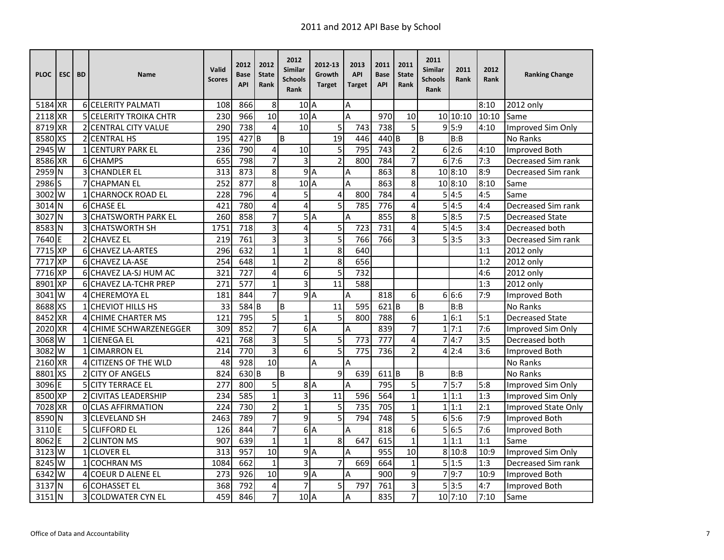| <b>PLOC</b>                | <b>ESC</b> | <b>BD</b>     | Name                           | Valid<br><b>Scores</b> | 2012<br>Base<br><b>API</b> | 2012<br><b>State</b><br>Rank | 2012<br><b>Similar</b><br><b>Schools</b><br>Rank | 2012-13<br>Growth<br><b>Target</b> | 2013<br><b>API</b><br><b>Target</b> | 2011<br><b>Base</b><br><b>API</b> | 2011<br><b>State</b><br>Rank | 2011<br><b>Similar</b><br><b>Schools</b><br>Rank | 2011<br>Rank | 2012<br><b>Rank</b> | <b>Ranking Change</b>      |
|----------------------------|------------|---------------|--------------------------------|------------------------|----------------------------|------------------------------|--------------------------------------------------|------------------------------------|-------------------------------------|-----------------------------------|------------------------------|--------------------------------------------------|--------------|---------------------|----------------------------|
| 5184 XR                    |            |               | <b>6ICELERITY PALMATI</b>      | 108                    | 866                        | 8                            | 10 <sub>A</sub>                                  |                                    | Α                                   |                                   |                              |                                                  |              | 8:10                | 2012 only                  |
| 2118 XR                    |            |               | <b>5 ICELERITY TROIKA CHTR</b> | 230                    | 966                        | 10                           | 10 <sub>A</sub>                                  |                                    | A                                   | 970                               | 10                           |                                                  | 10 10:10     | 10:10               | Same                       |
| 8719 XR                    |            |               | 2 CENTRAL CITY VALUE           | 290                    | 738                        | 4                            | 10                                               | 5                                  | 743                                 | 738                               | 5                            |                                                  | 9 5:9        | 4:10                | Improved Sim Only          |
| 8580 XS                    |            |               | <b>2 CENTRAL HS</b>            | 195                    | 427 <sub>B</sub>           |                              | B                                                | $\overline{19}$                    | 446                                 | 440 B                             |                              | B                                                | B:B          |                     | <b>No Ranks</b>            |
| 2945                       | W          |               | <b>CENTURY PARK EL</b>         | 236                    | 790                        | 4                            | 10                                               | 5                                  | 795                                 | 743                               | $\overline{2}$               |                                                  | 6 2:6        | 4:10                | Improved Both              |
| 8586 XR                    |            |               | 6 CHAMPS                       | 655                    | 798                        | $\overline{7}$               | 3                                                | $\overline{2}$                     | 800                                 | 784                               | 7                            |                                                  | 67:6         | 7:3                 | Decreased Sim rank         |
| 2959 N                     |            | 3             | <b>CHANDLER EL</b>             | 313                    | 873                        | 8                            |                                                  | 9A                                 | Α                                   | 863                               | 8                            |                                                  | 10 8:10      | 8:9                 | Decreased Sim rank         |
| 2986 S                     |            |               | <b>CHAPMAN EL</b>              | 252                    | 877                        | 8                            | 10 <sub>A</sub>                                  |                                    | A                                   | 863                               | 8                            |                                                  | 10 8:10      | 8:10                | Same                       |
| 3002 W                     |            |               | <b>1 ICHARNOCK ROAD EL</b>     | 228                    | 796                        | 4                            | 5                                                | 4                                  | 800                                 | 784                               | 4                            | 5                                                | 4:5          | 4:5                 | Same                       |
| 3014 N                     |            |               | <b>6</b> CHASE EL              | 421                    | 780                        | 4                            | 4                                                | 5                                  | 785                                 | 776                               | 4                            |                                                  | 5 4:5        | 4:4                 | Decreased Sim rank         |
| 3027                       | N          | 3             | <b>CHATSWORTH PARK EL</b>      | 260                    | 858                        | $\overline{7}$               |                                                  | 5A                                 | A                                   | 855                               | 8                            | 5                                                | 8:5          | 7:5                 | <b>Decreased State</b>     |
| 8583 N                     |            |               | <b>3ICHATSWORTH SH</b>         | 1751                   | 718                        | 3                            | 4                                                | 5                                  | 723                                 | 731                               | 4                            | 5                                                | 4:5          | 3:4                 | Decreased both             |
| 7640 E                     |            | 2             | <b>CHAVEZ EL</b>               | 219                    | 761                        | 3                            | 3                                                | 5                                  | 766                                 | 766                               | 3                            |                                                  | 513:5        | 3:3                 | Decreased Sim rank         |
| 7715 XP                    |            |               | 6 CHAVEZ LA-ARTES              | 296                    | 632                        | $\mathbf{1}$                 | $\overline{1}$                                   | 8                                  | 640                                 |                                   |                              |                                                  |              | 1:1                 | 2012 only                  |
| 7717 XP                    |            |               | <b>6ICHAVEZ LA-ASE</b>         | 254                    | 648                        | $\mathbf{1}$                 | $\overline{2}$                                   | 8                                  | 656                                 |                                   |                              |                                                  |              | 1:2                 | 2012 only                  |
| 7716 XP                    |            |               | 6 CHAVEZ LA-SJ HUM AC          | 321                    | 727                        | 4                            | 6                                                | 5                                  | 732                                 |                                   |                              |                                                  |              | 4:6                 | 2012 only                  |
| 8901                       | <b>XP</b>  |               | <b>6ICHAVEZ LA-TCHR PREP</b>   | 271                    | 577                        | $\mathbf 1$                  | 3                                                | 11                                 | 588                                 |                                   |                              |                                                  |              | 1:3                 | 2012 only                  |
| 3041                       | W          |               | <b>4ICHEREMOYA EL</b>          | 181                    | 844                        | $\overline{7}$               |                                                  | 9A                                 | Α                                   | 818                               | 6                            |                                                  | 6 6:6        | 7:9                 | Improved Both              |
| 8688 XS                    |            |               | <b>CHEVIOT HILLS HS</b>        | 33                     | 584 B                      |                              | B                                                | 11                                 | 595                                 | 621B                              |                              | B                                                | B:B          |                     | No Ranks                   |
| 8452 XR                    |            |               | <b>CHIME CHARTER MS</b>        | 121                    | 795                        | 5                            | $\mathbf{1}$                                     | 5                                  | 800                                 | 788                               | 6                            |                                                  | 16:1         | 5:1                 | <b>Decreased State</b>     |
| 2020 XR                    |            |               | 4 CHIME SCHWARZENEGGER         | 309                    | 852                        | $\overline{7}$               |                                                  | 6A                                 | Α                                   | 839                               | 7                            |                                                  | 1 7:1        | 7:6                 | Improved Sim Only          |
| 3068 W                     |            |               | 1 CIENEGA EL                   | 421                    | 768                        | 3                            | 5                                                | 5                                  | 773                                 | 777                               | 4                            | 7                                                | 4:7          | 3:5                 | Decreased both             |
| 3082                       | W          |               | <b>1 CIMARRON EL</b>           | 214                    | 770                        | 3                            | 6                                                | 5                                  | 775                                 | 736                               | $\overline{2}$               |                                                  | 4 2:4        | 3:6                 | Improved Both              |
| 2160 XR                    |            | 4             | <b>CITIZENS OF THE WLD</b>     | 48                     | 928                        | 10                           |                                                  | А                                  | Α                                   |                                   |                              |                                                  |              |                     | <b>No Ranks</b>            |
| 8801                       | <b>XS</b>  | $\mathcal{L}$ | <b>CITY OF ANGELS</b>          | 824                    | 630 <sub>B</sub>           |                              | B                                                | 9                                  | 639                                 | $611$ B                           |                              | B                                                | B:B          |                     | No Ranks                   |
| 3096 E                     |            |               | 5 CITY TERRACE EL              | 277                    | 800                        | 5                            |                                                  | 8A                                 | A                                   | 795                               | 5                            |                                                  | 5:7          | 5:8                 | Improved Sim Only          |
| 8500 XP                    |            |               | <b>2 CIVITAS LEADERSHIP</b>    | 234                    | 585                        | $\mathbf{1}$                 | 3                                                | 11                                 | 596                                 | 564                               | $\mathbf{1}$                 |                                                  | 1 1:1        | 1:3                 | Improved Sim Only          |
| 7028 XR                    |            |               | OCLAS AFFIRMATION              | 224                    | 730                        | $\overline{2}$               | $\mathbf{1}$                                     | 5                                  | 735                                 | 705                               | $\mathbf{1}$                 |                                                  | 1 1:1        | 2:1                 | <b>Improved State Only</b> |
| 8590 N                     |            |               | <b>3ICLEVELAND SH</b>          | 2463                   | 789                        | $\overline{7}$               | $\overline{9}$                                   | 5                                  | 794                                 | 748                               | 5                            |                                                  | 6!5:6        | 7:9                 | <b>Improved Both</b>       |
| 3110                       | F          |               | <b>5 CLIFFORD EL</b>           | 126                    | 844                        | $\overline{7}$               |                                                  | 6A                                 | Α                                   | 818                               | 6                            |                                                  | 5 6:5        | 7:6                 | Improved Both              |
| 8062 E                     |            |               | 2 CLINTON MS                   | 907                    | 639                        | $\mathbf{1}$                 | $\mathbf{1}$                                     | 8                                  | 647                                 | 615                               | $\mathbf{1}$                 |                                                  | 1 1:1        | 1:1                 | Same                       |
| $3123 \overline{\text{W}}$ |            |               | 1 CLOVER EL                    | 313                    | 957                        | $\overline{10}$              | 9                                                | A                                  | A                                   | 955                               | $\overline{10}$              |                                                  | 8 10:8       | 10:9                | Improved Sim Only          |
| 8245 W                     |            | 1             | <b>COCHRAN MS</b>              | 1084                   | 662                        | $\mathbf 1$                  | $\overline{3}$                                   | $\overline{7}$                     | 669                                 | 664                               | $\mathbf{1}$                 |                                                  | 5 1:5        | 1:3                 | Decreased Sim rank         |
| 6342 W                     |            |               | <b>4ICOEUR D ALENE EL</b>      | 273                    | 926                        | 10                           | 9A                                               |                                    | A                                   | 900                               | 9                            |                                                  | 79:7         | 10:9                | <b>Improved Both</b>       |
| 3137                       | N          |               | 6 COHASSET EL                  | 368                    | 792                        | 4                            | 7                                                | 5                                  | 797                                 | 761                               | 3                            |                                                  | 5 3:5        | 4:7                 | Improved Both              |
| 3151                       | ΙN         |               | 3 COLDWATER CYN EL             | 459                    | 846                        | $\overline{7}$               | 10A                                              |                                    | A                                   | 835                               | $\overline{7}$               |                                                  | 10 7:10      | 7:10                | Same                       |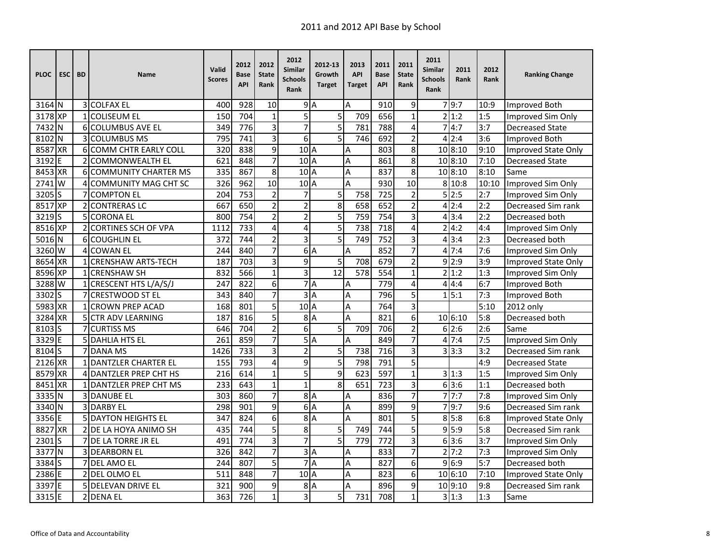| <b>PLOC</b>       | <b>ESC</b> | <b>BD</b> | Name                          | Valid<br><b>Scores</b> | 2012<br>Base<br><b>API</b> | 2012<br><b>State</b><br>Rank | 2012<br>Similar<br><b>Schools</b><br>Rank | 2012-13<br>Growth<br><b>Target</b> | 2013<br><b>API</b><br><b>Target</b> | 2011<br><b>Base</b><br><b>API</b> | 2011<br><b>State</b><br>Rank | 2011<br><b>Similar</b><br><b>Schools</b><br>Rank | 2011<br>Rank | 2012<br>Rank | <b>Ranking Change</b>      |
|-------------------|------------|-----------|-------------------------------|------------------------|----------------------------|------------------------------|-------------------------------------------|------------------------------------|-------------------------------------|-----------------------------------|------------------------------|--------------------------------------------------|--------------|--------------|----------------------------|
| 3164 N            |            |           | 3 COLFAX EL                   | 400                    | 928                        | 10                           |                                           | 9A                                 | A                                   | 910                               | 9                            |                                                  | 79:7         | 10:9         | Improved Both              |
| 3178 XP           |            |           | 1 COLISEUM EL                 | 150                    | 704                        | $\mathbf{1}$                 | 5                                         | 5                                  | 709                                 | 656                               | $\mathbf{1}$                 |                                                  | 2 1:2        | 1:5          | Improved Sim Only          |
| 7432 N            |            |           | 6 COLUMBUS AVE EL             | 349                    | 776                        | 3                            | $\overline{7}$                            | $\overline{5}$                     | 781                                 | 788                               | 4                            |                                                  | 74:7         | 3:7          | <b>Decreased State</b>     |
| 8102              | IΝ         |           | <b>COLUMBUS MS</b>            | 795                    | 741                        | 3                            | 6                                         | $\overline{5}$                     | 746                                 | 692                               | $\overline{2}$               |                                                  | 4 2:4        | 3:6          | <b>Improved Both</b>       |
| 8587              | <b>XR</b>  | 6         | <b>COMM CHTR EARLY COLL</b>   | 320                    | 838                        | 9                            | 10 <sub>A</sub>                           |                                    | A                                   | 803                               | 8                            |                                                  | 10 8:10      | 9:10         | Improved State Only        |
| 3192              | E          |           | <b>COMMONWEALTH EL</b>        | 621                    | 848                        | 7                            | 10 <sub>A</sub>                           |                                    | A                                   | 861                               | 8                            |                                                  | 10 8:10      | 7:10         | <b>Decreased State</b>     |
| 8453 XR           |            |           | <b>6 COMMUNITY CHARTER MS</b> | 335                    | 867                        | 8                            | 10A                                       |                                    | A                                   | 837                               | $\overline{8}$               |                                                  | 10 8:10      | 8:10         | Same                       |
| 2741 W            |            | 4         | <b>COMMUNITY MAG CHT SC</b>   | 326                    | 962                        | $\overline{10}$              | 10A                                       |                                    | A                                   | 930                               | 10                           |                                                  | 8 10:8       | 10:10        | Improved Sim Only          |
| $3205$ S          |            |           | <b>COMPTON EL</b>             | 204                    | 753                        | $\overline{2}$               | $\overline{7}$                            | $\overline{5}$                     | 758                                 | $\overline{725}$                  | $\overline{c}$               |                                                  | 5 2:5        | 2:7          | Improved Sim Only          |
| 8517 XP           |            | 2         | <b>CONTRERAS LC</b>           | 667                    | 650                        | $\overline{2}$               | $\overline{2}$                            | 8                                  | 658                                 | 652                               | $\overline{2}$               |                                                  | 4 2:4        | 2:2          | Decreased Sim rank         |
| 3219 <sub>s</sub> |            |           | <b>5 CORONA EL</b>            | 800                    | 754                        | $\overline{2}$               | $\overline{c}$                            | 5                                  | 759                                 | 754                               | 3                            |                                                  | 4 3:4        | 2:2          | Decreased both             |
| 8516 XP           |            |           | 2 CORTINES SCH OF VPA         | 1112                   | 733                        | $\overline{a}$               | 4                                         | 5                                  | 738                                 | 718                               | 4                            |                                                  | 2 4:2        | 4:4          | Improved Sim Only          |
| 5016 N            |            |           | <b>6</b> COUGHLIN EL          | 372                    | 744                        | $\overline{2}$               | 3                                         | 5                                  | 749                                 | 752                               | 3                            |                                                  | 4 3:4        | 2:3          | Decreased both             |
| 3260 W            |            |           | 4 COWAN EL                    | 244                    | 840                        | $\overline{7}$               |                                           | 6A                                 | A                                   | 852                               | 7                            |                                                  | 47:4         | 7:6          | Improved Sim Only          |
| 8654 XR           |            |           | 1 CRENSHAW ARTS-TECH          | 187                    | 703                        | $\overline{3}$               | 9                                         | $\overline{5}$                     | 708                                 | 679                               | $\overline{2}$               |                                                  | 9 2:9        | 3:9          | Improved State Only        |
| 8596 XP           |            |           | 1 CRENSHAW SH                 | 832                    | 566                        | $\mathbf{1}$                 | $\overline{\mathbf{3}}$                   | 12                                 | 578                                 | 554                               | $\mathbf{1}$                 |                                                  | 2 1:2        | 1:3          | Improved Sim Only          |
| 3288 W            |            |           | 1 CRESCENT HTS L/A/S/J        | 247                    | 822                        | 6                            |                                           | 7A                                 | A                                   | 779                               | 4                            |                                                  | 4 4:4        | 6:7          | <b>Improved Both</b>       |
| 3302              | S          |           | <b>CRESTWOOD ST EL</b>        | 343                    | 840                        | 7                            | Ψ                                         | ΙA                                 | Α                                   | 796                               | 5                            |                                                  | 1 5:1        | 7:3          | Improved Both              |
| 5983 XR           |            |           | <b>CROWN PREP ACAD</b>        | 168                    | 801                        | 5                            | 10A                                       |                                    | A                                   | 764                               | 3                            |                                                  |              | 5:10         | 2012 only                  |
| 3284 XR           |            |           | 5 CTR ADV LEARNING            | 187                    | 816                        | 5                            |                                           | 8A                                 | A                                   | 821                               | 6                            |                                                  | 10 6:10      | 5:8          | Decreased both             |
| 8103S             |            | 7         | <b>CURTISS MS</b>             | 646                    | 704                        | $\overline{2}$               | 6                                         | 5                                  | 709                                 | 706                               | $\overline{2}$               |                                                  | 6 2:6        | 2:6          | Same                       |
| 3329E             |            |           | <b>5 DAHLIA HTS EL</b>        | 261                    | 859                        | $\overline{7}$               |                                           | 5A                                 | A                                   | 849                               | 7                            |                                                  | 47:4         | 7:5          | Improved Sim Only          |
| 8104 <sub>S</sub> |            |           | <b>7 DANA MS</b>              | 1426                   | 733                        | 3                            | $\overline{2}$                            | 5                                  | 738                                 | 716                               | $\overline{3}$               |                                                  | 3 3:3        | 3:2          | Decreased Sim rank         |
| 2126 XR           |            |           | <b>1 DANTZLER CHARTER EL</b>  | 155                    | 793                        | 4                            | 9                                         | 5                                  | 798                                 | 791                               | 5                            |                                                  |              | 4:9          | <b>Decreased State</b>     |
| 8579 XR           |            | 4         | <b>DANTZLER PREP CHT HS</b>   | 216                    | 614                        | $\mathbf{1}$                 | 5                                         | 9                                  | 623                                 | 597                               | $\mathbf{1}$                 |                                                  | 31:3         | 1:5          | Improved Sim Only          |
| 8451 XR           |            |           | 1 DANTZLER PREP CHT MS        | 233                    | 643                        | $\mathbf{1}$                 | $\mathbf{1}$                              | 8                                  | 651                                 | 723                               | $\overline{3}$               |                                                  | 63:6         | 1:1          | Decreased both             |
| 3335 N            |            |           | <b>3IDANUBE EL</b>            | 303                    | 860                        | $\overline{7}$               |                                           | 8A                                 | A                                   | 836                               | 7                            |                                                  | 77:7         | 7:8          | Improved Sim Only          |
| 3340 N            |            |           | <b>3 DARBY EL</b>             | 298                    | $\overline{901}$           | $\overline{9}$               |                                           | 6A                                 | A                                   | 899                               | $\overline{9}$               |                                                  | 79:7         | 9:6          | Decreased Sim rank         |
| 3356 E            |            |           | 5 DAYTON HEIGHTS EL           | 347                    | 824                        | 6                            |                                           | 8A                                 | A                                   | 801                               | $\overline{5}$               |                                                  | 8 5:8        | 6:8          | <b>Improved State Only</b> |
| 8827              | <b>XR</b>  |           | 2 DE LA HOYA ANIMO SH         | 435                    | 744                        | 5                            | 8                                         | 5                                  | 749                                 | 744                               | 5                            |                                                  | 9 5:9        | 5:8          | Decreased Sim rank         |
| 2301              | ls         |           | DE LA TORRE JR EL             | 491                    | 774                        | 3                            | $\overline{7}$                            | $\overline{5}$                     | 779                                 | 772                               | $\overline{3}$               |                                                  | 6 3:6        | 3:7          | Improved Sim Only          |
| 3377              | IΝ         |           | <b>3 DEARBORN EL</b>          | 326                    | 842                        | 7                            |                                           | 3A                                 | Α                                   | 833                               | 7                            |                                                  | 2 7:2        | 7:3          | Improved Sim Only          |
| 3384S             |            |           | 7 DEL AMO EL                  | 244                    | 807                        | 5                            |                                           | 7A                                 | Α                                   | 827                               | 6                            |                                                  | 96:9         | 5:7          | Decreased both             |
| 2386 E            |            |           | 2 DEL OLMO EL                 | 511                    | 848                        | $\overline{7}$               | $102$ A                                   |                                    | A                                   | 823                               | 6                            |                                                  | 10 6:10      | 7:10         | Improved State Only        |
| 3397 E            |            |           | <b>5 DELEVAN DRIVE EL</b>     | 321                    | 900                        | 9                            |                                           | 8A                                 | A                                   | 896                               | 9                            |                                                  | 10 9:10      | 9:8          | Decreased Sim rank         |
| 3315 E            |            |           | 2 DENA EL                     | 363                    | 726                        | $\mathbf{1}$                 | $\overline{3}$                            | 5                                  | 731                                 | 708                               | $\mathbf{1}$                 |                                                  | 3 1:3        | 1:3          | Same                       |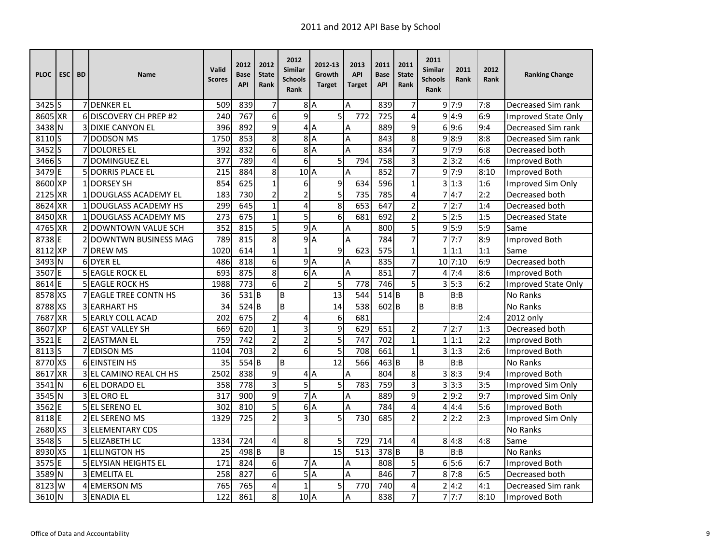| <b>PLOC</b>        | <b>ESC</b> | <b>BD</b> | <b>Name</b>                   | Valid<br><b>Scores</b> | 2012<br>Base<br><b>API</b> | 2012<br><b>State</b><br>Rank | 2012<br>Similar<br><b>Schools</b><br>Rank | 2012-13<br>Growth<br><b>Target</b> | 2013<br><b>API</b><br><b>Target</b> | 2011<br><b>Base</b><br><b>API</b> | 2011<br><b>State</b><br>Rank | 2011<br>Similar<br><b>Schools</b><br>Rank | 2011<br>Rank | 2012<br>Rank | <b>Ranking Change</b>      |
|--------------------|------------|-----------|-------------------------------|------------------------|----------------------------|------------------------------|-------------------------------------------|------------------------------------|-------------------------------------|-----------------------------------|------------------------------|-------------------------------------------|--------------|--------------|----------------------------|
| $3425$ S           |            |           | <b>7 DENKER EL</b>            | 509                    | 839                        | $\overline{7}$               |                                           | 8A                                 | Α                                   | 839                               | 7                            |                                           | 9 7:9        | 7:8          | Decreased Sim rank         |
| 8605 XR            |            |           | 6 DISCOVERY CH PREP #2        | 240                    | 767                        | 6                            | $\overline{9}$                            | 5                                  | 772                                 | 725                               | 4                            |                                           | 9 4:9        | 6:9          | Improved State Only        |
| 3438 N             |            |           | <b>3 DIXIE CANYON EL</b>      | 396                    | 892                        | 9                            |                                           | 4A                                 | Α                                   | 889                               | 9                            |                                           | 6 9:6        | 9:4          | Decreased Sim rank         |
| 8110 <sub>S</sub>  |            |           | <b>DODSON MS</b>              | 1750                   | 853                        | 8                            |                                           | 8A                                 | A                                   | 843                               | 8                            |                                           | 9 8:9        | 8:8          | Decreased Sim rank         |
| 3452S              |            |           | <b>7 DOLORES EL</b>           | 392                    | 832                        | 6                            |                                           | 8A                                 | A                                   | 834                               | 7                            |                                           | 9'7:9        | 6:8          | Decreased both             |
| 3466 S             |            |           | <b>7IDOMINGUEZ EL</b>         | $\overline{377}$       | 789                        | 4                            | $\overline{6}$                            | 5                                  | 794                                 | 758                               | 3                            | $\overline{2}$                            | 3:2          | 4:6          | <b>Improved Both</b>       |
| 3479 E             |            |           | <b>5IDORRIS PLACE EL</b>      | 215                    | 884                        | $\overline{8}$               | 10A                                       |                                    | A                                   | 852                               | 7                            |                                           | 9'7:9        | 8:10         | <b>Improved Both</b>       |
| 8600 XP            |            |           | 1 DORSEY SH                   | 854                    | 625                        | $\mathbf 1$                  | 6                                         | 9                                  | 634                                 | 596                               | $\mathbf{1}$                 | 3                                         | 1:3          | 1:6          | Improved Sim Only          |
| 2125 XR            |            |           | 1 DOUGLASS ACADEMY EL         | 183                    | 730                        | $\overline{2}$               | $\overline{c}$                            | $\overline{5}$                     | 735                                 | 785                               | 4                            |                                           | 74:7         | 2:2          | Decreased both             |
| 8624 XR            |            |           | 1 DOUGLASS ACADEMY HS         | 299                    | 645                        | $\mathbf 1$                  | 4                                         | 8                                  | 653                                 | 647                               | $\overline{2}$               | 7                                         | 2:7          | 1:4          | Decreased both             |
| 8450 XR            |            |           | DOUGLASS ACADEMY MS           | 273                    | 675                        | $\mathbf{1}$                 | 5                                         | 6                                  | 681                                 | 692                               | $\overline{2}$               |                                           | 5 2:5        | 1:5          | <b>Decreased State</b>     |
| 4765 XR            |            |           | <b>2IDOWNTOWN VALUE SCH</b>   | 352                    | 815                        | 5                            |                                           | 9A                                 | A                                   | 800                               | 5                            |                                           | 9 5:9        | 5:9          | Same                       |
| 8738 E             |            |           | 2 DOWNTWN BUSINESS MAG        | 789                    | 815                        | 8                            | $\mathsf{g}$                              | ΙA                                 | А                                   | 784                               | $\overline{7}$               |                                           | 77:7         | 8:9          | Improved Both              |
| 8112 XP            |            |           | 7 DREW MS                     | 1020                   | 614                        | $\mathbf{1}$                 | $\overline{1}$                            | 9                                  | 623                                 | 575                               | $\mathbf{1}$                 | $\mathbf{1}$                              | 1:1          | 1:1          | Same                       |
| 3493 N             |            |           | 6 DYER EL                     | 486                    | 818                        | 6                            |                                           | 9A                                 | Α                                   | 835                               | 7                            |                                           | $10$ 7:10    | 6:9          | Decreased both             |
| 3507               | ΙE         |           | <b>5 EAGLE ROCK EL</b>        | 693                    | 875                        | 8                            |                                           | 6A                                 | A                                   | 851                               | $\overline{7}$               |                                           | 47:4         | 8:6          | Improved Both              |
| 8614 E             |            |           | <b>5 EAGLE ROCK HS</b>        | 1988                   | 773                        | 6                            | $\overline{c}$                            | 5                                  | 778                                 | 746                               | 5                            |                                           | 3 5:3        | 6:2          | <b>Improved State Only</b> |
| 8578 XS            |            |           | <b>7 JEAGLE TREE CONTN HS</b> | 36                     | 531B                       |                              | В                                         | $\overline{13}$                    | 544                                 | 514B                              |                              | B                                         | B:B          |              | No Ranks                   |
| 8788 XS            |            |           | <b>3 EARHART HS</b>           | 34                     | 524 B                      |                              | $\overline{B}$                            | 14                                 | 538                                 | $602$ <sub>B</sub>                |                              | B                                         | B:B          |              | No Ranks                   |
| 7687 XR            |            |           | <b>5 EARLY COLL ACAD</b>      | 202                    | 675                        | $\overline{2}$               | 4                                         | 6                                  | 681                                 |                                   |                              |                                           |              | 2:4          | 2012 only                  |
| 8607 XP            |            |           | 6 EAST VALLEY SH              | 669                    | 620                        | $\mathbf{1}$                 | 3                                         | 9                                  | 629                                 | 651                               | $\overline{2}$               |                                           | 2:7          | 1:3          | Decreased both             |
| 3521               | ΙE         |           | 2 EASTMAN EL                  | 759                    | 742                        | $\overline{2}$               | $\overline{c}$                            | 5                                  | 747                                 | 702                               | $\mathbf{1}$                 |                                           | 1 1:1        | 2:2          | Improved Both              |
| 8113 <sub>IS</sub> |            |           | 7 EDISON MS                   | 1104                   | 703                        | $\overline{2}$               | 6                                         | 5                                  | 708                                 | 661                               | $\mathbf{1}$                 |                                           | 3 1:3        | 2:6          | Improved Both              |
| 8770 XS            |            |           | 6 EINSTEIN HS                 | 35                     | 554 B                      |                              | B                                         | 12                                 | 566                                 | 463 B                             |                              | B                                         | B:B          |              | <b>No Ranks</b>            |
| 8617 XR            |            |           | 3 EL CAMINO REAL CH HS        | 2502                   | 838                        | 9                            |                                           | 4A                                 | A                                   | 804                               | 8                            |                                           | 3 8:3        | 9:4          | <b>Improved Both</b>       |
| 3541 N             |            |           | 6 EL DORADO EL                | 358                    | 778                        | $\overline{3}$               | 5                                         | 5                                  | 783                                 | 759                               | 3                            |                                           | 3 3:3        | 3:5          | Improved Sim Only          |
| 3545 N             |            |           | 3 EL ORO EL                   | 317                    | 900                        | 9                            |                                           | 7A                                 | Α                                   | 889                               | 9                            |                                           | 2 9:2        | 9:7          | Improved Sim Only          |
| 3562               | l E        |           | 5 EL SERENO EL                | 302                    | 810                        | 5                            |                                           | 6A                                 | A                                   | 784                               | 4                            | 4                                         | 4:4          | 5:6          | Improved Both              |
| 8118E              |            |           | 2 EL SERENO MS                | 1329                   | $\overline{725}$           | $\mathbf 2$                  | 3                                         | 5                                  | 730                                 | 685                               | $\overline{2}$               |                                           | 2 2:2        | 2:3          | Improved Sim Only          |
| 2680 XS            |            |           | <b>3 ELEMENTARY CDS</b>       |                        |                            |                              |                                           |                                    |                                     |                                   |                              |                                           |              |              | <b>No Ranks</b>            |
| 3548 S             |            |           | 5 ELIZABETH LC                | 1334                   | 724                        | 4                            | 8                                         | 5                                  | 729                                 | 714                               | 4                            |                                           | 8 4:8        | 4:8          | Same                       |
| 8930 XS            |            |           | 1 ELLINGTON HS                | 25                     | 498 <sub>B</sub>           |                              | B                                         | $\overline{15}$                    | 513                                 | 378 B                             |                              | B                                         | B:B          |              | No Ranks                   |
| 3575 E             |            |           | 5 ELYSIAN HEIGHTS EL          | 171                    | 824                        | 6                            |                                           | 7A                                 | Α                                   | 808                               | 5                            |                                           | 65:6         | 6:7          | Improved Both              |
| 3589 N             |            |           | 3 EMELITA EL                  | 258                    | 827                        | 6                            |                                           | 5A                                 | A                                   | 846                               | $\overline{7}$               |                                           | 8 7:8        | 6:5          | Decreased both             |
| 8123               | l W        |           | 4 EMERSON MS                  | 765                    | 765                        | 4                            | $\mathbf{1}$                              | 5                                  | 770                                 | 740                               | 4                            | $\overline{2}$                            | 4:2          | 4:1          | Decreased Sim rank         |
| 3610 N             |            |           | <b>3 ENADIA EL</b>            | 122                    | 861                        | 8                            | 10 A                                      |                                    | A                                   | 838                               | 7                            |                                           | 7!7:7        | 8:10         | Improved Both              |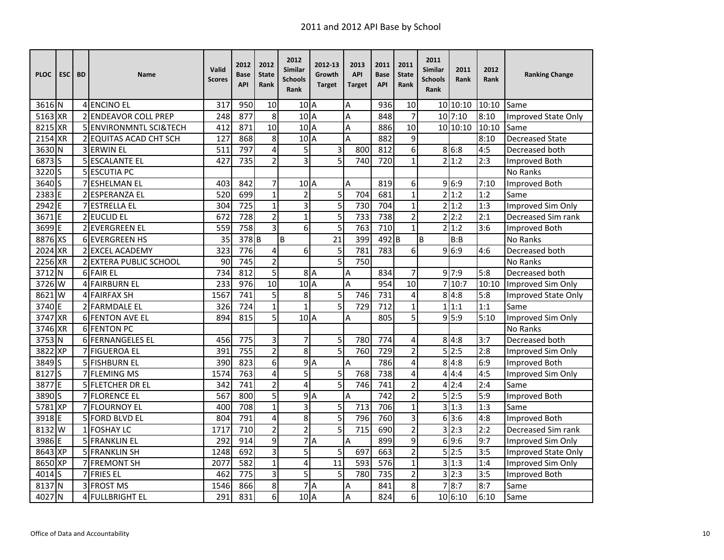| <b>PLOC</b>       | <b>ESC</b> | <b>BD</b> | <b>Name</b>                   | Valid<br><b>Scores</b> | 2012<br><b>Base</b><br><b>API</b> | 2012<br><b>State</b><br>Rank | 2012<br>Similar<br><b>Schools</b><br>Rank | 2012-13<br>Growth<br><b>Target</b> | 2013<br><b>API</b><br><b>Target</b> | 2011<br><b>Base</b><br><b>API</b> | 2011<br><b>State</b><br>Rank | 2011<br><b>Similar</b><br><b>Schools</b><br>Rank | 2011<br>Rank | 2012<br>Rank | <b>Ranking Change</b>  |
|-------------------|------------|-----------|-------------------------------|------------------------|-----------------------------------|------------------------------|-------------------------------------------|------------------------------------|-------------------------------------|-----------------------------------|------------------------------|--------------------------------------------------|--------------|--------------|------------------------|
| 3616 N            |            |           | 4 ENCINO EL                   | 317                    | 950                               | 10                           | $102$ A                                   |                                    | A                                   | 936                               | 10                           |                                                  | 10 10:10     | 10:10        | Same                   |
| 5163 XR           |            |           | <b>2 ENDEAVOR COLL PREP</b>   | 248                    | 877                               | 8                            | 10A                                       |                                    | A                                   | 848                               | $\overline{7}$               |                                                  | $10$ 7:10    | 8:10         | Improved State Only    |
| 8215 XR           |            |           | 5 ENVIRONMNTL SCI&TECH        | 412                    | 871                               | $\overline{10}$              | 10A                                       |                                    | Α                                   | 886                               | $\overline{10}$              |                                                  | 10 10:10     | 10:10        | Same                   |
| 2154              | <b>XR</b>  |           | 2 EQUITAS ACAD CHT SCH        | 127                    | 868                               | 8                            | 10 <sub>A</sub>                           |                                    | A                                   | 882                               | 9                            |                                                  |              | 8:10         | <b>Decreased State</b> |
| 3630              | N          |           | <b>3 ERWIN EL</b>             | 511                    | 797                               | 4                            | 5                                         | 3                                  | 800                                 | 812                               | 6                            |                                                  | 8 6:8        | 4:5          | Decreased both         |
| 6873              | S          |           | <b>5 ESCALANTE EL</b>         | 427                    | 735                               | $\overline{2}$               | 3                                         | $\overline{5}$                     | 740                                 | 720                               | $\mathbf{1}$                 |                                                  | 2 1:2        | 2:3          | <b>Improved Both</b>   |
| 3220 S            |            |           | 5 ESCUTIA PC                  |                        |                                   |                              |                                           |                                    |                                     |                                   |                              |                                                  |              |              | No Ranks               |
| 3640 S            |            |           | <b>7 ESHELMAN EL</b>          | 403                    | 842                               | $\overline{7}$               | $10$ <sup>A</sup>                         |                                    | A                                   | 819                               | 6                            |                                                  | 9 6:9        | 7:10         | <b>Improved Both</b>   |
| $2383$ E          |            |           | 2 ESPERANZA EL                | 520                    | 699                               | $\mathbf{1}$                 | $\overline{c}$                            | 5                                  | 704                                 | 681                               | $\mathbf 1$                  |                                                  | 2 1:2        | 1:2          | Same                   |
| 2942 E            |            |           | <b>ESTRELLA EL</b>            | 304                    | 725                               | $\mathbf 1$                  | 3                                         | 5                                  | 730                                 | 704                               | $\mathbf 1$                  |                                                  | 2 1:2        | 1:3          | Improved Sim Only      |
| 3671E             |            |           | 2 EUCLID EL                   | 672                    | 728                               | $\overline{2}$               | $\overline{1}$                            | 5                                  | 733                                 | 738                               | $\overline{2}$               |                                                  | 2 2:2        | 2:1          | Decreased Sim rank     |
| 3699 E            |            |           | <b>2 EVERGREEN EL</b>         | 559                    | 758                               | 3                            | 6                                         | 5                                  | 763                                 | 710                               | $\mathbf{1}$                 |                                                  | 2 1:2        | 3:6          | <b>Improved Both</b>   |
| 8876 XS           |            |           | <b>6 EVERGREEN HS</b>         | 35                     | $378$ B                           |                              | B                                         | 21                                 | 399                                 | 492B                              |                              | B                                                | B:B          |              | No Ranks               |
| 2024 XR           |            |           | 2 EXCEL ACADEMY               | 323                    | 776                               | 4                            | 6                                         | 5                                  | 781                                 | 783                               | 6                            |                                                  | 9 6:9        | 4:6          | Decreased both         |
| 2256 XR           |            |           | <b>2 EXTERA PUBLIC SCHOOL</b> | 90                     | 745                               | $\overline{2}$               |                                           | 5                                  | 750                                 |                                   |                              |                                                  |              |              | No Ranks               |
| 3712              | N          |           | 6 FAIR EL                     | 734                    | 812                               | 5                            |                                           | 8A                                 | Α                                   | 834                               | 7                            |                                                  | 9'7:9        | 5:8          | Decreased both         |
| 3726              | W          |           | 4 FAIRBURN EL                 | 233                    | 976                               | 10                           | $102$ A                                   |                                    | A                                   | 954                               | 10                           | $\overline{7}$                                   | 10:7         | 10:10        | Improved Sim Only      |
| 8621              | W          |           | 4 FAIRFAX SH                  | 1567                   | 741                               | 5                            | 8                                         | 5                                  | 746                                 | 731                               | 4                            | 8                                                | 4:8          | 5:8          | Improved State Only    |
| 3740 E            |            |           | 2 FARMDALE EL                 | 326                    | 724                               | $\mathbf 1$                  | $\overline{1}$                            | $\overline{5}$                     | 729                                 | 712                               | $\mathbf 1$                  |                                                  | 1 1:1        | 1:1          | Same                   |
| 3747 XR           |            |           | 6 FENTON AVE EL               | 894                    | 815                               | $\overline{5}$               | $102$ A                                   |                                    | A                                   | 805                               | 5                            |                                                  | 9 5:9        | 5:10         | Improved Sim Only      |
| 3746 XR           |            |           | <b>6 FENTON PC</b>            |                        |                                   |                              |                                           |                                    |                                     |                                   |                              |                                                  |              |              | <b>No Ranks</b>        |
| 3753 N            |            |           | 6 FERNANGELES EL              | 456                    | 775                               | 3                            | 7                                         | 5                                  | 780                                 | 774                               | 4                            |                                                  | 8 4:8        | 3:7          | Decreased both         |
| 3822              | <b>XP</b>  |           | 7 FIGUEROA EL                 | 391                    | 755                               | $\overline{2}$               | 8                                         | 5                                  | 760                                 | 729                               | $\overline{2}$               |                                                  | 5 2:5        | 2:8          | Improved Sim Only      |
| 3849              | S          |           | 5 FISHBURN EL                 | 390                    | 823                               | 6                            |                                           | 9A                                 | Α                                   | 786                               | 4                            | 8                                                | 4:8          | 6:9          | Improved Both          |
| 8127S             |            |           | 7 FLEMING MS                  | 1574                   | 763                               | 4                            | 5                                         | 5                                  | 768                                 | 738                               | 4                            | 4                                                | 4:4          | 4:5          | Improved Sim Only      |
| 3877E             |            |           | <b>5 FLETCHER DR EL</b>       | 342                    | 741                               | $\overline{2}$               | 4                                         | $\overline{5}$                     | 746                                 | 741                               | $\overline{c}$               |                                                  | 4 2:4        | 2:4          | Same                   |
| 3890 S            |            |           | <b>7 FLORENCE EL</b>          | 567                    | 800                               | 5                            |                                           | 9A                                 | A                                   | 742                               | $\overline{2}$               |                                                  | 5 2:5        | 5:9          | Improved Both          |
| 5781 XP           |            |           | 7 FLOURNOY EL                 | 400                    | 708                               | $\mathbf{1}$                 | $\overline{3}$                            | 5                                  | 713                                 | 706                               | $\mathbf{1}$                 |                                                  | 31:3         | 1:3          | Same                   |
| 3918 E            |            |           | 5 FORD BLVD EL                | 804                    | 791                               | 4                            | 8                                         | $\overline{5}$                     | 796                                 | 760                               | $\overline{3}$               |                                                  | 613:6        | 4:8          | Improved Both          |
| 8132              | W          |           | 1 FOSHAY LC                   | 1717                   | 710                               | $\overline{2}$               | $\overline{c}$                            | 5                                  | 715                                 | 690                               | $\overline{2}$               | 3                                                | 2:3          | 2:2          | Decreased Sim rank     |
| 3986 E            |            |           | 5 FRANKLIN EL                 | 292                    | 914                               | 9                            |                                           | 7A                                 | A                                   | 899                               | 9                            |                                                  | 69:6         | 9:7          | Improved Sim Only      |
| 8643 XP           |            |           | <b>5 FRANKLIN SH</b>          | 1248                   | 692                               | 3                            | $\overline{5}$                            | 5                                  | 697                                 | 663                               | $\overline{2}$               |                                                  | 5 2:5        | 3:5          | Improved State Only    |
| 8650 XP           |            |           | 7 FREMONT SH                  | 2077                   | 582                               | $\mathbf{1}$                 | 4                                         | 11                                 | 593                                 | 576                               | $\mathbf{1}$                 | 3                                                | 1:3          | 1:4          | Improved Sim Only      |
| 4014 <sub>S</sub> |            |           | 7 FRIES EL                    | 462                    | 775                               | $\overline{3}$               | 5                                         | 5                                  | 780                                 | 735                               | $\overline{2}$               |                                                  | 3 2:3        | 3:5          | Improved Both          |
| 8137              | ΙN         |           | 3 FROST MS                    | 1546                   | 866                               | 8                            | $\overline{7}$                            | ΙA                                 | Α                                   | 841                               | 8                            |                                                  | 8:7          | 8:7          | Same                   |
| 4027              | N          |           | 4 FULLBRIGHT EL               | 291                    | 831                               | 6                            | $102$ A                                   |                                    | A                                   | 824                               | 6                            |                                                  | 10 6:10      | 6:10         | Same                   |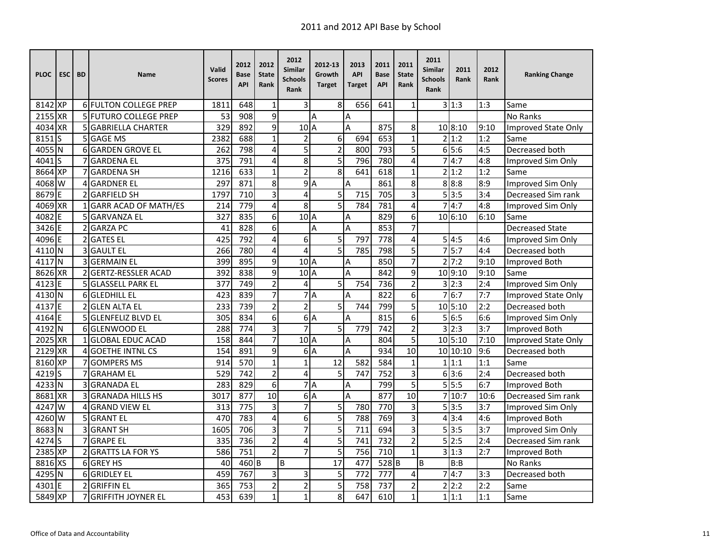| <b>PLOC</b> | <b>ESC</b> | <b>BD</b>      | Name                         | Valid<br><b>Scores</b> | 2012<br>Base<br><b>API</b> | 2012<br><b>State</b><br>Rank | 2012<br>Similar<br><b>Schools</b><br>Rank | 2012-13<br>Growth<br><b>Target</b> | 2013<br><b>API</b><br>Target | 2011<br><b>Base</b><br><b>API</b> | 2011<br><b>State</b><br>Rank | 2011<br><b>Similar</b><br><b>Schools</b><br>Rank | 2011<br>Rank | 2012<br>Rank | <b>Ranking Change</b>      |
|-------------|------------|----------------|------------------------------|------------------------|----------------------------|------------------------------|-------------------------------------------|------------------------------------|------------------------------|-----------------------------------|------------------------------|--------------------------------------------------|--------------|--------------|----------------------------|
| 8142 XP     |            |                | 6 FULTON COLLEGE PREP        | 1811                   | 648                        | $\mathbf{1}$                 | 3                                         | 8                                  | 656                          | 641                               | $\mathbf{1}$                 |                                                  | 3 1:3        | 1:3          | Same                       |
| 2155 XR     |            |                | <b>5 FUTURO COLLEGE PREP</b> | 53                     | 908                        | 9                            |                                           | Α                                  | $\overline{A}$               |                                   |                              |                                                  |              |              | No Ranks                   |
| 4034 XR     |            |                | 5 GABRIELLA CHARTER          | 329                    | 892                        | 9                            | 10A                                       |                                    | $\overline{A}$               | 875                               | 8                            |                                                  | 10 8:10      | 9:10         | <b>Improved State Only</b> |
| 8151        | S          |                | 5 GAGE MS                    | 2382                   | 688                        | $\mathbf 1$                  | $\overline{c}$                            | 6                                  | 694                          | 653                               | $\mathbf{1}$                 |                                                  | 2 1:2        | 1:2          | Same                       |
| 4055        | N          |                | 6 GARDEN GROVE EL            | 262                    | 798                        | $\overline{\mathbf{4}}$      | 5                                         | $\overline{2}$                     | 800                          | 793                               | 5                            |                                                  | 65:6         | 4:5          | Decreased both             |
| 4041        | lS         |                | <b>GARDENA EL</b>            | 375                    | 791                        | 4                            | 8                                         | 5                                  | 796                          | 780                               | 4                            |                                                  | 7 4:7        | 4:8          | Improved Sim Only          |
| 8664 XP     |            |                | <b>GARDENA SH</b>            | 1216                   | $\overline{633}$           | $\mathbf{1}$                 | $\overline{2}$                            | $\overline{8}$                     | 641                          | 618                               | $\mathbf{1}$                 |                                                  | 2 1:2        | 1:2          | Same                       |
| 4068 W      |            |                | <b>GARDNER EL</b>            | 297                    | 871                        | 8                            |                                           | 9A                                 | $\overline{A}$               | 861                               | 8                            |                                                  | 8 8:8        | 8:9          | Improved Sim Only          |
| 8679 E      |            |                | 2 GARFIELD SH                | 1797                   | 710                        | 3                            | 4                                         | $\overline{5}$                     | 715                          | 705                               | 3                            |                                                  | 5 3:5        | 3:4          | Decreased Sim rank         |
| 4069 XR     |            |                | <b>GARR ACAD OF MATH/ES</b>  | 214                    | 779                        | 4                            | 8                                         | 5                                  | 784                          | 781                               | 4                            |                                                  | 7 4:7        | 4:8          | Improved Sim Only          |
| 4082        | E          |                | 5 GARVANZA EL                | 327                    | 835                        | 6                            | $102$ A                                   |                                    | A                            | 829                               | 6                            |                                                  | 10 6:10      | 6:10         | Same                       |
| 3426 E      |            |                | 2 GARZA PC                   | 41                     | 828                        | 6                            |                                           | A                                  | A                            | 853                               | 7                            |                                                  |              |              | <b>Decreased State</b>     |
| 4096 E      |            | $\overline{2}$ | <b>GATES EL</b>              | 425                    | 792                        | $\overline{\mathbf{4}}$      | 6                                         | 5                                  | 797                          | 778                               | 4                            |                                                  | 5 4:5        | 4:6          | Improved Sim Only          |
| 4110 N      |            |                | <b>GAULT EL</b>              | 266                    | 780                        | 4                            | 4                                         | 5                                  | 785                          | 798                               | 5                            |                                                  | 75:7         | 4:4          | Decreased both             |
| 4117 N      |            |                | 3 GERMAIN EL                 | 399                    | 895                        | $\overline{9}$               | 10 <sub>A</sub>                           |                                    | A                            | 850                               | $\overline{7}$               |                                                  | 2 7:2        | 9:10         | Improved Both              |
| 8626 XR     |            |                | 2 GERTZ-RESSLER ACAD         | 392                    | 838                        | 9                            | 10 <sub>A</sub>                           |                                    | $\overline{A}$               | 842                               | 9                            |                                                  | 10 9:10      | 9:10         | Same                       |
| 4123        | IE.        |                | <b>5 GLASSELL PARK EL</b>    | 377                    | $\overline{749}$           | $\overline{2}$               | 4                                         | 5                                  | 754                          | $\overline{736}$                  | $\overline{2}$               |                                                  | 3 2:3        | 2:4          | Improved Sim Only          |
| 4130 N      |            |                | 6 GLEDHILL EL                | 423                    | 839                        | $\overline{7}$               |                                           | 7A                                 | A                            | 822                               | 6                            |                                                  | 76:7         | 7:7          | Improved State Only        |
| 4137        | IF         |                | <b>2 GLEN ALTA EL</b>        | 233                    | 739                        | $\mathbf 2$                  | $\overline{2}$                            | 5                                  | 744                          | 799                               | 5                            |                                                  | 10 5:10      | 2:2          | Decreased both             |
| $4164$ E    |            |                | <b>5 GLENFELIZ BLVD EL</b>   | 305                    | 834                        | $\overline{6}$               |                                           | 6A                                 | A                            | 815                               | 6                            |                                                  | 5 6:5        | 6:6          | Improved Sim Only          |
| 4192 N      |            |                | 6 GLENWOOD EL                | 288                    | 774                        | 3                            | $\overline{7}$                            | 5                                  | 779                          | 742                               | $\overline{2}$               |                                                  | 3 2:3        | 3:7          | <b>Improved Both</b>       |
| 2025 XR     |            |                | 1 GLOBAL EDUC ACAD           | 158                    | 844                        | $\overline{7}$               | 10 <sub>A</sub>                           |                                    | A                            | 804                               | 5                            |                                                  | 10 5:10      | 7:10         | Improved State Only        |
| 2129 XR     |            |                | 4 GOETHE INTNL CS            | 154                    | 891                        | 9                            |                                           | 6A                                 | $\overline{A}$               | 934                               | $\overline{10}$              |                                                  | 10 10:10     | 9:6          | Decreased both             |
| 8160 XP     |            |                | <b>GOMPERS MS</b>            | 914                    | 570                        | $\mathbf 1$                  | $\mathbf{1}$                              | 12                                 | 582                          | 584                               | $\mathbf{1}$                 |                                                  | 1 1:1        | 1:1          | Same                       |
| 42195       |            |                | <b>GRAHAM EL</b>             | 529                    | 742                        | $\overline{2}$               | 4                                         | 5                                  | 747                          | 752                               | 3                            |                                                  | 63:6         | 2:4          | Decreased both             |
| 4233 N      |            | 3              | <b>GRANADA EL</b>            | 283                    | 829                        | $\overline{6}$               |                                           | 7A                                 | $\overline{A}$               | 799                               | $\overline{5}$               |                                                  | 5 5:5        | 6:7          | Improved Both              |
| 8681 XR     |            |                | <b>GRANADA HILLS HS</b>      | 3017                   | 877                        | $\overline{10}$              |                                           | 6A                                 | A                            | 877                               | 10                           |                                                  | 7 10:7       | 10:6         | Decreased Sim rank         |
| 4247        | <b>W</b>   |                | 4 GRAND VIEW EL              | 313                    | $\overline{775}$           | $\overline{3}$               | $\overline{7}$                            | $\overline{5}$                     | 780                          | $\overline{770}$                  | 3                            |                                                  | 5 3:5        | 3:7          | Improved Sim Only          |
| 4260 W      |            |                | 5 GRANT EL                   | 470                    | 783                        | 4                            | 6                                         | 5                                  | 788                          | 769                               | 3                            |                                                  | 4 3:4        | 4:6          | <b>Improved Both</b>       |
| 8683        | IΝ         |                | <b>3 GRANT SH</b>            | 1605                   | 706                        | 3                            | $\overline{7}$                            | 5                                  | 711                          | 694                               | 3                            |                                                  | 5 3:5        | 3:7          | Improved Sim Only          |
| 4274        | ls         |                | <b>GRAPE EL</b>              | 335                    | 736                        | $\overline{c}$               | 4                                         | 5                                  | 741                          | 732                               | $\overline{2}$               |                                                  | 5 2:5        | 2:4          | Decreased Sim rank         |
| 2385 XP     |            |                | <b>2 GRATTS LA FOR YS</b>    | 586                    | 751                        | $\overline{2}$               | $\overline{7}$                            | 5                                  | 756                          | 710                               | $\mathbf{1}$                 |                                                  | 3 1:3        | 2:7          | Improved Both              |
| 8816 XS     |            |                | 6 GREY HS                    | 40                     | 460 <sub>B</sub>           |                              | B                                         | 17                                 | 477                          | 528B                              |                              | B                                                | B:B          |              | No Ranks                   |
| 4295 N      |            |                | <b>6 GRIDLEY EL</b>          | 459                    | 767                        | 3                            | 3                                         | 5                                  | 772                          | 777                               | 4                            |                                                  | 74:7         | 3:3          | Decreased both             |
| 4301        | ΙE         |                | <b>2 GRIFFIN EL</b>          | 365                    | 753                        | $\overline{2}$               | $\overline{c}$                            | 5                                  | 758                          | 737                               | 2                            |                                                  | 2 2:2        | 2:2          | Same                       |
| 5849 XP     |            |                | <b>GRIFFITH JOYNER EL</b>    | 453                    | 639                        | $\mathbf{1}$                 | $\overline{1}$                            | 8                                  | 647                          | 610                               | $\mathbf{1}$                 |                                                  | 1 1:1        | 1:1          | Same                       |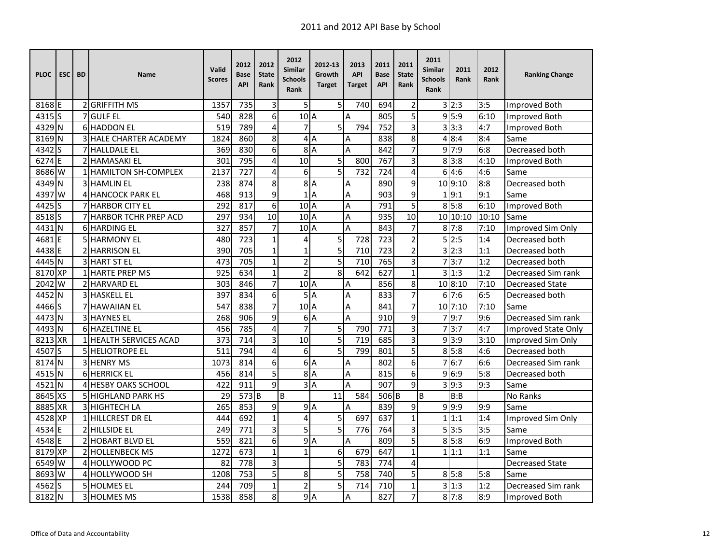| <b>PLOC</b>       | <b>ESC</b> | <b>BD</b> | <b>Name</b>                   | Valid<br><b>Scores</b> | 2012<br>Base<br><b>API</b> | 2012<br><b>State</b><br>Rank | 2012<br>Similar<br><b>Schools</b><br>Rank | 2012-13<br>Growth<br><b>Target</b> | 2013<br><b>API</b><br>Target | 2011<br><b>Base</b><br><b>API</b> | 2011<br><b>State</b><br>Rank | 2011<br><b>Similar</b><br><b>Schools</b><br>Rank | 2011<br>Rank | 2012<br>Rank | <b>Ranking Change</b>      |
|-------------------|------------|-----------|-------------------------------|------------------------|----------------------------|------------------------------|-------------------------------------------|------------------------------------|------------------------------|-----------------------------------|------------------------------|--------------------------------------------------|--------------|--------------|----------------------------|
| 8168 E            |            |           | 2 GRIFFITH MS                 | 1357                   | 735                        | 3                            | 5                                         | 5                                  | 740                          | 694                               | $\overline{\mathbf{c}}$      |                                                  | 3 2:3        | 3:5          | <b>Improved Both</b>       |
| 4315 <sub>S</sub> |            |           | <b>7</b> GULF EL              | 540                    | 828                        | 6                            | 10 <sub>A</sub>                           |                                    | $\overline{A}$               | 805                               | 5                            |                                                  | 9 5:9        | 6:10         | <b>Improved Both</b>       |
| 4329 N            |            |           | <b>6 HADDON EL</b>            | $\overline{519}$       | 789                        | 4                            | $\overline{7}$                            | 5                                  | 794                          | 752                               | $\overline{3}$               |                                                  | 3 3:3        | 4:7          | <b>Improved Both</b>       |
| 8169 N            |            |           | <b>3 HALE CHARTER ACADEMY</b> | 1824                   | 860                        | 8                            |                                           | 4A                                 | Α                            | 838                               | 8                            |                                                  | 4 8:4        | 8:4          | Same                       |
| 4342 S            |            |           | <b>7 HALLDALE EL</b>          | 369                    | 830                        | 6                            | 8                                         | $\overline{A}$                     | A                            | 842                               | $\overline{7}$               |                                                  | 9 7:9        | 6:8          | Decreased both             |
| 6274E             |            |           | <b>2 HAMASAKI EL</b>          | 301                    | 795                        | 4                            | 10                                        | 5                                  | 800                          | 767                               | 3                            |                                                  | 8 3:8        | 4:10         | Improved Both              |
| 8686 W            |            |           | <b>HAMILTON SH-COMPLEX</b>    | 2137                   | $\overline{727}$           | 4                            | 6                                         | $\overline{5}$                     | $\overline{732}$             | 724                               | 4                            |                                                  | 6 4:6        | 4:6          | Same                       |
| 4349 N            |            |           | 3 HAMLIN EL                   | 238                    | 874                        | 8                            |                                           | 8A                                 | $\overline{A}$               | 890                               | 9                            |                                                  | 10 9:10      | 8:8          | Decreased both             |
| 4397 W            |            |           | 4 HANCOCK PARK EL             | 468                    | 913                        | 9                            |                                           | 1A                                 | $\overline{A}$               | 903                               | 9                            |                                                  | 1 9:1        | 9:1          | Same                       |
| 4425 S            |            |           | 7 HARBOR CITY EL              | 292                    | 817                        | 6                            | 10 <sub>A</sub>                           |                                    | A                            | 791                               | 5                            |                                                  | 8 5:8        | 6:10         | Improved Both              |
| 8518 <sub>S</sub> |            |           | 7 HARBOR TCHR PREP ACD        | 297                    | 934                        | 10                           | 10 <sub>A</sub>                           |                                    | A                            | 935                               | 10                           |                                                  | 10 10:10     | 10:10        | Same                       |
| 4431 N            |            |           | <b>6 HARDING EL</b>           | 327                    | 857                        | 7                            | 10 <sup>1</sup> A                         |                                    | A                            | 843                               | 7                            |                                                  | 8'7:8        | 7:10         | Improved Sim Only          |
| 4681E             |            |           | <b>5 HARMONY EL</b>           | 480                    | 723                        | $\mathbf{1}$                 | 4                                         | 5                                  | 728                          | 723                               | $\overline{c}$               |                                                  | 5 2:5        | 1:4          | Decreased both             |
| 4438 E            |            |           | 2 HARRISON EL                 | 390                    | 705                        | $\mathbf{1}$                 | $\mathbf{1}$                              | 5                                  | 710                          | 723                               | $\overline{2}$               |                                                  | 3 2:3        | 1:1          | Decreased both             |
| 4445 N            |            |           | <b>3 HART ST EL</b>           | 473                    | 705                        | $\mathbf{1}$                 | $\overline{c}$                            | 5                                  | 710                          | 765                               | 3                            |                                                  | 7 3:7        | 1:2          | Decreased both             |
| 8170 XP           |            |           | <b>1 HARTE PREP MS</b>        | 925                    | 634                        | $\mathbf{1}$                 | $\overline{2}$                            | 8                                  | 642                          | 627                               | $\mathbf{1}$                 |                                                  | 31:3         | 1:2          | Decreased Sim rank         |
| 2042              | W          |           | 2 HARVARD EL                  | 303                    | 846                        | $\overline{7}$               | $102$ A                                   |                                    | $\overline{A}$               | 856                               | 8                            |                                                  | 10 8:10      | 7:10         | <b>Decreased State</b>     |
| 4452              | N          |           | 3 HASKELL EL                  | 397                    | 834                        | 6                            | 5                                         | A                                  | A                            | 833                               | $\overline{7}$               |                                                  | 67:6         | 6:5          | Decreased both             |
| 4466 S            |            |           | <b>7 HAWAIIAN EL</b>          | 547                    | 838                        | $\overline{7}$               | 10A                                       |                                    | A                            | 841                               | $\overline{7}$               |                                                  | 10 7:10      | 7:10         | Same                       |
| 4473 N            |            |           | 3 HAYNES EL                   | 268                    | 906                        | 9                            |                                           | 6A                                 | A                            | 910                               | 9                            |                                                  | 79:7         | 9:6          | Decreased Sim rank         |
| 4493 N            |            |           | 6 HAZELTINE EL                | 456                    | 785                        | 4                            | $\overline{7}$                            | 5                                  | 790                          | 771                               | 3                            |                                                  | 713:7        | 4:7          | <b>Improved State Only</b> |
| 8213 XR           |            |           | 1 HEALTH SERVICES ACAD        | 373                    | 714                        | 3                            | 10                                        | 5                                  | 719                          | 685                               | 3                            |                                                  | 9 3:9        | 3:10         | Improved Sim Only          |
| 4507 <sub>S</sub> |            |           | <b>SIHELIOTROPE EL</b>        | 511                    | 794                        | 4                            | 6                                         | 5                                  | 799                          | 801                               | 5                            |                                                  | 8 5:8        | 4:6          | Decreased both             |
| 8174 N            |            |           | 3 HENRY MS                    | 1073                   | 814                        | 6                            |                                           | 6A                                 | Α                            | 802                               | 6                            |                                                  | 76:7         | 6:6          | Decreased Sim rank         |
| 4515 N            |            |           | <b>6 HERRICK EL</b>           | 456                    | 814                        | 5                            |                                           | 8A                                 | A                            | 815                               | 6                            |                                                  | 9 6:9        | 5:8          | Decreased both             |
| 4521 N            |            |           | 4 HESBY OAKS SCHOOL           | 422                    | 911                        | 9                            |                                           | 3A                                 | A                            | 907                               | 9                            |                                                  | 3 9:3        | 9:3          | Same                       |
| 8645 XS           |            |           | 5 HIGHLAND PARK HS            | 29                     | 573 B                      |                              | B                                         | 11                                 | 584                          | 506 <sub>B</sub>                  |                              | B                                                | B:B          |              | <b>No Ranks</b>            |
| 8885 XR           |            |           | 3 HIGHTECH LA                 | $\overline{265}$       | 853                        | 9                            |                                           | 9A                                 | $\overline{A}$               | 839                               | 9                            |                                                  | 9.9:9        | 9:9          | Same                       |
| 4528 XP           |            |           | 1 HILLCREST DR EL             | 444                    | 692                        | $\mathbf{1}$                 | 4                                         | 5                                  | 697                          | 637                               | $\mathbf 1$                  |                                                  | 1 1:1        | 1:4          | Improved Sim Only          |
| 4534              | E          |           | 2 HILLSIDE EL                 | 249                    | 771                        | 3                            | 5                                         | 5                                  | 776                          | 764                               | 3                            |                                                  | 5 3:5        | 3:5          | Same                       |
| 4548 E            |            |           | <b>2 HOBART BLVD EL</b>       | 559                    | 821                        | 6                            |                                           | 9A                                 | $\overline{A}$               | 809                               | 5                            |                                                  | 8 5:8        | 6:9          | Improved Both              |
| 8179 XP           |            |           | 2 HOLLENBECK MS               | 1272                   | 673                        | $\mathbf{1}$                 | $\overline{1}$                            | 6                                  | 679                          | 647                               | $\mathbf{1}$                 |                                                  | 1 1:1        | 1:1          | Same                       |
| 6549 W            |            |           | 4 HOLLYWOOD PC                | 82                     | 778                        | $\overline{3}$               |                                           | 5                                  | 783                          | 774                               | 4                            |                                                  |              |              | <b>Decreased State</b>     |
| 8693 W            |            |           | 4 HOLLYWOOD SH                | 1208                   | 753                        | 5                            | 8                                         | 5                                  | 758                          | 740                               | 5                            |                                                  | 8 5:8        | 5:8          | Same                       |
| 4562              | Is         |           | 5 HOLMES EL                   | 244                    | 709                        | $\mathbf{1}$                 | $\overline{c}$                            | 5                                  | 714                          | 710                               | $\mathbf{1}$                 |                                                  | 3 1:3        | 1:2          | Decreased Sim rank         |
| 8182 N            |            |           | 3 HOLMES MS                   | 1538                   | 858                        | 8                            |                                           | 9A                                 | A                            | 827                               | $\overline{7}$               |                                                  | $8 \, 7:8$   | 8:9          | Improved Both              |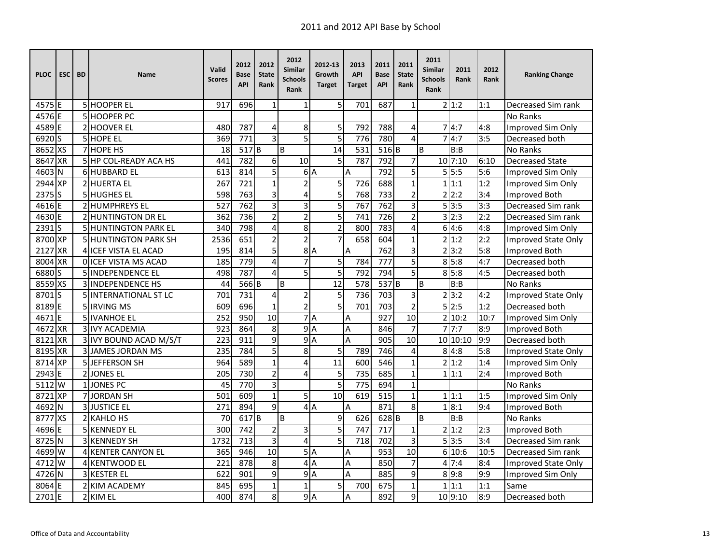| <b>PLOC</b>       | <b>ESC</b> | <b>BD</b> | <b>Name</b>                 | Valid<br><b>Scores</b> | 2012<br>Base<br><b>API</b> | 2012<br><b>State</b><br>Rank | 2012<br>Similar<br><b>Schools</b><br>Rank | 2012-13<br>Growth<br><b>Target</b> | 2013<br><b>API</b><br><b>Target</b> | 2011<br><b>Base</b><br><b>API</b> | 2011<br><b>State</b><br>Rank | 2011<br>Similar<br><b>Schools</b><br>Rank | 2011<br>Rank       | 2012<br>Rank | <b>Ranking Change</b>      |
|-------------------|------------|-----------|-----------------------------|------------------------|----------------------------|------------------------------|-------------------------------------------|------------------------------------|-------------------------------------|-----------------------------------|------------------------------|-------------------------------------------|--------------------|--------------|----------------------------|
| 4575 E            |            |           | 5 HOOPER EL                 | 917                    | 696                        | $\mathbf{1}$                 | $\mathbf{1}$                              | 5                                  | 701                                 | 687                               | $\mathbf{1}$                 |                                           | $\overline{2} 1:2$ | 1:1          | Decreased Sim rank         |
| 4576 E            |            |           | 5 HOOPER PC                 |                        |                            |                              |                                           |                                    |                                     |                                   |                              |                                           |                    |              | <b>No Ranks</b>            |
| 4589 E            |            |           | 2 HOOVER EL                 | 480                    | 787                        | 4                            | 8                                         | 5                                  | 792                                 | 788                               | 4                            | $\overline{7}$                            | 4:7                | 4:8          | Improved Sim Only          |
| 6920 <sub>S</sub> |            |           | <b>5</b> HOPE EL            | 369                    | $\overline{771}$           | 3                            | $\overline{5}$                            | 5                                  | 776                                 | 780                               | 4                            |                                           | 4:7                | 3:5          | Decreased both             |
| 8652 XS           |            |           | <b>7 HOPE HS</b>            | 18                     | 517 B                      |                              | B                                         | 14                                 | 531                                 | 516B                              |                              | B                                         | B:B                |              | <b>No Ranks</b>            |
| 8647              | <b>XR</b>  |           | 5 HP COL-READY ACA HS       | 441                    | 782                        | 6                            | 10                                        | 5                                  | 787                                 | 792                               | 7                            |                                           | 10 7:10            | 6:10         | <b>Decreased State</b>     |
| 4603              | IΝ         |           | 6 HUBBARD EL                | 613                    | 814                        | $\overline{5}$               |                                           | 6A                                 | A                                   | 792                               | 5                            |                                           | 5!5:5              | 5:6          | Improved Sim Only          |
| 2944 XP           |            |           | 2 HUERTA EL                 | 267                    | $\overline{721}$           | $\mathbf{1}$                 | $\overline{2}$                            | 5                                  | 726                                 | 688                               | $\mathbf{1}$                 | $\mathbf{1}$                              | 1:1                | 1:2          | Improved Sim Only          |
| 2375 <sub>S</sub> |            |           | 5 HUGHES EL                 | 598                    | 763                        | 3                            | 4                                         | 5                                  | 768                                 | 733                               | 2                            |                                           | 2 2:2              | 3:4          | Improved Both              |
| 4616 E            |            |           | 2 HUMPHREYS EL              | 527                    | 762                        | 3                            | 3                                         | 5                                  | 767                                 | 762                               | 3                            |                                           | 5 3:5              | 3:3          | Decreased Sim rank         |
| 4630E             |            |           | 2 HUNTINGTON DR EL          | 362                    | 736                        | $\overline{2}$               | $\overline{\mathbf{c}}$                   | 5                                  | 741                                 | 726                               | $\overline{2}$               | 3                                         | 2:3                | 2:2          | Decreased Sim rank         |
| 2391              | Is         |           | <b>5 HUNTINGTON PARK EL</b> | 340                    | 798                        | 4                            | 8                                         | $\overline{2}$                     | 800                                 | 783                               | 4                            |                                           | 614:6              | 4:8          | Improved Sim Only          |
| 8700 XP           |            |           | <b>5 HUNTINGTON PARK SH</b> | 2536                   | 651                        | $\overline{2}$               | $\overline{2}$                            | $\overline{7}$                     | 658                                 | 604                               | $\mathbf 1$                  |                                           | 2 1:2              | 2:2          | Improved State Only        |
| 2127              | <b>XR</b>  |           | <b>4 ICEF VISTA EL ACAD</b> | 195                    | 814                        | 5                            |                                           | 8A                                 | A                                   | 762                               | 3                            |                                           | 2 3:2              | 5:8          | Improved Both              |
| 8004 XR           |            |           | OLICEF VISTA MS ACAD        | 185                    | 779                        | 4                            | $\overline{7}$                            | 5                                  | 784                                 | 777                               | 5                            |                                           | 8 5:8              | 4:7          | Decreased both             |
| 6880 S            |            |           | 5 INDEPENDENCE EL           | 498                    | 787                        | $\overline{4}$               | 5                                         | $\overline{5}$                     | 792                                 | 794                               | 5                            |                                           | 8 5:8              | 4:5          | Decreased both             |
| 8559 XS           |            |           | 3 INDEPENDENCE HS           | 44                     | 566 <sub>B</sub>           |                              | B                                         | 12                                 | 578                                 | 537 <sub>B</sub>                  |                              | B                                         | B:B                |              | <b>No Ranks</b>            |
| 8701              | ls         |           | 5 INTERNATIONAL ST LC       | 701                    | $\overline{731}$           | 4                            | $\overline{\mathbf{c}}$                   | 5                                  | 736                                 | 703                               | 3                            |                                           | 2 3:2              | 4:2          | Improved State Only        |
| 8189 E            |            |           | 5 <b>IRVING MS</b>          | 609                    | 696                        | $\mathbf{1}$                 | $\overline{2}$                            | $\overline{5}$                     | 701                                 | 703                               | $\overline{2}$               |                                           | 5 2:5              | 1:2          | Decreased both             |
| 4671E             |            |           | 5 IVANHOE EL                | 252                    | 950                        | $\overline{10}$              |                                           | 7A                                 | Α                                   | 927                               | $\overline{10}$              |                                           | 2 10:2             | 10:7         | Improved Sim Only          |
| 4672 XR           |            |           | <b>3 IVY ACADEMIA</b>       | 923                    | 864                        | 8                            |                                           | 9A                                 | Α                                   | 846                               | 7                            |                                           | 7!7:7              | 8:9          | Improved Both              |
| 8121              | <b>XR</b>  |           | 3 IVY BOUND ACAD M/S/T      | 223                    | 911                        | 9                            | 9A                                        |                                    | A                                   | 905                               | 10                           |                                           | 10 10:10           | 9:9          | Decreased both             |
| 8195              | <b>XR</b>  |           | <b>3 JJAMES JORDAN MS</b>   | 235                    | 784                        | 5                            | 8                                         | 5                                  | 789                                 | 746                               | 4                            | 8                                         | 4:8                | 5:8          | <b>Improved State Only</b> |
| 8714              | <b>XP</b>  |           | 5JEFFERSON SH               | 964                    | 589                        | $\mathbf{1}$                 | $\overline{4}$                            | 11                                 | 600                                 | 546                               | $\mathbf{1}$                 | $\overline{2}$                            | 1:2                | 1:4          | Improved Sim Only          |
| 2943              | F          |           | 2 JONES EL                  | 205                    | 730                        | $\overline{2}$               | 4                                         | 5                                  | 735                                 | 685                               | $\mathbf{1}$                 |                                           | 1 1:1              | 2:4          | Improved Both              |
| $5112$ W          |            |           | 1JONES PC                   | 45                     | 770                        | 3                            |                                           | 5                                  | 775                                 | 694                               | $\mathbf 1$                  |                                           |                    |              | No Ranks                   |
| 8721              | XP.        |           | 7 JORDAN SH                 | 501                    | 609                        | $\mathbf{1}$                 | 5                                         | 10                                 | 619                                 | 515                               | $\mathbf{1}$                 |                                           | 1 1:1              | 1:5          | Improved Sim Only          |
| 4692 N            |            |           | 3 JUSTICE EL                | 271                    | 894                        | 9                            |                                           | 4A                                 | A                                   | 871                               | 8                            |                                           | 1 8:1              | 9:4          | Improved Both              |
| 8777 XS           |            |           | 2 KAHLO HS                  | 70                     | 617 <sub>B</sub>           |                              | B                                         | 9                                  | 626                                 | 628B                              |                              | B                                         | B:B                |              | <b>No Ranks</b>            |
| 4696              | E          |           | 5 KENNEDY EL                | 300                    | 742                        | $\mathbf 2$                  | 3                                         | 5                                  | 747                                 | 717                               | $\mathbf{1}$                 |                                           | 2 1:2              | 2:3          | Improved Both              |
| 8725              | N          |           | <b>3IKENNEDY SH</b>         | 1732                   | 713                        | 3                            | 4                                         | 5                                  | 718                                 | 702                               | 3                            |                                           | 5 3:5              | 3:4          | Decreased Sim rank         |
| 4699 W            |            |           | 4 KENTER CANYON EL          | 365                    | $\overline{946}$           | $\overline{10}$              | 5A                                        |                                    | Α                                   | $\overline{953}$                  | $\overline{10}$              |                                           | 6 10:6             | 10:5         | Decreased Sim rank         |
| 4712 W            |            |           | 4 KENTWOOD EL               | 221                    | 878                        | 8                            |                                           | 4A                                 | A                                   | 850                               | 7                            |                                           | 47:4               | 8:4          | Improved State Only        |
| 4726 N            |            |           | 3 KESTER EL                 | 622                    | 901                        | 9                            | 9A                                        |                                    | A                                   | 885                               | 9                            |                                           | 8 9:8              | 9:9          | Improved Sim Only          |
| 8064 E            |            |           | 2 KIM ACADEMY               | 845                    | 695                        | $\mathbf{1}$                 | $\overline{1}$                            | 5                                  | 700                                 | 675                               | $\mathbf{1}$                 |                                           | 1 1:1              | 1:1          | Same                       |
| 2701E             |            |           | 2 KIM EL                    | 400                    | 874                        | 8                            | 9A                                        |                                    | A                                   | 892                               | 9                            |                                           | 10 9:10            | 8:9          | Decreased both             |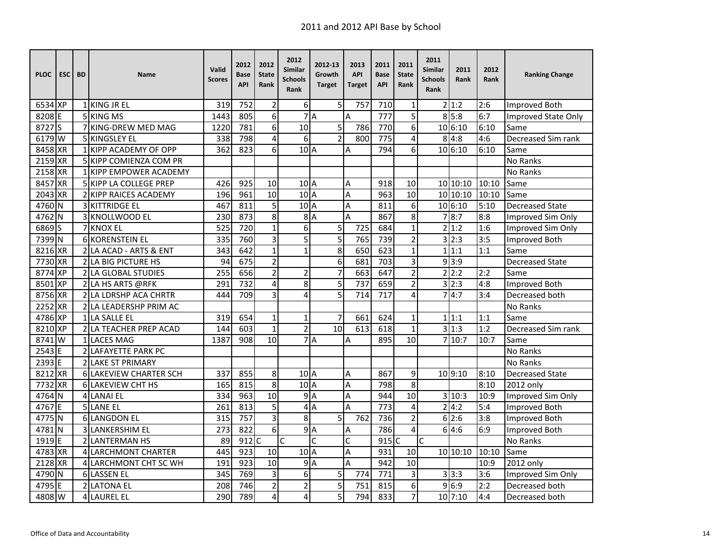| <b>PLOC</b>       | ESC <sup>I</sup> | <b>BD</b> | Name                          | Valid<br><b>Scores</b> | 2012<br>Base<br><b>API</b> | 2012<br><b>State</b><br>Rank | 2012<br><b>Similar</b><br><b>Schools</b><br><b>Rank</b> | 2012-13<br>Growth<br><b>Target</b> | 2013<br><b>API</b><br><b>Target</b> | 2011<br><b>Base</b><br><b>API</b> | 2011<br><b>State</b><br>Rank | 2011<br><b>Similar</b><br><b>Schools</b><br>Rank | 2011<br>Rank | 2012<br>Rank | <b>Ranking Change</b>      |
|-------------------|------------------|-----------|-------------------------------|------------------------|----------------------------|------------------------------|---------------------------------------------------------|------------------------------------|-------------------------------------|-----------------------------------|------------------------------|--------------------------------------------------|--------------|--------------|----------------------------|
| 6534 XP           |                  |           | 1 KING JR EL                  | 319                    | 752                        | $\overline{2}$               | 6                                                       | 5                                  | 757                                 | 710                               | 1                            |                                                  | 2 1:2        | 2:6          | <b>Improved Both</b>       |
| 8208 E            |                  |           | 5 KING MS                     | 1443                   | 805                        | 6                            |                                                         | 7A                                 | A                                   | 777                               | 5                            |                                                  | 8 5:8        | 6:7          | <b>Improved State Only</b> |
| 8727 <sub>S</sub> |                  |           | 7 KING-DREW MED MAG           | 1220                   | 781                        | 6                            | $\overline{10}$                                         | 5                                  | 786                                 | $\overline{770}$                  | 6                            |                                                  | 10 6:10      | 6:10         | Same                       |
| 6179 W            |                  |           | 5 KINGSLEY EL                 | 338                    | 798                        | 4                            | 6                                                       | $\overline{2}$                     | 800                                 | 775                               | 4                            |                                                  | 8 4:8        | 4:6          | Decreased Sim rank         |
| 8458 XR           |                  |           | 1 KIPP ACADEMY OF OPP         | 362                    | 823                        | 6                            | 10 <sup>1</sup> A                                       |                                    | Α                                   | 794                               | 6                            |                                                  | 10 6:10      | 6:10         | Same                       |
| 2159 XR           |                  |           | 5 KIPP COMIENZA COM PR        |                        |                            |                              |                                                         |                                    |                                     |                                   |                              |                                                  |              |              | No Ranks                   |
| 2158 XR           |                  |           | 1 KIPP EMPOWER ACADEMY        |                        |                            |                              |                                                         |                                    |                                     |                                   |                              |                                                  |              |              | No Ranks                   |
| 8457 XR           |                  |           | <b>5 KIPP LA COLLEGE PREP</b> | 426                    | 925                        | 10                           | 10 <sup>1</sup> A                                       |                                    | Α                                   | 918                               | 10                           |                                                  | 10 10:10     | 10:10        | Same                       |
| 2043 XR           |                  |           | 2 KIPP RAICES ACADEMY         | 196                    | 961                        | 10                           | 10 <sub>A</sub>                                         |                                    | A                                   | 963                               | $\overline{10}$              |                                                  | 10 10:10     | 10:10        | Same                       |
| 4760 N            |                  |           | <b>3 KITTRIDGE EL</b>         | 467                    | 811                        | 5                            | 10 <sub>A</sub>                                         |                                    | A                                   | 811                               | 6                            |                                                  | 10 6:10      | 5:10         | <b>Decreased State</b>     |
| 4762 N            |                  |           | 3 KNOLLWOOD EL                | 230                    | 873                        | 8                            | 8A                                                      |                                    | A                                   | 867                               | 8                            |                                                  | 8:7          | 8:8          | Improved Sim Only          |
| 6869 <sub>S</sub> |                  |           | <b>7 KNOX EL</b>              | 525                    | 720                        | $\mathbf{1}$                 | 6                                                       | 5                                  | 725                                 | 684                               | $\mathbf{1}$                 |                                                  | 21:2         | 1:6          | Improved Sim Only          |
| 7399 N            |                  |           | 6 KORENSTEIN EL               | 335                    | 760                        | 3                            | 5                                                       | $\overline{5}$                     | 765                                 | 739                               | $\overline{2}$               | 3                                                | 2:3          | 3:5          | Improved Both              |
| 8216 XR           |                  |           | 2 LA ACAD - ARTS & ENT        | 343                    | 642                        | $\mathbf{1}$                 | $\mathbf{1}$                                            | 8                                  | 650                                 | 623                               | $\mathbf{1}$                 |                                                  | 1 1:1        | 1:1          | Same                       |
| 7730 XR           |                  |           | 2 LA BIG PICTURE HS           | 94                     | 675                        | $\overline{2}$               |                                                         | 6                                  | 681                                 | 703                               | 3                            |                                                  | 9 3:9        |              | <b>Decreased State</b>     |
| 8774 XP           |                  |           | 2 LA GLOBAL STUDIES           | 255                    | 656                        | $\overline{2}$               | $\overline{2}$                                          | $\overline{7}$                     | 663                                 | 647                               | $\overline{c}$               |                                                  | 2 2:2        | 2:2          | Same                       |
| 8501 XP           |                  |           | 2LA HS ARTS @RFK              | 291                    | 732                        | 4                            | 8                                                       | 5                                  | 737                                 | 659                               | 2                            | 3                                                | 2:3          | 4:8          | Improved Both              |
| 8756 XR           |                  |           | 2 LA LDRSHP ACA CHRTR         | 444                    | 709                        | 3                            | 4                                                       | 5                                  | 714                                 | 717                               | 4                            |                                                  | 4:7          | 3:4          | Decreased both             |
| 2252 XR           |                  |           | 2 LA LEADERSHP PRIM AC        |                        |                            |                              |                                                         |                                    |                                     |                                   |                              |                                                  |              |              | No Ranks                   |
| 4786 XP           |                  |           | 1 LA SALLE EL                 | 319                    | 654                        | $\mathbf{1}$                 | $\mathbf{1}$                                            | $\overline{7}$                     | 661                                 | 624                               | $\mathbf{1}$                 |                                                  | 1 1:1        | 1:1          | Same                       |
| 8210 XP           |                  |           | 2 LA TEACHER PREP ACAD        | 144                    | 603                        | $\mathbf{1}$                 | $\overline{c}$                                          | 10                                 | 613                                 | 618                               | $\mathbf{1}$                 |                                                  | 31:3         | 1:2          | Decreased Sim rank         |
| 8741W             |                  |           | 1 LACES MAG                   | 1387                   | 908                        | 10                           |                                                         | $\overline{7}$ $A$                 | A                                   | 895                               | 10                           |                                                  | 7 10:7       | 10:7         | Same                       |
| 2543 E            |                  |           | <b>2 LAFAYETTE PARK PC</b>    |                        |                            |                              |                                                         |                                    |                                     |                                   |                              |                                                  |              |              | No Ranks                   |
| 2393 E            |                  |           | 2 LAKE ST PRIMARY             |                        |                            |                              |                                                         |                                    |                                     |                                   |                              |                                                  |              |              | No Ranks                   |
| 8212 XR           |                  |           | 6 LAKEVIEW CHARTER SCH        | 337                    | 855                        | 8                            | 10 <sub>A</sub>                                         |                                    | Α                                   | 867                               | 9                            |                                                  | 10 9:10      | 8:10         | <b>Decreased State</b>     |
| 7732 XR           |                  |           | <b>6 LAKEVIEW CHT HS</b>      | 165                    | 815                        | 8                            | 10 <sub>A</sub>                                         |                                    | A                                   | 798                               | 8                            |                                                  |              | 8:10         | 2012 only                  |
| 4764 N            |                  |           | 4 LANAI EL                    | 334                    | 963                        | 10                           | 9A                                                      |                                    | A                                   | 944                               | 10                           |                                                  | 3 10:3       | 10:9         | Improved Sim Only          |
| 4767              | E                |           | <b>5 LANE EL</b>              | 261                    | 813                        | 5                            | 4                                                       | $\overline{A}$                     | A                                   | 773                               | 4                            | $\overline{2}$                                   | 4:2          | 5:4          | Improved Both              |
| 4775 N            |                  |           | <b>6 LANGDON EL</b>           | 315                    | 757                        | 3                            | 8                                                       | 5                                  | 762                                 | 736                               | 2                            |                                                  | 6 2:6        | 3:8          | <b>Improved Both</b>       |
| 4781N             |                  |           | 3 LANKERSHIM EL               | 273                    | 822                        | 6                            |                                                         | 9A                                 | Α                                   | 786                               | 4                            |                                                  | 64:6         | 6:9          | Improved Both              |
| 1919 E            |                  |           | 2 LANTERMAN HS                | 89                     | 912 C                      |                              | C                                                       | Ċ                                  | C                                   | $915$ C                           |                              | Ċ                                                |              |              | No Ranks                   |
| 4783 XR           |                  |           | 4 LARCHMONT CHARTER           | 445                    | 923                        | 10                           | 10 <sup>1</sup> A                                       |                                    | A                                   | 931                               | 10                           |                                                  | 10 10:10     | 10:10        | Same                       |
| 2128 XR           |                  |           | 4 LARCHMONT CHT SC WH         | 191                    | 923                        | 10                           |                                                         | 9A                                 | A                                   | 942                               | 10                           |                                                  |              | 10:9         | 2012 only                  |
| 4790 N            |                  |           | 6 LASSEN EL                   | 345                    | 769                        | 3                            | 6                                                       | 5                                  | 774                                 | 771                               | 3                            |                                                  | 3 3:3        | 3:6          | Improved Sim Only          |
| 4795 E            |                  |           | <b>2 LATONA EL</b>            | 208                    | 746                        | $\mathbf 2$                  | $\overline{2}$                                          | 5                                  | 751                                 | 815                               | 6                            |                                                  | 9 6:9        | 2:2          | Decreased both             |
| 4808 W            |                  |           | 4 LAUREL EL                   | 290                    | 789                        | $\overline{\mathbf{4}}$      | 4                                                       | 5                                  | 794                                 | 833                               | $\overline{7}$               |                                                  | 10 7:10      | 4:4          | Decreased both             |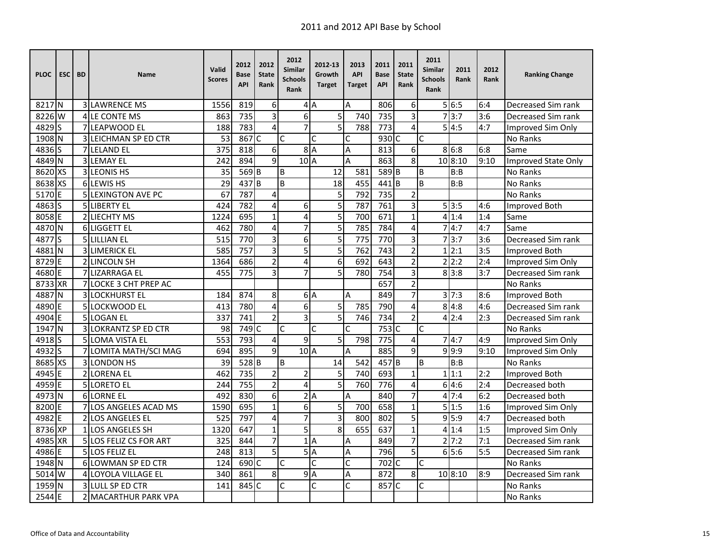| <b>PLOC</b>       | <b>ESC</b> | <b>BD</b> | <b>Name</b>                   | Valid<br><b>Scores</b> | 2012<br><b>Base</b><br><b>API</b> | 2012<br><b>State</b><br>Rank | 2012<br>Similar<br><b>Schools</b><br>Rank | 2012-13<br>Growth<br><b>Target</b> | 2013<br><b>API</b><br><b>Target</b> | 2011<br><b>Base</b><br><b>API</b> | 2011<br><b>State</b><br>Rank | 2011<br><b>Similar</b><br><b>Schools</b><br>Rank | 2011<br>Rank      | 2012<br>Rank | <b>Ranking Change</b> |
|-------------------|------------|-----------|-------------------------------|------------------------|-----------------------------------|------------------------------|-------------------------------------------|------------------------------------|-------------------------------------|-----------------------------------|------------------------------|--------------------------------------------------|-------------------|--------------|-----------------------|
| 8217 N            |            |           | <b>3 LAWRENCE MS</b>          | 1556                   | 819                               | 6                            |                                           | 4A                                 | A                                   | 806                               | 6                            |                                                  | 56:5              | 6:4          | Decreased Sim rank    |
| 8226              | W          |           | 4 LE CONTE MS                 | 863                    | 735                               | 3                            | 6                                         | 5                                  | 740                                 | 735                               | 3                            |                                                  | 73:7              | 3:6          | Decreased Sim rank    |
| 4829              | S          |           | 7 LEAPWOOD EL                 | 188                    | 783                               | 4                            | $\overline{7}$                            | $\overline{5}$                     | 788                                 | $\overline{773}$                  | 4                            |                                                  | 5 4:5             | 4:7          | Improved Sim Only     |
| $1908$ N          |            |           | 3 LEICHMAN SP ED CTR          | 53                     | 867 C                             |                              | $\mathsf{C}$                              | Ċ                                  | Ċ                                   | 930                               | $\mathsf{C}$                 | C                                                |                   |              | <b>No Ranks</b>       |
| 4836 S            |            |           | 7 LELAND EL                   | 375                    | 818                               | 6                            |                                           | 8A                                 | Α                                   | 813                               | 6                            |                                                  | 86:8              | 6:8          | Same                  |
| 4849 N            |            |           | 3 LEMAY EL                    | 242                    | 894                               | $\overline{9}$               | 10 <sub>A</sub>                           |                                    | A                                   | 863                               | 8                            |                                                  | 10 8:10           | 9:10         | Improved State Only   |
| 8620 XS           |            |           | 3 LEONIS HS                   | 35                     | 569 <sub>B</sub>                  |                              | B                                         | 12                                 | 581                                 | $589$ B                           |                              | B                                                | B:B               |              | No Ranks              |
| 8638 XS           |            |           | 6 LEWIS HS                    | 29                     | 437 B                             |                              | B                                         | 18                                 | 455                                 | 441                               | B                            | B                                                | B:B               |              | <b>No Ranks</b>       |
| 5170 E            |            |           | <b>5 LEXINGTON AVE PC</b>     | 67                     | 787                               | 4                            |                                           | 5                                  | 792                                 | 735                               | 2                            |                                                  |                   |              | <b>No Ranks</b>       |
| 4863 S            |            |           | 5 LIBERTY EL                  | 424                    | 782                               | 4                            | 6                                         | 5                                  | 787                                 | 761                               | 3                            |                                                  | 5 3:5             | 4:6          | Improved Both         |
| 8058 E            |            |           | 2 LIECHTY MS                  | 1224                   | 695                               | $\mathbf{1}$                 | 4                                         | 5                                  | 700                                 | 671                               | $\mathbf{1}$                 | 4                                                | 1:4               | 1:4          | Same                  |
| 4870 N            |            |           | 6 LIGGETT EL                  | 462                    | 780                               | 4                            | $\overline{7}$                            | $\overline{5}$                     | 785                                 | 784                               | 4                            |                                                  | 4:7               | 4:7          | Same                  |
| 4877              | S          |           | 5 LILLIAN EL                  | 515                    | 770                               | 3                            | 6                                         | 5                                  | 775                                 | 770                               | 3                            |                                                  | 713:7             | 3:6          | Decreased Sim rank    |
| 4881N             |            |           | 3 LIMERICK EL                 | 585                    | 757                               | 3                            | 5                                         | 5                                  | 762                                 | 743                               | $\overline{2}$               |                                                  | 1 2:1             | 3:5          | Improved Both         |
| 8729              | E          |           | 2 LINCOLN SH                  | 1364                   | 686                               | $\overline{2}$               | 4                                         | 6                                  | 692                                 | 643                               | $\overline{2}$               |                                                  | 2 2:2             | 2:4          | Improved Sim Only     |
| 4680              | E          |           | 7 LIZARRAGA EL                | 455                    | 775                               | 3                            | $\overline{7}$                            | 5                                  | 780                                 | 754                               | $\overline{3}$               |                                                  | 8 3:8             | 3:7          | Decreased Sim rank    |
| 8733              | <b>XR</b>  |           | <b>7ILOCKE 3 CHT PREP AC</b>  |                        |                                   |                              |                                           |                                    |                                     | 657                               | $\overline{2}$               |                                                  |                   |              | <b>No Ranks</b>       |
| 4887              | N          |           | <b>3 LOCKHURST EL</b>         | 184                    | 874                               | 8                            |                                           | 6A                                 | A                                   | 849                               | 7                            |                                                  | $3\overline{7:3}$ | 8:6          | Improved Both         |
| 4890              | E          |           | 5 LOCKWOOD EL                 | 413                    | 780                               | 4                            | 6                                         | 5                                  | 785                                 | 790                               | 4                            |                                                  | 8 4:8             | 4:6          | Decreased Sim rank    |
| 4904E             |            |           | 5 LOGAN EL                    | 337                    | 741                               | $\overline{2}$               | 3                                         | $\overline{5}$                     | 746                                 | 734                               | $\overline{2}$               | 4                                                | 2:4               | 2:3          | Decreased Sim rank    |
| 1947              | lΝ         |           | 3 LOKRANTZ SP ED CTR          | 98                     | 749 C                             |                              | Ċ                                         | C                                  | C                                   | 753                               | $\mathsf{C}$                 | C                                                |                   |              | No Ranks              |
| 4918 <sub>S</sub> |            |           | 5 LOMA VISTA EL               | 553                    | 793                               | 4                            | 9                                         | 5                                  | 798                                 | 775                               | 4                            |                                                  | 74:7              | 4:9          | Improved Sim Only     |
| 4932S             |            |           | 7 LOMITA MATH/SCI MAG         | 694                    | 895                               | 9                            | 10 <sub>A</sub>                           |                                    | A                                   | 885                               | $\overline{9}$               |                                                  | 9.9:9             | 9:10         | Improved Sim Only     |
| 8685 XS           |            |           | 3 LONDON HS                   | 39                     | 528B                              |                              | B                                         | 14                                 | 542                                 | 457 B                             |                              | B                                                | B:B               |              | <b>No Ranks</b>       |
| 4945              | F          |           | <b>2 LORENA EL</b>            | 462                    | 735                               | $\overline{2}$               | $\overline{2}$                            | 5                                  | 740                                 | 693                               | $\mathbf{1}$                 |                                                  | 1 1:1             | 2:2          | <b>Improved Both</b>  |
| 4959 E            |            |           | 5 LORETO EL                   | 244                    | 755                               | $\overline{2}$               | 4                                         | 5                                  | 760                                 | 776                               | $\overline{\mathbf{4}}$      |                                                  | 64:6              | 2:4          | Decreased both        |
| 4973 N            |            |           | <b>6 LORNE EL</b>             | 492                    | 830                               | 6                            |                                           | 2A                                 | $\overline{A}$                      | 840                               | $\overline{7}$               |                                                  | 47:4              | 6:2          | Decreased both        |
| 8200              | E          |           | 7 LOS ANGELES ACAD MS         | 1590                   | 695                               | $\mathbf{1}$                 | 6                                         | 5                                  | 700                                 | 658                               | $\mathbf{1}$                 |                                                  | 5 1:5             | 1:6          | Improved Sim Only     |
| 4982              | E          |           | 2 LOS ANGELES EL              | 525                    | 797                               | $\overline{4}$               | $\overline{7}$                            | $\overline{3}$                     | 800                                 | 802                               | 5                            |                                                  | 9 5:9             | 4:7          | Decreased both        |
| 8736 XP           |            |           | 1 LOS ANGELES SH              | 1320                   | 647                               | $\mathbf{1}$                 | 5                                         | 8                                  | 655                                 | 637                               | $\mathbf{1}$                 |                                                  | 4 1:4             | 1:5          | Improved Sim Only     |
| 4985              | <b>XR</b>  |           | <b>5 LOS FELIZ CS FOR ART</b> | 325                    | 844                               | $\overline{7}$               | $1\overline{ }$                           | $\overline{A}$                     | Α                                   | 849                               | 7                            |                                                  | $2\overline{7:2}$ | 7:1          | Decreased Sim rank    |
| 4986              | F          |           | 5 LOS FELIZ EL                | 248                    | 813                               | $\overline{5}$               | $\overline{5}$                            | $\overline{A}$                     | Α                                   | 796                               | 5                            |                                                  | 65:6              | 5:5          | Decreased Sim rank    |
| 1948 N            |            |           | 6 LOWMAN SP ED CTR            | 124                    | 690 C                             |                              | Ċ                                         | Ċ                                  | C                                   | 702                               | $\mathsf{C}$                 | C                                                |                   |              | No Ranks              |
| 5014 W            |            |           | <b>4 LOYOLA VILLAGE EL</b>    | 340                    | 861                               | 8                            |                                           | 9A                                 | Α                                   | 872                               | 8                            |                                                  | 10 8:10           | 8:9          | Decreased Sim rank    |
| 1959 N            |            |           | 3 LULL SP ED CTR              | 141                    | 845 C                             |                              | $\mathsf{C}$                              | Ċ                                  | Ċ                                   | 857 C                             |                              | C                                                |                   |              | <b>No Ranks</b>       |
| 2544              | E          |           | 2 MACARTHUR PARK VPA          |                        |                                   |                              |                                           |                                    |                                     |                                   |                              |                                                  |                   |              | <b>No Ranks</b>       |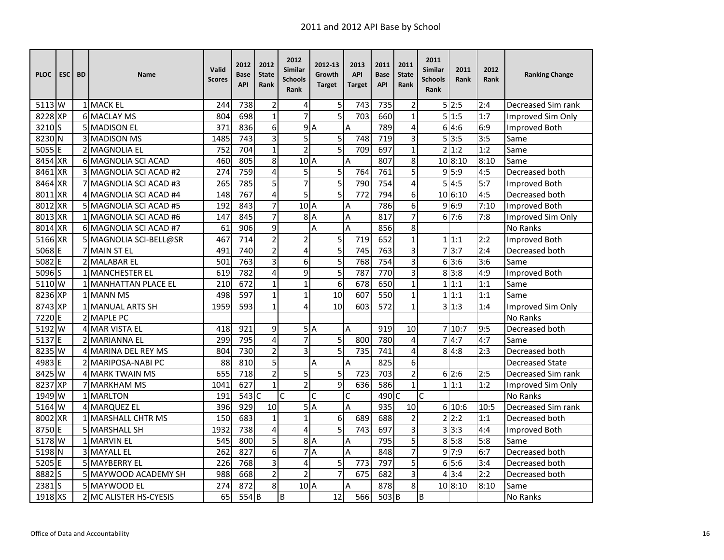| <b>PLOC</b>       | <b>ESC</b> | <b>BD</b> | <b>Name</b>                 | Valid<br><b>Scores</b> | 2012<br>Base<br><b>API</b> | 2012<br><b>State</b><br>Rank | 2012<br>Similar<br>Schools<br>Rank | 2012-13<br>Growth<br><b>Target</b> | 2013<br><b>API</b><br>Target | 2011<br><b>Base</b><br><b>API</b> | 2011<br><b>State</b><br>Rank | 2011<br>Similar<br><b>Schools</b><br>Rank | 2011<br>Rank | 2012<br>Rank | <b>Ranking Change</b>  |
|-------------------|------------|-----------|-----------------------------|------------------------|----------------------------|------------------------------|------------------------------------|------------------------------------|------------------------------|-----------------------------------|------------------------------|-------------------------------------------|--------------|--------------|------------------------|
| 5113 W            |            |           | 1 MACK EL                   | 244                    | 738                        | $\overline{2}$               | 4                                  | 5                                  | 743                          | 735                               | 2                            |                                           | 5 2:5        | 2:4          | Decreased Sim rank     |
| 8228 XP           |            |           | <b>6 MACLAY MS</b>          | 804                    | 698                        | $\mathbf{1}$                 | $\overline{7}$                     | $\overline{5}$                     | 703                          | 660                               | $\mathbf{1}$                 |                                           | 5 1:5        | 1:7          | Improved Sim Only      |
| 3210 <sub>S</sub> |            |           | 5 MADISON EL                | 371                    | 836                        | 6                            | 9                                  | $\overline{A}$                     | A                            | 789                               | 4                            |                                           | 6 4:6        | 6:9          | <b>Improved Both</b>   |
| 8230              | N          |           | <b>3 MADISON MS</b>         | 1485                   | 743                        | 3                            | 5                                  | 5                                  | 748                          | 719                               | 3                            |                                           | 5 3:5        | 3:5          | Same                   |
| 5055              | F          |           | 2 MAGNOLIA EL               | 752                    | 704                        | $\mathbf{1}$                 | $\overline{2}$                     | $\overline{5}$                     | 709                          | 697                               | $\mathbf{1}$                 | $\overline{2}$                            | 1:2          | 1:2          | Same                   |
| 8454              | <b>XR</b>  |           | 6 MAGNOLIA SCI ACAD         | 460                    | 805                        | 8                            | $102$ A                            |                                    | A                            | 807                               | 8                            |                                           | 10 8:10      | 8:10         | Same                   |
| 8461              | <b>XR</b>  |           | 3 MAGNOLIA SCI ACAD #2      | 274                    | 759                        | $\overline{\mathbf{4}}$      | 5                                  | 5                                  | 764                          | 761                               | 5                            |                                           | 9 5:9        | 4:5          | Decreased both         |
| 8464 XR           |            |           | 7 MAGNOLIA SCI ACAD #3      | 265                    | 785                        | 5                            | $\overline{7}$                     | $\overline{5}$                     | 790                          | 754                               | 4                            | 5                                         | 4:5          | 5:7          | Improved Both          |
| 8011 XR           |            |           | 4 MAGNOLIA SCI ACAD #4      | 148                    | 767                        | 4                            | 5                                  | $\overline{5}$                     | 772                          | 794                               | 6                            |                                           | 106:10       | 4:5          | Decreased both         |
| 8012              | <b>XR</b>  |           | 5 MAGNOLIA SCI ACAD #5      | 192                    | 843                        | 7                            | 10A                                |                                    | A                            | 786                               | 6                            |                                           | 9 6:9        | 7:10         | Improved Both          |
| 8013              | <b>XR</b>  |           | 1 MAGNOLIA SCI ACAD #6      | 147                    | 845                        | 7                            | 8                                  | $\overline{A}$                     | A                            | 817                               | 7                            |                                           | 617:6        | 7:8          | Improved Sim Only      |
| 8014              | <b>XR</b>  |           | 6 MAGNOLIA SCI ACAD #7      | 61                     | 906                        | 9                            |                                    | A                                  | A                            | 856                               | 8                            |                                           |              |              | <b>No Ranks</b>        |
| 5166              | <b>IXR</b> |           | 5 MAGNOLIA SCI-BELL@SR      | 467                    | 714                        | $\overline{2}$               | $\overline{c}$                     | 5                                  | 719                          | 652                               | $\mathbf{1}$                 |                                           | 1 1:1        | 2:2          | Improved Both          |
| 5068              | IF         |           | 7 MAIN ST EL                | 491                    | 740                        | $\overline{2}$               | 4                                  | 5                                  | 745                          | 763                               | 3                            |                                           | 7 3:7        | 2:4          | Decreased both         |
| 5082 E            |            |           | 2 MALABAR EL                | 501                    | 763                        | $\overline{3}$               | 6                                  | $\overline{5}$                     | 768                          | $\overline{754}$                  | 3                            |                                           | 6 3:6        | 3:6          | Same                   |
| 5096 S            |            |           | 1 MANCHESTER EL             | 619                    | 782                        | 4                            | 9                                  | 5                                  | 787                          | 770                               | 3                            |                                           | 8 3:8        | 4:9          | Improved Both          |
| 5110 W            |            |           | <b>1 MANHATTAN PLACE EL</b> | 210                    | 672                        | $\mathbf{1}$                 | $\mathbf{1}$                       | 6                                  | 678                          | 650                               | $\mathbf{1}$                 |                                           | 1 1:1        | 1:1          | Same                   |
| 8236              | <b>XP</b>  |           | 1 MANN MS                   | 498                    | 597                        | $\mathbf{1}$                 | $\mathbf{1}$                       | 10                                 | 607                          | 550                               | $\mathbf{1}$                 |                                           | 1 1:1        | 1:1          | Same                   |
| 8743              | <b>XP</b>  |           | <b>1 MANUAL ARTS SH</b>     | 1959                   | 593                        | $\mathbf{1}$                 | 4                                  | 10                                 | 603                          | 572                               | $\mathbf{1}$                 |                                           | 3 1:3        | 1:4          | Improved Sim Only      |
| 7220E             |            |           | 2 MAPLE PC                  |                        |                            |                              |                                    |                                    |                              |                                   |                              |                                           |              |              | No Ranks               |
| 5192              | W          |           | 4 MAR VISTA EL              | 418                    | 921                        | 9                            |                                    | 5A                                 | A                            | 919                               | 10                           |                                           | 710:7        | 9:5          | Decreased both         |
| 5137              | l F        |           | 2 MARIANNA EL               | 299                    | 795                        | $\overline{4}$               | $\overline{7}$                     | 5                                  | 800                          | 780                               | 4                            |                                           | 4:7          | 4:7          | Same                   |
| 8235              | <b>W</b>   |           | 4 MARINA DEL REY MS         | 804                    | 730                        | $\overline{2}$               | $\overline{3}$                     | $\overline{5}$                     | 735                          | 741                               | 4                            |                                           | 814:8        | 2:3          | Decreased both         |
| 4983              | E          |           | 2 MARIPOSA-NABI PC          | 88                     | 810                        | 5                            |                                    | А                                  | A                            | 825                               | 6                            |                                           |              |              | <b>Decreased State</b> |
| 8425              | W          |           | <b>4 MARK TWAIN MS</b>      | 655                    | 718                        | $\overline{2}$               | 5                                  | 5                                  | 723                          | 703                               | $\overline{2}$               |                                           | 6 2:6        | 2:5          | Decreased Sim rank     |
| 8237              | <b>XP</b>  |           | 7 MARKHAM MS                | 1041                   | 627                        | $\mathbf{1}$                 | $\overline{2}$                     | $\overline{9}$                     | 636                          | 586                               | $\mathbf{1}$                 |                                           | 1 1:1        | 1:2          | Improved Sim Only      |
| 1949              | W          |           | 1 MARLTON                   | 191                    | $543$ C                    |                              | Ċ                                  | C                                  | C                            | 490 C                             |                              | Ċ                                         |              |              | No Ranks               |
| 5164              | lW         |           | 4 MARQUEZ EL                | 396                    | 929                        | 10                           |                                    | 5A                                 | A                            | 935                               | 10                           |                                           | 6 10:6       | 10:5         | Decreased Sim rank     |
| 8002              | <b>XR</b>  |           | 1 MARSHALL CHTR MS          | 150                    | 683                        | $\mathbf 1$                  | $\mathbf 1$                        | 6                                  | 689                          | 688                               | $\overline{2}$               |                                           | 2 2:2        | 1:1          | Decreased both         |
| 8750              | F          |           | 5 MARSHALL SH               | 1932                   | 738                        | $\overline{\mathbf{4}}$      | 4                                  | 5                                  | 743                          | 697                               | 3                            |                                           | 3 3:3        | 4:4          | Improved Both          |
| 5178              | W          |           | <b>1 MARVIN EL</b>          | 545                    | 800                        | 5                            | 8                                  | $\overline{A}$                     | Α                            | 795                               | 5                            |                                           | 8 5:8        | 5:8          | Same                   |
| 5198              | <b>N</b>   |           | 3 MAYALL EL                 | 262                    | 827                        | 6                            | 7                                  | $\overline{A}$                     | A                            | 848                               | 7                            |                                           | 9 7:9        | 6:7          | Decreased both         |
| 5205              | ١E         |           | <b>5 MAYBERRY EL</b>        | 226                    | 768                        | 3                            | 4                                  | 5                                  | 773                          | 797                               | 5                            |                                           | 6 5:6        | 3:4          | Decreased both         |
| 8882              | ls         |           | 5 MAYWOOD ACADEMY SH        | 988                    | 668                        | $\overline{2}$               | $\overline{2}$                     | $\overline{7}$                     | 675                          | 682                               | 3                            |                                           | 4 3:4        | 2:2          | Decreased both         |
| 2381              | Is         |           | 5 MAYWOOD EL                | 274                    | 872                        | 8                            | $102$ A                            |                                    | Α                            | 878                               | 8                            |                                           | 10 8:10      | 8:10         | Same                   |
| 1918 XS           |            |           | 2 MC ALISTER HS-CYESIS      | 65                     | 554B                       |                              | B                                  | 12                                 | 566                          | 503 B                             |                              | B                                         |              |              | No Ranks               |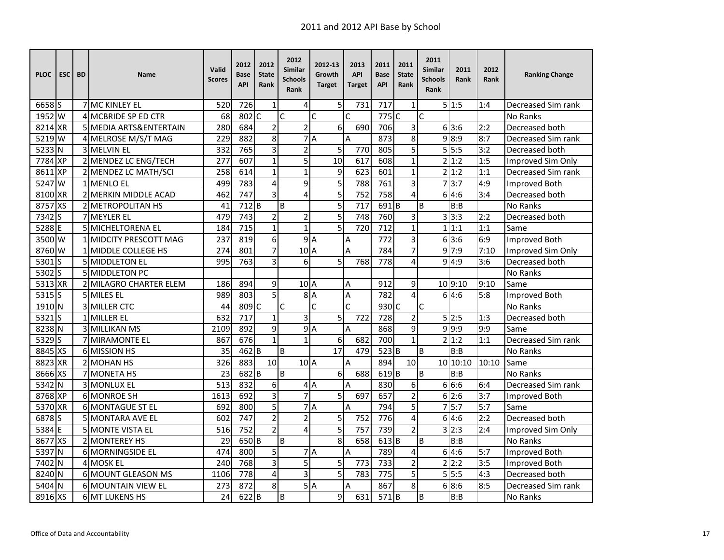| <b>PLOC</b> | <b>ESC</b> | <b>BD</b> | <b>Name</b>                   | Valid<br><b>Scores</b> | 2012<br>Base<br><b>API</b> | 2012<br><b>State</b><br>Rank | 2012<br>Similar<br><b>Schools</b><br>Rank | 2012-13<br>Growth<br><b>Target</b> | 2013<br><b>API</b><br>Target | 2011<br><b>Base</b><br><b>API</b> | 2011<br><b>State</b><br>Rank | 2011<br>Similar<br><b>Schools</b><br>Rank | 2011<br>Rank       | 2012<br>Rank | <b>Ranking Change</b> |
|-------------|------------|-----------|-------------------------------|------------------------|----------------------------|------------------------------|-------------------------------------------|------------------------------------|------------------------------|-----------------------------------|------------------------------|-------------------------------------------|--------------------|--------------|-----------------------|
| 6658 S      |            |           | <b>7 MC KINLEY EL</b>         | 520                    | 726                        | $\mathbf{1}$                 | 4                                         | 5                                  | 731                          | 717                               | 1                            |                                           | 5 1:5              | 1:4          | Decreased Sim rank    |
| 1952 W      |            |           | <b>4 MCBRIDE SP ED CTR</b>    | 68                     | 802 C                      |                              | Ċ                                         | C                                  | C                            | $775$ C                           |                              | Ċ                                         |                    |              | <b>No Ranks</b>       |
| 8214 XR     |            |           | 5 MEDIA ARTS&ENTERTAIN        | 280                    | 684                        | $\overline{2}$               | $\overline{2}$                            | 6                                  | 690                          | 706                               | 3                            |                                           | 6 3:6              | 2:2          | Decreased both        |
| 5219 W      |            |           | 4 MELROSE M/S/T MAG           | 229                    | 882                        | 8                            | $\overline{7}$                            | A                                  | А                            | 873                               | 8                            |                                           | 9 8:9              | 8:7          | Decreased Sim rank    |
| 5233        | N          |           | 3 MELVIN EL                   | 332                    | 765                        | 3                            | $\overline{2}$                            | 5                                  | 770                          | 805                               | 5                            |                                           | 5 5:5              | 3:2          | Decreased both        |
| 7784 XP     |            |           | 2 MENDEZ LC ENG/TECH          | $\overline{277}$       | 607                        | $\mathbf{1}$                 | $\overline{5}$                            | 10                                 | 617                          | 608                               | $\mathbf{1}$                 |                                           | 2 1:2              | 1:5          | Improved Sim Only     |
| 8611 XP     |            |           | 2 MENDEZ LC MATH/SCI          | 258                    | 614                        | $\mathbf{1}$                 | $\mathbf{1}$                              | 9                                  | 623                          | 601                               | 1                            |                                           | 2 1:2              | 1:1          | Decreased Sim rank    |
| 5247 W      |            |           | 1 MENLO EL                    | 499                    | 783                        | $\overline{4}$               | 9                                         | 5                                  | 788                          | 761                               | 3                            |                                           | $\overline{7}$ 3:7 | 4:9          | Improved Both         |
| 8100 XR     |            |           | 2 MERKIN MIDDLE ACAD          | 462                    | 747                        | 3                            | 4                                         | 5                                  | 752                          | 758                               | 4                            |                                           | 6 4:6              | 3:4          | Decreased both        |
| 8757 XS     |            |           | 2 METROPOLITAN HS             | 41                     | 712 <sub>B</sub>           |                              | B                                         | 5                                  | 717                          | 691B                              |                              | B                                         | B:B                |              | No Ranks              |
| 7342        | S          |           | 7 MEYLER EL                   | 479                    | 743                        | $\overline{2}$               | $\overline{2}$                            | 5                                  | 748                          | 760                               | 3                            |                                           | 3 3:3              | 2:2          | Decreased both        |
| 5288 E      |            |           | 5 MICHELTORENA EL             | 184                    | 715                        | $\mathbf{1}$                 | $\mathbf{1}$                              | 5                                  | 720                          | 712                               | $\mathbf{1}$                 |                                           | 1 1:1              | 1:1          | Same                  |
| 3500 W      |            |           | 1 MIDCITY PRESCOTT MAG        | 237                    | 819                        | $\overline{6}$               | $\overline{9}$                            | $\overline{A}$                     | A                            | 772                               | 3                            |                                           | 63:6               | 6:9          | <b>Improved Both</b>  |
| 8760 W      |            |           | 1 MIDDLE COLLEGE HS           | 274                    | 801                        | $\overline{7}$               | 10 <sup>1</sup> A                         |                                    | A                            | 784                               | $\overline{7}$               |                                           | 9 7:9              | 7:10         | Improved Sim Only     |
| $5301$ S    |            |           | 5 MIDDLETON EL                | 995                    | 763                        | $\overline{3}$               | 6                                         | 5                                  | 768                          | $\overline{778}$                  | 4                            |                                           | 9 4:9              | 3:6          | Decreased both        |
| 5302S       |            |           | 5 MIDDLETON PC                |                        |                            |                              |                                           |                                    |                              |                                   |                              |                                           |                    |              | No Ranks              |
| 5313        | <b>XR</b>  |           | <b>2 MILAGRO CHARTER ELEM</b> | 186                    | 894                        | 9                            | 10 <sub>A</sub>                           |                                    | Α                            | 912                               | 9                            |                                           | 10 9:10            | 9:10         | Same                  |
| 5315        | ls         |           | 5 MILES EL                    | 989                    | 803                        | $\overline{5}$               | 8                                         | $\overline{A}$                     | Α                            | 782                               | 4                            |                                           | 64:6               | 5:8          | Improved Both         |
| 1910 N      |            |           | 3 MILLER CTC                  | 44                     | 809 C                      |                              | C                                         | C                                  | Ċ                            | 930 C                             |                              | C                                         |                    |              | No Ranks              |
| $5321$ S    |            |           | <b>1 MILLER EL</b>            | 632                    | $\overline{717}$           | $\mathbf{1}$                 | 3                                         | 5                                  | 722                          | $\overline{728}$                  | 2                            |                                           | 5 2:5              | 1:3          | Decreased both        |
| 8238 N      |            |           | <b>3 MILLIKAN MS</b>          | 2109                   | 892                        | $\overline{9}$               | 9                                         | A                                  | Α                            | 868                               | 9                            |                                           | 9:9                | 9:9          | Same                  |
| $5329$ S    |            |           | <b>7 MIRAMONTE EL</b>         | 867                    | 676                        | $\mathbf{1}$                 | 1                                         | 6                                  | 682                          | 700                               | $\mathbf{1}$                 |                                           | 2 1:2              | 1:1          | Decreased Sim rank    |
| 8845 XS     |            |           | 6 MISSION HS                  | 35                     | $462$ <sub>B</sub>         |                              | B                                         | 17                                 | 479                          | 523B                              |                              | B                                         | B:B                |              | No Ranks              |
| 8823        | <b>XR</b>  |           | 2 MOHAN HS                    | 326                    | 883                        | 10                           | 10 <sub>A</sub>                           |                                    | A                            | 894                               | 10                           |                                           | 10 10:10           | 10:10        | Same                  |
| 8666 XS     |            |           | <b>7 MONETA HS</b>            | 23                     | 682B                       |                              | B                                         | 6                                  | 688                          | 619B                              |                              | B                                         | B:B                |              | No Ranks              |
| 5342 N      |            |           | 3 MONLUX EL                   | 513                    | 832                        | 6                            |                                           | 4A                                 | A                            | 830                               | 6                            |                                           | 6 6:6              | 6:4          | Decreased Sim rank    |
| 8768 XP     |            |           | <b>6 MONROE SH</b>            | 1613                   | 692                        | 3                            | $\overline{7}$                            | 5                                  | 697                          | 657                               | $\overline{2}$               |                                           | 6 2:6              | 3:7          | Improved Both         |
| 5370 XR     |            |           | <b>6 MONTAGUE ST EL</b>       | 692                    | 800                        | 5                            | 7                                         | $\overline{A}$                     | A                            | 794                               | 5                            |                                           | 75:7               | 5:7          | Same                  |
| 6878S       |            |           | 5 MONTARA AVE EL              | 602                    | 747                        | $\overline{2}$               | $\overline{2}$                            | $\overline{5}$                     | $\overline{752}$             | $\overline{776}$                  | 4                            |                                           | 64:6               | 2:2          | Decreased both        |
| 5384        | IE.        |           | 5 MONTE VISTA EL              | 516                    | 752                        | $\overline{2}$               | 4                                         | 5                                  | 757                          | 739                               | $\overline{2}$               |                                           | 3 2:3              | 2:4          | Improved Sim Only     |
| 8677        | XS         |           | 2 MONTEREY HS                 | 29                     | 650 B                      |                              | B                                         | $\overline{8}$                     | 658                          | $613$ <sub>B</sub>                |                              | B                                         | B:B                |              | No Ranks              |
| 5397        | <b>N</b>   |           | 6 MORNINGSIDE EL              | 474                    | 800                        | 5                            |                                           | 7A                                 | A                            | 789                               | 4                            |                                           | 6 4:6              | 5:7          | Improved Both         |
| 7402 N      |            |           | 4 MOSK EL                     | 240                    | 768                        | 3                            | 5                                         | 5                                  | 773                          | 733                               | $\overline{2}$               |                                           | 2 2:2              | 3:5          | Improved Both         |
| 8240 N      |            |           | 6 MOUNT GLEASON MS            | 1106                   | 778                        | 4                            | $\overline{3}$                            | $\overline{5}$                     | 783                          | 775                               | 5                            |                                           | 5!5:5              | 4:3          | Decreased both        |
| 5404 N      |            |           | <b>6 MOUNTAIN VIEW EL</b>     | 273                    | 872                        | 8                            |                                           | 5A                                 | A                            | 867                               | 8                            |                                           | 6 8:6              | 8:5          | Decreased Sim rank    |
| 8916 XS     |            |           | 6 MT LUKENS HS                | 24                     | $622$ B                    |                              | B                                         | 9                                  | 631                          | 571B                              |                              | B                                         | B:B                |              | No Ranks              |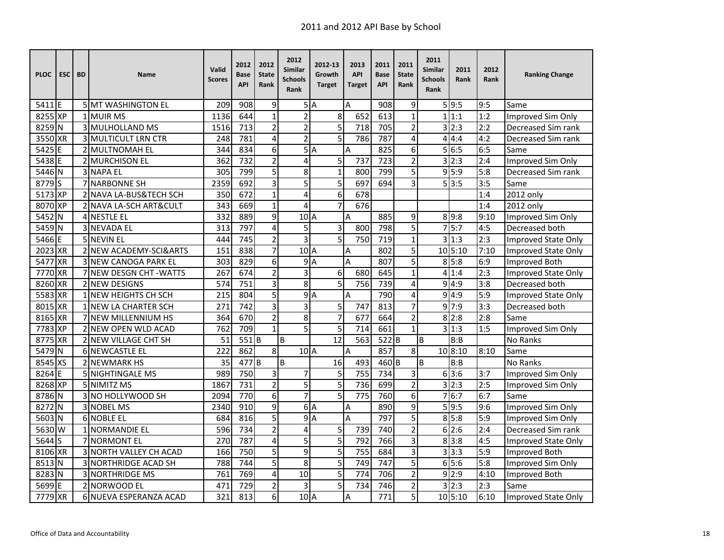| <b>PLOC</b>        | <b>ESC</b> | <b>BD</b> | Name                               | Valid<br><b>Scores</b> | 2012<br>Base<br><b>API</b> | 2012<br><b>State</b><br>Rank | 2012<br>Similar<br>Schools<br>Rank | 2012-13<br>Growth<br><b>Target</b> | 2013<br><b>API</b><br>Target | 2011<br><b>Base</b><br><b>API</b> | 2011<br><b>State</b><br>Rank | 2011<br>Similar<br><b>Schools</b><br>Rank | 2011<br>Rank | 2012<br>Rank | <b>Ranking Change</b> |
|--------------------|------------|-----------|------------------------------------|------------------------|----------------------------|------------------------------|------------------------------------|------------------------------------|------------------------------|-----------------------------------|------------------------------|-------------------------------------------|--------------|--------------|-----------------------|
| 5411 <sub>IE</sub> |            |           | <b>5 MT WASHINGTON EL</b>          | 209                    | 908                        | 9                            |                                    | 5A                                 | A                            | 908                               | 9                            |                                           | 5 9:5        | 9:5          | Same                  |
| 8255 XP            |            |           | 1 MUIR MS                          | 1136                   | 644                        | $\mathbf{1}$                 | $\overline{2}$                     | 8                                  | 652                          | 613                               | $\mathbf{1}$                 |                                           | 1 1:1        | 1:2          | Improved Sim Only     |
| 8259               | IN.        |           | 3 MULHOLLAND MS                    | 1516                   | 713                        | $\overline{2}$               | $\overline{2}$                     | $\overline{5}$                     | 718                          | 705                               | $\overline{2}$               |                                           | 3 2:3        | 2:2          | Decreased Sim rank    |
| 3550               | <b>XR</b>  |           | <b>3 MULTICULT LRN CTR</b>         | 248                    | 781                        | 4                            | $\overline{2}$                     | $\overline{5}$                     | 786                          | 787                               | 4                            | 4                                         | 4:4          | 4:2          | Decreased Sim rank    |
| 5425               | F          |           | 2 MULTNOMAH EL                     | 344                    | 834                        | 6                            | 5                                  | $\overline{A}$                     | A                            | 825                               | 6                            | 5                                         | 6:5          | 6:5          | Same                  |
| 5438               | F          |           | <b>2 MURCHISON EL</b>              | 362                    | 732                        | $\overline{2}$               | 4                                  | 5                                  | 737                          | 723                               | $\overline{2}$               |                                           | 3 2:3        | 2:4          | Improved Sim Only     |
| 5446               | IΝ         |           | 3 NAPA EL                          | 305                    | 799                        | 5                            | 8                                  | $\mathbf{1}$                       | 800                          | 799                               | 5                            |                                           | 915:9        | 5:8          | Decreased Sim rank    |
| 8779               | l S        |           | 7 NARBONNE SH                      | 2359                   | 692                        | $\overline{3}$               | 5                                  | $\overline{5}$                     | 697                          | 694                               | 3                            | 5                                         | 3:5          | 3:5          | Same                  |
| 5173 XP            |            |           | 2 NAVA LA-BUS&TECH SCH             | 350                    | 672                        | $\mathbf{1}$                 | 4                                  | $\overline{6}$                     | 678                          |                                   |                              |                                           |              | 1:4          | 2012 only             |
| 8070 XP            |            |           | 2 NAVA LA-SCH ART&CULT             | 343                    | 669                        | $\mathbf{1}$                 | 4                                  | $\overline{7}$                     | 676                          |                                   |                              |                                           |              | 1:4          | 2012 only             |
| 5452               | N          |           | <b>4 NESTLE EL</b>                 | 332                    | 889                        | 9                            | $102$ A                            |                                    | A                            | 885                               | 9                            |                                           | 8 9:8        | 9:10         | Improved Sim Only     |
| 5459               | N          |           | <b>3 NEVADA EL</b>                 | 313                    | 797                        | 4                            | 5                                  | 3                                  | 800                          | 798                               | 5                            |                                           | 75:7         | 4:5          | Decreased both        |
| 5466               | IF         |           | 5 NEVIN EL                         | 444                    | 745                        | $\overline{2}$               | $\overline{3}$                     | 5                                  | 750                          | 719                               | $\mathbf{1}$                 |                                           | 3 1:3        | 2:3          | Improved State Only   |
| 2023 XR            |            |           | 2 <b>INEW ACADEMY-SCI&amp;ARTS</b> | 151                    | 838                        | $\overline{7}$               | 10 <sub>A</sub>                    |                                    | A                            | 802                               | 5                            |                                           | 10 5:10      | 7:10         | Improved State Only   |
| 5477 XR            |            |           | <b>3INEW CANOGA PARK EL</b>        | 303                    | 829                        | 6                            |                                    | 9A                                 | A                            | 807                               | $\overline{5}$               |                                           | 8 5:8        | 6:9          | Improved Both         |
| 7770               | <b>XR</b>  |           | 7 NEW DESGN CHT - WATTS            | 267                    | 674                        | $\overline{2}$               | 3                                  | 6                                  | 680                          | 645                               | $\mathbf{1}$                 |                                           | 41:4         | 2:3          | Improved State Only   |
| 8260               | <b>XR</b>  |           | <b>2 NEW DESIGNS</b>               | 574                    | 751                        | 3                            | 8                                  | 5                                  | 756                          | 739                               | 4                            |                                           | 9 4:9        | 3:8          | Decreased both        |
| 5583               | <b>XR</b>  |           | 1 INEW HEIGHTS CH SCH              | 215                    | 804                        | 5                            | 9                                  | $\overline{A}$                     | A                            | 790                               | 4                            | 9                                         | 4:9          | 5:9          | Improved State Only   |
| 8015               | <b>XR</b>  |           | 1 NEW LA CHARTER SCH               | 271                    | 742                        | 3                            | $\overline{3}$                     | 5                                  | 747                          | 813                               | 7                            |                                           | 9 7:9        | 3:3          | Decreased both        |
| 8165 XR            |            |           | <b>7INEW MILLENNIUM HS</b>         | 364                    | 670                        | $\overline{2}$               | 8                                  | $\overline{7}$                     | 677                          | 664                               | $\overline{2}$               |                                           | 8 2:8        | 2:8          | Same                  |
| 7783               | <b>XP</b>  |           | 2 NEW OPEN WLD ACAD                | 762                    | 709                        | $\mathbf{1}$                 | $\overline{5}$                     | $\overline{5}$                     | 714                          | 661                               | $\mathbf{1}$                 |                                           | 3 1:3        | 1:5          | Improved Sim Only     |
| 8775               | <b>XR</b>  |           | 2 NEW VILLAGE CHT SH               | 51                     | 551B                       |                              | B                                  | 12                                 | 563                          | 522B                              |                              | B                                         | B:B          |              | No Ranks              |
| 5479               | N          |           | <b>6 NEWCASTLE EL</b>              | 222                    | 862                        | 8                            | 10 <sub>A</sub>                    |                                    | A                            | 857                               | 8                            |                                           | 10 8:10      | 8:10         | Same                  |
| 8545               | <b>XS</b>  |           | <b>2 NEWMARK HS</b>                | 35                     | 477 B                      |                              | B                                  | 16                                 | 493                          | 460 <sub>B</sub>                  |                              | B                                         | B:B          |              | <b>No Ranks</b>       |
| 8264               | F          |           | 5 NIGHTINGALE MS                   | 989                    | 750                        | 3                            | 7                                  | 5                                  | 755                          | 734                               | 3                            |                                           | 6 3:6        | 3:7          | Improved Sim Only     |
| 8268 XP            |            |           | 5 NIMITZ MS                        | 1867                   | $\overline{731}$           | $\overline{2}$               | $\overline{5}$                     | 5                                  | 736                          | 699                               | $\overline{2}$               |                                           | 3 2:3        | 2:5          | Improved Sim Only     |
| 8786               | IN.        |           | 3 NO HOLLYWOOD SH                  | 2094                   | 770                        | $\overline{6}$               | $\overline{7}$                     | $\overline{5}$                     | 775                          | 760                               | 6                            | 7                                         | 6:7          | 6:7          | Same                  |
| 8272               | N          |           | 3 NOBEL MS                         | 2340                   | 910                        | 9                            | 6                                  | $\overline{A}$                     | A                            | 890                               | $\overline{9}$               |                                           | 5 9:5        | 9:6          | Improved Sim Only     |
| 5603               | N          |           | <b>6 NOBLE EL</b>                  | 684                    | 816                        | 5                            | 9                                  | $\overline{A}$                     | A                            | 797                               | 5                            |                                           | 8 5:8        | 5:9          | Improved Sim Only     |
| 5630               | W          |           | 1 NORMANDIE EL                     | 596                    | 734                        | $\overline{2}$               | 4                                  | 5                                  | 739                          | 740                               | $\overline{2}$               |                                           | 6 2:6        | 2:4          | Decreased Sim rank    |
| 5644               | S          |           | <b>7 NORMONT EL</b>                | 270                    | 787                        | 4                            | 5                                  | 5                                  | 792                          | 766                               | 3                            |                                           | 8 3:8        | 4:5          | Improved State Only   |
| 8106 XR            |            |           | <b>3 NORTH VALLEY CH ACAD</b>      | 166                    | 750                        | $\overline{5}$               | 9                                  | 5                                  | 755                          | 684                               | 3                            |                                           | 3 3:3        | 5:9          | <b>Improved Both</b>  |
| 8513 N             |            |           | 3 NORTHRIDGE ACAD SH               | 788                    | 744                        | 5                            | 8                                  | $\overline{5}$                     | 749                          | 747                               | 5                            |                                           | 6 5:6        | 5:8          | Improved Sim Only     |
| 8283 N             |            |           | <b>3INORTHRIDGE MS</b>             | 761                    | 769                        | 4                            | 10                                 | 5                                  | 774                          | 706                               | $\overline{2}$               |                                           | 9 2:9        | 4:10         | Improved Both         |
| 5699               | F          |           | 2 NORWOOD EL                       | 471                    | 729                        | $\overline{2}$               | 3                                  | 5                                  | 734                          | 746                               | $\overline{2}$               |                                           | 3 2:3        | 2:3          | Same                  |
| 7779               | <b>XR</b>  |           | 6 NUEVA ESPERANZA ACAD             | 321                    | 813                        | 6                            | $102$ A                            |                                    | A                            | 771                               | 5                            |                                           | 10 5:10      | 6:10         | Improved State Only   |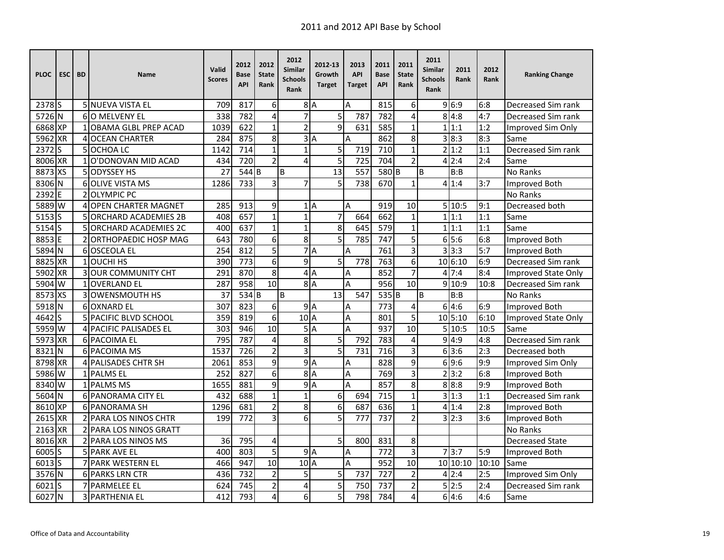| <b>PLOC</b>        | <b>ESC</b> | <b>BD</b> | Name                           | Valid<br><b>Scores</b> | 2012<br>Base<br><b>API</b> | 2012<br><b>State</b><br>Rank | 2012<br>Similar<br><b>Schools</b><br>Rank | 2012-13<br>Growth<br><b>Target</b> | 2013<br><b>API</b><br><b>Target</b> | 2011<br><b>Base</b><br><b>API</b> | 2011<br><b>State</b><br>Rank | 2011<br><b>Similar</b><br><b>Schools</b><br>Rank | 2011<br>Rank     | 2012<br>Rank | <b>Ranking Change</b>      |
|--------------------|------------|-----------|--------------------------------|------------------------|----------------------------|------------------------------|-------------------------------------------|------------------------------------|-------------------------------------|-----------------------------------|------------------------------|--------------------------------------------------|------------------|--------------|----------------------------|
| 2378 <sub>IS</sub> |            |           | 5 NUEVA VISTA EL               | 709                    | 817                        | 6                            |                                           | 8A                                 | A                                   | 815                               | 6                            |                                                  | 9 6:9            | 6:8          | Decreased Sim rank         |
| 5726 N             |            |           | <b>6IO MELVENY EL</b>          | 338                    | 782                        | $\overline{\mathbf{4}}$      | $\overline{7}$                            | 5                                  | 787                                 | 782                               | 4                            |                                                  | 8 4:8            | 4:7          | Decreased Sim rank         |
| 6868 XP            |            |           | 1 OBAMA GLBL PREP ACAD         | 1039                   | 622                        | $\mathbf{1}$                 | $\overline{c}$                            | $\overline{9}$                     | 631                                 | 585                               | $\mathbf{1}$                 |                                                  | 1 1:1            | 1:2          | Improved Sim Only          |
| 5962 XR            |            |           | <b>4 OCEAN CHARTER</b>         | 284                    | 875                        | 8                            |                                           | 3A                                 | A                                   | 862                               | 8                            | 3                                                | $\overline{8:3}$ | 8:3          | Same                       |
| 2372               | ls         |           | 5 OCHOA LC                     | 1142                   | 714                        | $\mathbf 1$                  | $\overline{1}$                            | 5                                  | 719                                 | 710                               | $\mathbf{1}$                 | $\overline{2}$                                   | 1:2              | 1:1          | Decreased Sim rank         |
| 8006 XR            |            |           | 1 O'DONOVAN MID ACAD           | 434                    | 720                        | $\overline{2}$               | 4                                         | 5                                  | 725                                 | 704                               | $\overline{2}$               | Δ                                                | 2:4              | 2:4          | Same                       |
| 8873 XS            |            |           | 5 ODYSSEY HS                   | 27                     | 544 B                      |                              | B                                         | 13                                 | 557                                 | 580 <sub>B</sub>                  |                              | B                                                | B:B              |              | No Ranks                   |
| 8306 N             |            |           | <b>6 OLIVE VISTA MS</b>        | 1286                   | 733                        | 3                            | $\overline{7}$                            | 5                                  | 738                                 | 670                               | 1                            | 4                                                | 1:4              | 3:7          | Improved Both              |
| 2392               | ΙE         |           | 2 OLYMPIC PC                   |                        |                            |                              |                                           |                                    |                                     |                                   |                              |                                                  |                  |              | No Ranks                   |
| 5889 W             |            | 4         | <b>OPEN CHARTER MAGNET</b>     | 285                    | 913                        | 9                            |                                           | 1A                                 | A                                   | 919                               | 10                           |                                                  | 5 10:5           | 9:1          | Decreased both             |
| 5153               | lS.        |           | <b>5 ORCHARD ACADEMIES 2B</b>  | 408                    | 657                        | $\mathbf{1}$                 | $\mathbf{1}$                              | 7                                  | 664                                 | 662                               | 1                            |                                                  | 1 1:1            | 1:1          | Same                       |
| 5154 S             |            |           | 5 ORCHARD ACADEMIES 2C         | 400                    | 637                        | $\mathbf 1$                  | $\mathbf 1$                               | 8                                  | 645                                 | 579                               | 1                            |                                                  | 1 1:1            | 1:1          | Same                       |
| 8853E              |            |           | <b>ORTHOPAEDIC HOSP MAG</b>    | 643                    | 780                        | 6                            | 8                                         | 5                                  | 785                                 | 747                               | 5                            |                                                  | 6 5:6            | 6:8          | Improved Both              |
| 5894 N             |            |           | 6 OSCEOLA EL                   | 254                    | 812                        | 5                            |                                           | 7A                                 | A                                   | 761                               | 3                            |                                                  | 3 3:3            | 5:7          | Improved Both              |
| 8825 XR            |            |           | <b>1</b> OUCHI HS              | 390                    | $\overline{773}$           | 6                            | $\overline{9}$                            | 5                                  | 778                                 | 763                               | 6                            |                                                  | 10 6:10          | 6:9          | Decreased Sim rank         |
| 5902 XR            |            |           | 3 OUR COMMUNITY CHT            | 291                    | 870                        | 8                            |                                           | 4A                                 | Α                                   | 852                               | $\overline{7}$               |                                                  | 47:4             | 8:4          | <b>Improved State Only</b> |
| 5904 W             |            |           | <b>1 OVERLAND EL</b>           | 287                    | 958                        | 10                           |                                           | 8A                                 | A                                   | 956                               | 10                           |                                                  | 910:9            | 10:8         | Decreased Sim rank         |
| 8573               | <b>XS</b>  |           | <b>3 OWENSMOUTH HS</b>         | 37                     | 534B                       |                              | B                                         | 13                                 | 547                                 | 535B                              |                              | B                                                | B:B              |              | <b>No Ranks</b>            |
| 5918 N             |            |           | 6 OXNARD EL                    | 307                    | 823                        | 6                            |                                           | 9A                                 | Α                                   | 773                               | 4                            |                                                  | 6 4:6            | 6:9          | Improved Both              |
| 4642 S             |            |           | <b>5 PACIFIC BLVD SCHOOL</b>   | 359                    | 819                        | $\overline{6}$               | 10A                                       |                                    | Α                                   | 801                               | 5                            |                                                  | 10 5:10          | 6:10         | Improved State Only        |
| 5959 W             |            |           | 4 PACIFIC PALISADES EL         | 303                    | 946                        | 10                           |                                           | 5A                                 | A                                   | 937                               | 10                           |                                                  | 5 10:5           | 10:5         | Same                       |
| 5973 XR            |            |           | 6 PACOIMA EL                   | 795                    | 787                        | 4                            | 8                                         | 5                                  | 792                                 | 783                               | 4                            |                                                  | 9 4:9            | 4:8          | Decreased Sim rank         |
| 8321               | N          |           | <b>6 PACOIMA MS</b>            | 1537                   | 726                        | $\overline{2}$               | 3                                         | 5                                  | 731                                 | 716                               | 3                            |                                                  | 613:6            | 2:3          | Decreased both             |
| 8798 XR            |            |           | <b>4 PALISADES CHTR SH</b>     | 2061                   | 853                        | 9                            |                                           | 9A                                 | Α                                   | 828                               | 9                            |                                                  | 6 9:6            | 9:9          | Improved Sim Only          |
| 5986 W             |            |           | 1 PALMS EL                     | 252                    | 827                        | 6                            |                                           | 8A                                 | Α                                   | 769                               | 3                            |                                                  | 2 3:2            | 6:8          | Improved Both              |
| 8340 W             |            |           | 1 PALMS MS                     | 1655                   | 881                        | 9                            | $\overline{9}$                            | A                                  | A                                   | 857                               | 8                            |                                                  | 8 8:8            | 9:9          | Improved Both              |
| 5604 N             |            |           | 6 PANORAMA CITY EL             | 432                    | 688                        | $\mathbf{1}$                 | $\overline{1}$                            | 6                                  | 694                                 | 715                               | $\mathbf{1}$                 | 3                                                | 1:3              | 1:1          | Decreased Sim rank         |
| 8610 XP            |            |           | 6 PANORAMA SH                  | 1296                   | 681                        | $\overline{2}$               | 8                                         | $\overline{6}$                     | 687                                 | 636                               | $\mathbf{1}$                 |                                                  | 4 1:4            | 2:8          | Improved Both              |
| 2615               | <b>XR</b>  |           | 2 IPARA LOS NINOS CHTR         | 199                    | 772                        | 3                            | 6                                         | 5                                  | 777                                 | 737                               | $\overline{2}$               |                                                  | 2:3              | 3:6          | Improved Both              |
| 2163               | <b>XR</b>  |           | <b>2 IPARA LOS NINOS GRATT</b> |                        |                            |                              |                                           |                                    |                                     |                                   |                              |                                                  |                  |              | No Ranks                   |
| 8016 XR            |            |           | 2 PARA LOS NINOS MS            | 36                     | 795                        | 4                            |                                           | 5                                  | 800                                 | 831                               | 8                            |                                                  |                  |              | <b>Decreased State</b>     |
| 6005S              |            |           | <b>5 PARK AVE EL</b>           | 400                    | 803                        | 5                            |                                           | 9A                                 | Α                                   | 772                               | 3                            |                                                  | 7 3:7            | 5:9          | <b>Improved Both</b>       |
| 6013 <sub>S</sub>  |            |           | <b>7 PARK WESTERN EL</b>       | 466                    | 947                        | 10                           | 10A                                       |                                    | A                                   | 952                               | 10                           |                                                  | 10 10:10         | 10:10        | Same                       |
| 3576 N             |            |           | <b>6IPARKS LRN CTR</b>         | 436                    | 732                        | $\overline{2}$               | 5                                         | 5                                  | 737                                 | 727                               | $\overline{2}$               |                                                  | 4 2:4            | 2:5          | Improved Sim Only          |
| 6021S              |            |           | <b>PARMELEE EL</b>             | 624                    | 745                        | $\overline{2}$               | 4                                         | 5                                  | 750                                 | 737                               | $\overline{2}$               |                                                  | 5 2:5            | 2:4          | Decreased Sim rank         |
| 6027               | lΝ         |           | 3 PARTHENIA EL                 | 412                    | 793                        | $\overline{4}$               | 6                                         | 5                                  | 798                                 | 784                               | 4                            |                                                  | 64:6             | 4:6          | Same                       |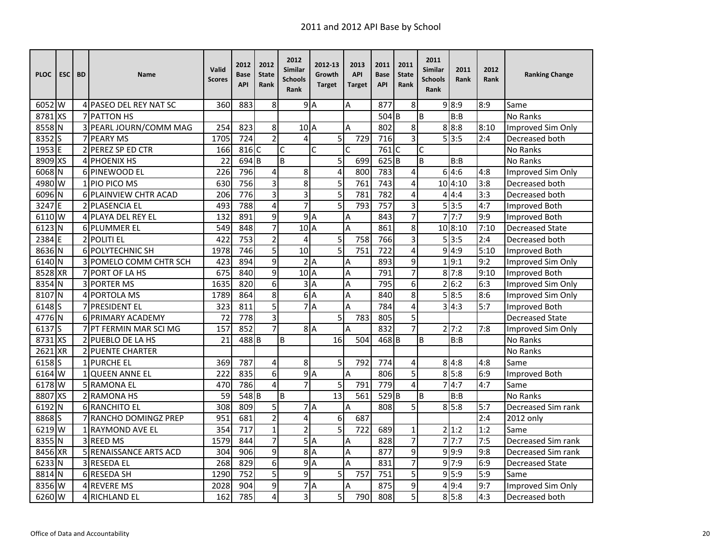| <b>PLOC</b>       | <b>ESC</b> | <b>BD</b> | <b>Name</b>                  | Valid<br><b>Scores</b> | 2012<br>Base<br><b>API</b> | 2012<br><b>State</b><br>Rank | 2012<br>Similar<br><b>Schools</b><br>Rank | 2012-13<br>Growth<br><b>Target</b> | 2013<br><b>API</b><br><b>Target</b> | 2011<br><b>Base</b><br><b>API</b> | 2011<br><b>State</b><br>Rank | 2011<br><b>Similar</b><br><b>Schools</b><br>Rank | 2011<br>Rank  | 2012<br>Rank | <b>Ranking Change</b>  |
|-------------------|------------|-----------|------------------------------|------------------------|----------------------------|------------------------------|-------------------------------------------|------------------------------------|-------------------------------------|-----------------------------------|------------------------------|--------------------------------------------------|---------------|--------------|------------------------|
| 6052 W            |            |           | 4 PASEO DEL REY NAT SC       | 360                    | 883                        | 8                            |                                           | 9A                                 | A                                   | 877                               | 8                            |                                                  | 9 8:9         | 8:9          | Same                   |
| 8781 XS           |            |           | 7 PATTON HS                  |                        |                            |                              |                                           |                                    |                                     | 504                               | B                            | B                                                | B:B           |              | <b>No Ranks</b>        |
| 8558 N            |            |           | 3 PEARL JOURN/COMM MAG       | 254                    | 823                        | 8                            | $102$ A                                   |                                    | A                                   | 802                               | 8                            |                                                  | 8 8:8         | 8:10         | Improved Sim Only      |
| 8352              | S          |           | 7 PEARY MS                   | 1705                   | 724                        | $\overline{2}$               | 4                                         | 5                                  | 729                                 | 716                               | 3                            |                                                  | 5 3:5         | 2:4          | Decreased both         |
| 1953              | E          |           | 2 <b>PEREZ SP ED CTR</b>     | 166                    | 816 C                      |                              | C                                         | C                                  | C                                   | 761                               | $\mathsf{C}$                 | С                                                |               |              | <b>No Ranks</b>        |
| 8909 XS           |            |           | <b>4 PHOENIX HS</b>          | 22                     | 694 <sub>B</sub>           |                              | B                                         | 5                                  | 699                                 | 625B                              |                              | B                                                | B:B           |              | No Ranks               |
| 6068 N            |            |           | 6 PINEWOOD EL                | 226                    | 796                        | 4                            | 8                                         | $\overline{\mathbf{4}}$            | 800                                 | 783                               | 4                            |                                                  | 614:6         | 4:8          | Improved Sim Only      |
| 4980              | W          |           | 1 PIO PICO MS                | 630                    | 756                        | 3                            | 8                                         | 5                                  | 761                                 | 743                               | 4                            |                                                  | 10 4:10       | 3:8          | Decreased both         |
| 6096 N            |            |           | 6 PLAINVIEW CHTR ACAD        | 206                    | 776                        | 3                            | 3                                         | $\overline{5}$                     | 781                                 | 782                               | 4                            | 4                                                | 4:4           | 3:3          | Decreased both         |
| 3247              | F          |           | 2 PLASENCIA EL               | 493                    | 788                        | 4                            | $\overline{7}$                            | 5                                  | 793                                 | 757                               | 3                            |                                                  | 513:5         | 4:7          | Improved Both          |
| 6110              | W          |           | <b>4 PLAYA DEL REY EL</b>    | 132                    | 891                        | 9                            |                                           | 9A                                 | Α                                   | 843                               | 7                            |                                                  | 7!7:7         | 9:9          | Improved Both          |
| 6123              | N          |           | <b>6 PLUMMER EL</b>          | 549                    | 848                        | $\overline{7}$               | 10 <sub>A</sub>                           |                                    | A                                   | 861                               | 8                            |                                                  | 10 8:10       | 7:10         | <b>Decreased State</b> |
| 2384E             |            |           | 2 POLITI EL                  | 422                    | 753                        | $\overline{2}$               | 4                                         | 5                                  | 758                                 | 766                               | 3                            |                                                  | 5 3:5         | 2:4          | Decreased both         |
| 8636 N            |            |           | <b>6 POLYTECHNIC SH</b>      | 1978                   | 746                        | 5                            | 10                                        | $\overline{5}$                     | 751                                 | 722                               | 4                            |                                                  | 9 4:9         | 5:10         | Improved Both          |
| 6140 N            |            |           | 3 POMELO COMM CHTR SCH       | 423                    | 894                        | 9                            |                                           | 2A                                 | A                                   | 893                               | 9                            |                                                  | 1 9:1         | 9:2          | Improved Sim Only      |
| 8528              | <b>XR</b>  |           | <b>7 PORT OF LA HS</b>       | 675                    | 840                        | 9                            | $102$ A                                   |                                    | A                                   | 791                               | 7                            |                                                  | 8 7:8         | 9:10         | <b>Improved Both</b>   |
| 8354              | N          |           | <b>3 PORTER MS</b>           | 1635                   | 820                        | 6                            | $\overline{3}$                            | $\overline{A}$                     | Α                                   | 795                               | 6                            |                                                  | 2 6:2         | 6:3          | Improved Sim Only      |
| 8107              | N          |           | 4 PORTOLA MS                 | 1789                   | 864                        | 8                            | 6                                         | $\overline{A}$                     | Α                                   | 840                               | 8                            | 5                                                | 8:5           | 8:6          | Improved Sim Only      |
| 6148 <sub>S</sub> |            |           | <b>7 PRESIDENT EL</b>        | 323                    | 811                        | 5                            |                                           | 7A                                 | A                                   | 784                               | 4                            |                                                  | 4:3           | 5:7          | Improved Both          |
| 4776 N            |            |           | <b>6 PRIMARY ACADEMY</b>     | 72                     | 778                        | 3                            |                                           | 5                                  | 783                                 | 805                               | 5                            |                                                  |               |              | <b>Decreased State</b> |
| 6137S             |            |           | 7 PT FERMIN MAR SCI MG       | 157                    | 852                        | $\overline{7}$               |                                           | 8A                                 | A                                   | 832                               | $\overline{7}$               |                                                  | $2 \cdot 7:2$ | 7:8          | Improved Sim Only      |
| 8731 XS           |            |           | 2 PUEBLO DE LA HS            | 21                     | 488 <sub>B</sub>           |                              | B                                         | 16                                 | 504                                 | 468 <sub>B</sub>                  |                              | B                                                | B:B           |              | No Ranks               |
| 2621              | <b>XR</b>  |           | <b>2 PUENTE CHARTER</b>      |                        |                            |                              |                                           |                                    |                                     |                                   |                              |                                                  |               |              | <b>No Ranks</b>        |
| 6158 <sub>S</sub> |            |           | 1 PURCHE EL                  | 369                    | 787                        | 4                            | 8                                         | 5                                  | 792                                 | 774                               | 4                            |                                                  | 8 4:8         | 4:8          | Same                   |
| 6164 W            |            |           | 1 QUEEN ANNE EL              | 222                    | 835                        | 6                            |                                           | 9A                                 | A                                   | 806                               | 5                            |                                                  | 8 5:8         | 6:9          | Improved Both          |
| 6178 W            |            |           | <b>5 RAMONA EL</b>           | 470                    | 786                        | 4                            | $\overline{7}$                            | $\overline{5}$                     | 791                                 | 779                               | 4                            |                                                  | 4:7           | 4:7          | Same                   |
| 8807              | XS         |           | 2 RAMONA HS                  | 59                     | 548 B                      |                              | B                                         | 13                                 | 561                                 | $529$ B                           |                              | B                                                | B:B           |              | No Ranks               |
| 6192              | N          |           | 6 RANCHITO EL                | 308                    | 809                        | 5                            |                                           | 7A                                 | A                                   | 808                               | 5                            |                                                  | 8 5:8         | 5:7          | Decreased Sim rank     |
| 8868              | S          |           | <b>7 RANCHO DOMINGZ PREP</b> | 951                    | 681                        | $\overline{2}$               | 4                                         | 6                                  | 687                                 |                                   |                              |                                                  |               | 2:4          | 2012 only              |
| 6219 W            |            |           | 1 RAYMOND AVE EL             | 354                    | 717                        | $\mathbf{1}$                 | $\overline{2}$                            | 5                                  | 722                                 | 689                               | $\mathbf 1$                  |                                                  | 2 1:2         | 1:2          | Same                   |
| 8355 N            |            |           | 3 REED MS                    | 1579                   | 844                        | $\overline{7}$               |                                           | 5A                                 | A                                   | 828                               | 7                            |                                                  | 7!7:7         | 7:5          | Decreased Sim rank     |
| 8456 XR           |            |           | 5 RENAISSANCE ARTS ACD       | 304                    | 906                        | $\overline{9}$               | 8A                                        |                                    | Α                                   | 877                               | 9                            |                                                  | 9 9:9         | 9:8          | Decreased Sim rank     |
| 6233 N            |            |           | 3 RESEDA EL                  | 268                    | 829                        | 6                            |                                           | 9A                                 | A                                   | 831                               | $\overline{7}$               |                                                  | 9'7:9         | 6:9          | <b>Decreased State</b> |
| 8814              | N          |           | 6 RESEDA SH                  | 1290                   | 752                        | 5                            | 9                                         | 5                                  | 757                                 | 751                               | 5                            |                                                  | 9 5:9         | 5:9          | Same                   |
| 8356              | W          |           | <b>4 REVERE MS</b>           | 2028                   | 904                        | 9                            |                                           | 7A                                 | A                                   | 875                               | 9                            |                                                  | 4 9:4         | 9:7          | Improved Sim Only      |
| 6260 W            |            |           | 4 RICHLAND EL                | 162                    | 785                        | 4                            | 3                                         | 5                                  | 790                                 | 808                               | 5                            |                                                  | 8 5:8         | 4:3          | Decreased both         |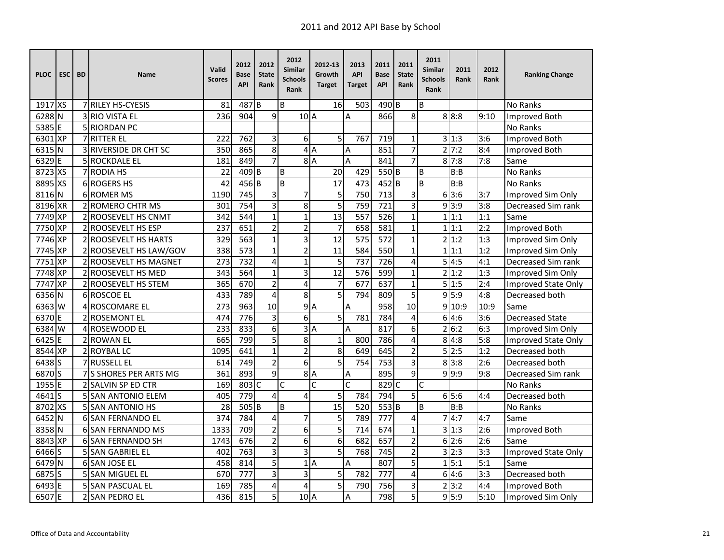| <b>PLOC</b> | <b>ESC</b> | <b>BD</b> | <b>Name</b>                  | Valid<br><b>Scores</b> | 2012<br>Base<br><b>API</b> | 2012<br><b>State</b><br>Rank | 2012<br>Similar<br><b>Schools</b><br>Rank | 2012-13<br>Growth<br><b>Target</b> | 2013<br><b>API</b><br><b>Target</b> | 2011<br><b>Base</b><br><b>API</b> | 2011<br><b>State</b><br>Rank | 2011<br><b>Similar</b><br><b>Schools</b><br>Rank | 2011<br>Rank | 2012<br>Rank     | <b>Ranking Change</b>      |
|-------------|------------|-----------|------------------------------|------------------------|----------------------------|------------------------------|-------------------------------------------|------------------------------------|-------------------------------------|-----------------------------------|------------------------------|--------------------------------------------------|--------------|------------------|----------------------------|
| 1917 XS     |            |           | 7 RILEY HS-CYESIS            | 81                     | 487 <sub>B</sub>           |                              | B                                         | 16                                 | 503                                 | $490$ <sub>B</sub>                |                              | B                                                |              |                  | <b>No Ranks</b>            |
| 6288 N      |            |           | <b>3 RIO VISTA EL</b>        | 236                    | 904                        | 9                            | $10$ <sup>A</sup>                         |                                    | A                                   | 866                               | 8                            |                                                  | 8 8:8        | 9:10             | Improved Both              |
| 5385 E      |            |           | 5 RIORDAN PC                 |                        |                            |                              |                                           |                                    |                                     |                                   |                              |                                                  |              |                  | No Ranks                   |
| 6301        | XP         |           | 7 RITTER EL                  | 222                    | $\overline{762}$           | 3                            | 6                                         | 5                                  | 767                                 | 719                               | 1                            |                                                  | 3 1:3        | 3:6              | Improved Both              |
| 6315        | N          |           | <b>3 RIVERSIDE DR CHT SC</b> | 350                    | 865                        | 8                            |                                           | 4A                                 | Α                                   | 851                               | 7                            |                                                  | 2 7:2        | 8:4              | Improved Both              |
| 6329        | E          |           | 5 ROCKDALE EL                | 181                    | 849                        | 7                            |                                           | 8A                                 | A                                   | 841                               | 7                            |                                                  | 817:8        | 7:8              | Same                       |
| 8723 XS     |            |           | 7 RODIA HS                   | 22                     | 409 <sub>B</sub>           |                              | B                                         | 20                                 | 429                                 | 550 <sub>B</sub>                  |                              | B                                                | B:B          |                  | No Ranks                   |
| 8895 XS     |            |           | 6 ROGERS HS                  | 42                     | 456 B                      |                              | B                                         | 17                                 | 473                                 | $452$ B                           |                              | B                                                | B:B          |                  | <b>No Ranks</b>            |
| 8116 N      |            |           | <b>6 ROMER MS</b>            | 1190                   | 745                        | 3                            | $\overline{7}$                            | 5                                  | 750                                 | 713                               | 3                            |                                                  | 63:6         | 3:7              | Improved Sim Only          |
| 8196 XR     |            |           | <b>2 ROMERO CHTR MS</b>      | 301                    | 754                        | 3                            | 8                                         | 5                                  | 759                                 | 721                               | 3                            |                                                  | 9 3:9        | 3:8              | Decreased Sim rank         |
| 7749        | <b>XP</b>  |           | 2 ROOSEVELT HS CNMT          | 342                    | 544                        | $\mathbf{1}$                 | $\overline{1}$                            | 13                                 | 557                                 | 526                               | $\mathbf{1}$                 |                                                  | 1 1:1        | 1:1              | Same                       |
| 7750 XP     |            |           | 2 ROOSEVELT HS ESP           | 237                    | 651                        | $\mathbf 2$                  | $\overline{c}$                            | $\overline{7}$                     | 658                                 | 581                               | $\mathbf{1}$                 |                                                  | 1 1:1        | 2:2              | Improved Both              |
| 7746 XP     |            |           | 2 ROOSEVELT HS HARTS         | 329                    | 563                        | $\mathbf{1}$                 | 3                                         | 12                                 | 575                                 | 572                               | $\mathbf 1$                  |                                                  | 2 1:2        | 1:3              | Improved Sim Only          |
| 7745 XP     |            |           | 2 ROOSEVELT HS LAW/GOV       | 338                    | 573                        | $\mathbf{1}$                 | $\overline{2}$                            | 11                                 | 584                                 | 550                               | $\mathbf 1$                  |                                                  | 1 1:1        | 1:2              | Improved Sim Only          |
| 7751 XP     |            |           | 2 ROOSEVELT HS MAGNET        | 273                    | 732                        | 4                            | $\mathbf{1}$                              | 5                                  | 737                                 | 726                               | 4                            |                                                  | 5 4:5        | 4:1              | Decreased Sim rank         |
| 7748 XP     |            |           | 2 ROOSEVELT HS MED           | 343                    | 564                        | $\mathbf{1}$                 | 3                                         | 12                                 | 576                                 | 599                               | $\mathbf 1$                  |                                                  | 2 1:2        | 1:3              | Improved Sim Only          |
| 7747        | <b>XP</b>  |           | 2 ROOSEVELT HS STEM          | 365                    | 670                        | $\overline{2}$               | 4                                         | 7                                  | 677                                 | 637                               | $\mathbf{1}$                 |                                                  | 5 1:5        | 2:4              | <b>Improved State Only</b> |
| 6356        | N          |           | 6 ROSCOE EL                  | 433                    | 789                        | 4                            | 8                                         | $\overline{5}$                     | 794                                 | 809                               | 5                            |                                                  | 9 5:9        | 4:8              | Decreased both             |
| 6363        | W          |           | 4 ROSCOMARE EL               | 273                    | 963                        | 10                           |                                           | 9A                                 | A                                   | 958                               | 10                           |                                                  | 9 10:9       | 10:9             | Same                       |
| 6370 E      |            |           | 2 ROSEMONT EL                | 474                    | 776                        | 3                            | 6                                         | 5                                  | 781                                 | 784                               | $\overline{4}$               |                                                  | 614:6        | 3:6              | <b>Decreased State</b>     |
| 6384 W      |            |           | 4 ROSEWOOD EL                | 233                    | 833                        | $\overline{6}$               | 3                                         | ΙA                                 | A                                   | 817                               | 6                            |                                                  | 2 6:2        | 6:3              | Improved Sim Only          |
| 6425 E      |            |           | 2 ROWAN EL                   | 665                    | 799                        | 5                            | 8                                         | $\mathbf 1$                        | 800                                 | 786                               | 4                            |                                                  | 8 4:8        | 5:8              | <b>Improved State Only</b> |
| 8544 XP     |            |           | 2 ROYBAL LC                  | 1095                   | 641                        | $\mathbf{1}$                 | $\overline{2}$                            | 8                                  | 649                                 | 645                               | $\overline{2}$               |                                                  | 5 2:5        | 1:2              | Decreased both             |
| 6438 S      |            |           | 7 RUSSELL EL                 | 614                    | 749                        | $\overline{2}$               | 6                                         | 5                                  | 754                                 | 753                               | 3                            |                                                  | 8 3:8        | 2:6              | Decreased both             |
| 6870S       |            |           | 7 S SHORES PER ARTS MG       | 361                    | 893                        | 9                            |                                           | 8A                                 | Α                                   | 895                               | 9                            |                                                  | 9.9:9        | 9:8              | Decreased Sim rank         |
| 1955 E      |            |           | 2 SALVIN SP ED CTR           | 169                    | 803 C                      |                              | C                                         | $\mathsf{C}$                       | $\overline{C}$                      | 829 C                             |                              | $\mathsf{C}$                                     |              |                  | No Ranks                   |
| $4641$ S    |            |           | 5 SAN ANTONIO ELEM           | 405                    | 779                        | 4                            | 4                                         | 5                                  | 784                                 | 794                               | 5                            |                                                  | 65:6         | 4:4              | Decreased both             |
| 8702 XS     |            |           | <b>5 SAN ANTONIO HS</b>      | 28                     | 505 <sub>B</sub>           |                              | B                                         | $\overline{15}$                    | 520                                 | 553 B                             |                              | B                                                | B:B          |                  | <b>No Ranks</b>            |
| 6452        | N          |           | <b>6 SAN FERNANDO EL</b>     | 374                    | 784                        | 4                            | 7                                         | 5                                  | 789                                 | $\overline{777}$                  | 4                            |                                                  | 74:7         | 4:7              | Same                       |
| 8358        | N          |           | <b>6 SAN FERNANDO MS</b>     | 1333                   | 709                        | $\overline{2}$               | 6                                         | 5                                  | 714                                 | 674                               | $\mathbf{1}$                 |                                                  | 3 1:3        | 2:6              | <b>Improved Both</b>       |
| 8843        | <b>XP</b>  |           | <b>6 ISAN FERNANDO SH</b>    | 1743                   | 676                        | $\overline{2}$               | 6                                         | 6                                  | 682                                 | 657                               | $\overline{2}$               |                                                  | 6 2:6        | 2:6              | Same                       |
| 6466        | S          |           | 5 SAN GABRIEL EL             | 402                    | 763                        | $\overline{3}$               | $\overline{3}$                            | $\overline{5}$                     | 768                                 | $\overline{745}$                  | $\overline{2}$               |                                                  | 3 2:3        | 3:3              | Improved State Only        |
| 6479 N      |            |           | 6 SAN JOSE EL                | 458                    | 814                        | $\overline{5}$               |                                           | 1A                                 | $\overline{A}$                      | 807                               | 5                            |                                                  | 1 5:1        | $\overline{5:1}$ | Same                       |
| 6875 S      |            |           | 5 SAN MIGUEL EL              | 670                    | 777                        | 3                            | 3                                         | 5                                  | 782                                 | 777                               | 4                            |                                                  | 64:6         | 3:3              | Decreased both             |
| 6493 E      |            |           | 5 SAN PASCUAL EL             | 169                    | 785                        | 4                            | 4                                         | 5                                  | 790                                 | 756                               | 3                            |                                                  | 2 3:2        | 4:4              | Improved Both              |
| 6507        | E          |           | 2 SAN PEDRO EL               | 436                    | 815                        | 5                            | $102$ A                                   |                                    | A                                   | 798                               | 5                            |                                                  | 9 5:9        | 5:10             | Improved Sim Only          |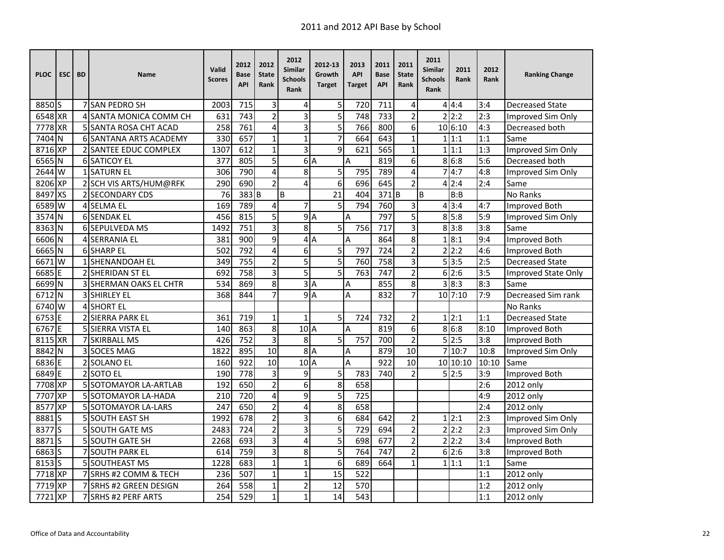| <b>PLOC</b> | ESC <sub>I</sub> | <b>BD</b> | <b>Name</b>                   | Valid<br><b>Scores</b> | 2012<br>Base<br><b>API</b> | 2012<br><b>State</b><br>Rank | 2012<br>Similar<br><b>Schools</b><br>Rank | 2012-13<br>Growth<br><b>Target</b> | 2013<br><b>API</b><br><b>Target</b> | 2011<br><b>Base</b><br><b>API</b> | 2011<br><b>State</b><br>Rank | 2011<br>Similar<br><b>Schools</b><br>Rank | 2011<br>Rank | 2012<br>Rank | <b>Ranking Change</b>  |
|-------------|------------------|-----------|-------------------------------|------------------------|----------------------------|------------------------------|-------------------------------------------|------------------------------------|-------------------------------------|-----------------------------------|------------------------------|-------------------------------------------|--------------|--------------|------------------------|
| 8850 S      |                  |           | <b>7 ISAN PEDRO SH</b>        | 2003                   | 715                        | 3                            | 4                                         | 5                                  | 720                                 | 711                               | 4                            |                                           | 4   4:4      | 3:4          | <b>Decreased State</b> |
| 6548 XR     |                  |           | 4 SANTA MONICA COMM CH        | 631                    | 743                        | $\overline{2}$               | 3                                         | $\overline{5}$                     | 748                                 | 733                               | $\overline{2}$               | $\overline{\phantom{a}}$                  | 2:2          | 2:3          | Improved Sim Only      |
| 7778 XR     |                  |           | 5 SANTA ROSA CHT ACAD         | 258                    | 761                        | 4                            | 3                                         | 5                                  | 766                                 | 800                               | 6                            |                                           | 10 6:10      | 4:3          | Decreased both         |
| 7404 N      |                  |           | <b>6 SANTANA ARTS ACADEMY</b> | 330                    | 657                        | $\mathbf{1}$                 | $\mathbf{1}$                              | $\overline{7}$                     | 664                                 | 643                               | $\mathbf{1}$                 |                                           | 1 1:1        | 1:1          | Same                   |
| 8716 XP     |                  |           | 2 SANTEE EDUC COMPLEX         | 1307                   | 612                        | $\mathbf{1}$                 | 3                                         | 9                                  | 621                                 | 565                               | $\mathbf{1}$                 | $\mathbf{1}$                              | 1:1          | 1:3          | Improved Sim Only      |
| 6565N       |                  |           | <b>6 SATICOY EL</b>           | 377                    | 805                        | 5                            |                                           | 6A                                 | A                                   | 819                               | 6                            |                                           | 8 6:8        | 5:6          | Decreased both         |
| 2644 W      |                  |           | 1 SATURN EL                   | 306                    | 790                        | $\overline{4}$               | 8                                         | 5                                  | 795                                 | 789                               | 4                            |                                           | 4:7          | 4:8          | Improved Sim Only      |
| 8206 XP     |                  |           | 2 SCH VIS ARTS/HUM@RFK        | 290                    | 690                        | $\overline{2}$               | $\overline{a}$                            | 6                                  | 696                                 | 645                               | $\overline{2}$               | Δ                                         | 2:4          | 2:4          | Same                   |
| 8497 XS     |                  |           | 2 SECONDARY CDS               | 76                     | 383B                       |                              | B                                         | $\overline{21}$                    | 404                                 | 371B                              |                              | B                                         | B:B          |              | No Ranks               |
| 6589 W      |                  |           | 4 SELMA EL                    | 169                    | 789                        | 4                            | $\overline{7}$                            | 5                                  | 794                                 | 760                               | 3                            |                                           | 4 3:4        | 4:7          | <b>Improved Both</b>   |
| 3574 N      |                  |           | <b>6 SENDAK EL</b>            | 456                    | 815                        | 5                            |                                           | 9A                                 | A                                   | 797                               | 5                            |                                           | 8 5:8        | 5:9          | Improved Sim Only      |
| 8363 N      |                  |           | 6 SEPULVEDA MS                | 1492                   | 751                        | 3                            | 8                                         | 5                                  | 756                                 | 717                               | 3                            |                                           | 8 3:8        | 3:8          | Same                   |
| 6606 N      |                  |           | 4 SERRANIA EL                 | 381                    | 900                        | 9                            |                                           | 4A                                 | A                                   | 864                               | 8                            | $\mathbf{1}$                              | 8:1          | 9:4          | Improved Both          |
| 6665N       |                  |           | 6 SHARP EL                    | 502                    | 792                        | 4                            | 6                                         | 5                                  | 797                                 | 724                               | $\overline{2}$               |                                           | 2 2:2        | 4:6          | <b>Improved Both</b>   |
| 6671W       |                  |           | 1 SHENANDOAH EL               | 349                    | 755                        | $\overline{2}$               | 5                                         | $\overline{5}$                     | 760                                 | $\overline{758}$                  | 3                            |                                           | 5 3:5        | 2:5          | <b>Decreased State</b> |
| 6685 E      |                  |           | <b>2ISHERIDAN ST EL</b>       | 692                    | 758                        | 3                            | 5                                         | 5                                  | 763                                 | 747                               | $\overline{2}$               |                                           | 6 2:6        | 3:5          | Improved State Only    |
| 6699 N      |                  |           | 3 SHERMAN OAKS EL CHTR        | 534                    | 869                        | 8                            |                                           | 3A                                 | Α                                   | 855                               | 8                            |                                           | 8:3          | 8:3          | Same                   |
| 6712        | <b>N</b>         |           | 3 SHIRLEY EL                  | 368                    | 844                        | $\overline{7}$               |                                           | 9A                                 | A                                   | 832                               | $\overline{7}$               |                                           | $10$ 7:10    | 7:9          | Decreased Sim rank     |
| 6740 W      |                  |           | <b>4 SHORT EL</b>             |                        |                            |                              |                                           |                                    |                                     |                                   |                              |                                           |              |              | No Ranks               |
| 6753 E      |                  |           | 2 SIERRA PARK EL              | 361                    | 719                        | $\mathbf{1}$                 | $\mathbf 1$                               | 5                                  | 724                                 | 732                               | $\overline{2}$               |                                           | 1 2:1        | 1:1          | <b>Decreased State</b> |
| 6767 E      |                  |           | 5 SIERRA VISTA EL             | 140                    | 863                        | 8                            | 10A                                       |                                    | A                                   | 819                               | 6                            |                                           | 8 6:8        | 8:10         | <b>Improved Both</b>   |
| 8115 XR     |                  |           | <b>7 SKIRBALL MS</b>          | 426                    | 752                        | 3                            | 8                                         | 5                                  | 757                                 | 700                               | $\overline{2}$               |                                           | 5 2:5        | 3:8          | Improved Both          |
| 8842 N      |                  |           | 3 SOCES MAG                   | 1822                   | 895                        | 10                           |                                           | 8A                                 | A                                   | 879                               | 10                           |                                           | 710:7        | 10:8         | Improved Sim Only      |
| 6836 E      |                  |           | 2 SOLANO EL                   | 160                    | 922                        | 10                           | 10 <sub>A</sub>                           |                                    | A                                   | 922                               | 10                           |                                           | 10 10:10     | 10:10        | Same                   |
| 6849 E      |                  |           | 2 SOTO EL                     | 190                    | 778                        | 3                            | 9                                         | 5                                  | 783                                 | 740                               | $\overline{2}$               |                                           | 5 2:5        | 3:9          | Improved Both          |
| 7708 XP     |                  |           | 5 SOTOMAYOR LA-ARTLAB         | 192                    | 650                        | $\overline{2}$               | 6                                         | $\overline{8}$                     | 658                                 |                                   |                              |                                           |              | 2:6          | 2012 only              |
| 7707 XP     |                  |           | 5 SOTOMAYOR LA-HADA           | 210                    | 720                        | $\overline{\mathbf{4}}$      | 9                                         | 5                                  | 725                                 |                                   |                              |                                           |              | 4:9          | 2012 only              |
| 8577 XP     |                  |           | 5 SOTOMAYOR LA-LARS           | 247                    | 650                        | $\overline{2}$               | 4                                         | $\overline{8}$                     | 658                                 |                                   |                              |                                           |              | 2:4          | 2012 only              |
| 8881S       |                  |           | <b>5 SOUTH EAST SH</b>        | 1992                   | 678                        | $\overline{2}$               | 3                                         | 6                                  | 684                                 | 642                               | $\overline{2}$               |                                           | 1 2:1        | 2:3          | Improved Sim Only      |
| 8377        | ls               |           | 5 SOUTH GATE MS               | 2483                   | 724                        | $\overline{2}$               | 3                                         | 5                                  | 729                                 | 694                               | $\overline{2}$               |                                           | 2 2:2        | 2:3          | Improved Sim Only      |
| 8871S       |                  |           | 5 SOUTH GATE SH               | 2268                   | 693                        | 3                            | $\overline{4}$                            | 5                                  | 698                                 | 677                               | $\overline{c}$               | $\overline{2}$                            | 2:2          | 3:4          | <b>Improved Both</b>   |
| 6863 S      |                  |           | 7 SOUTH PARK EL               | 614                    | 759                        | 3                            | 8                                         | 5                                  | 764                                 | 747                               | 2                            |                                           | 6 2:6        | 3:8          | Improved Both          |
| 8153 S      |                  |           | 5 SOUTHEAST MS                | 1228                   | 683                        | $\mathbf{1}$                 | $\mathbf{1}$                              | 6                                  | 689                                 | 664                               | $\mathbf{1}$                 | $\mathbf{1}$                              | 1:1          | 1:1          | Same                   |
| 7718 XP     |                  |           | 7 SRHS #2 COMM & TECH         | 236                    | 507                        | $\mathbf{1}$                 | $\overline{1}$                            | $\overline{15}$                    | 522                                 |                                   |                              |                                           |              | 1:1          | 2012 only              |
| 7719 XP     |                  |           | <b>ISRHS #2 GREEN DESIGN</b>  | 264                    | 558                        | $\mathbf{1}$                 | $\overline{2}$                            | 12                                 | 570                                 |                                   |                              |                                           |              | 1:2          | 2012 only              |
| 7721 XP     |                  |           | 7 SRHS #2 PERF ARTS           | 254                    | 529                        | $\mathbf{1}$                 | $\mathbf{1}$                              | 14                                 | 543                                 |                                   |                              |                                           |              | 1:1          | 2012 only              |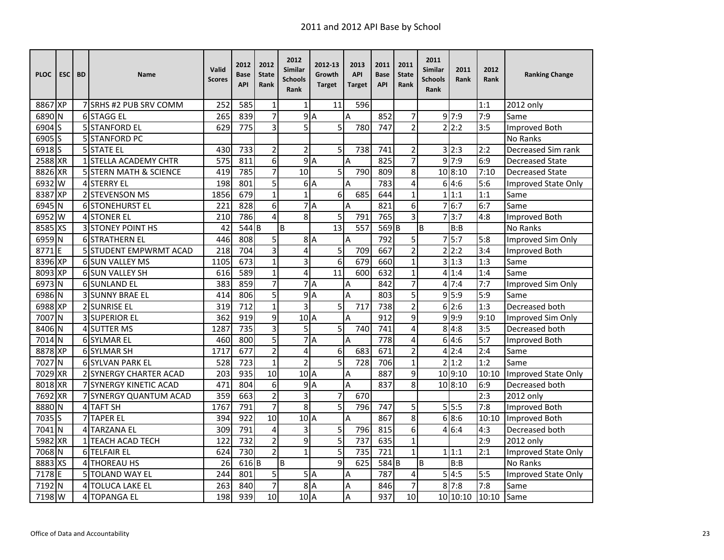| <b>PLOC</b>       | <b>ESC</b> | <b>BD</b> | Name                          | Valid<br><b>Scores</b> | 2012<br>Base<br><b>API</b> | 2012<br><b>State</b><br>Rank | 2012<br><b>Similar</b><br><b>Schools</b><br>Rank | 2012-13<br>Growth<br><b>Target</b> | 2013<br><b>API</b><br><b>Target</b> | 2011<br><b>Base</b><br><b>API</b> | 2011<br><b>State</b><br>Rank | 2011<br><b>Similar</b><br><b>Schools</b><br>Rank | 2011<br>Rank      | 2012<br>Rank | <b>Ranking Change</b>  |
|-------------------|------------|-----------|-------------------------------|------------------------|----------------------------|------------------------------|--------------------------------------------------|------------------------------------|-------------------------------------|-----------------------------------|------------------------------|--------------------------------------------------|-------------------|--------------|------------------------|
| 8867 XP           |            |           | 7 SRHS #2 PUB SRV COMM        | 252                    | 585                        | $\mathbf{1}$                 | $\mathbf{1}$                                     | 11                                 | 596                                 |                                   |                              |                                                  |                   | 1:1          | 2012 only              |
| 6890 N            |            |           | 6 STAGG EL                    | 265                    | 839                        | $\overline{7}$               |                                                  | 9A                                 | A                                   | 852                               | 7                            |                                                  | $9 \, 7:9$        | 7:9          | Same                   |
| 6904 <sub>S</sub> |            |           | <b>5 STANFORD EL</b>          | 629                    | 775                        | $\overline{3}$               | $\overline{5}$                                   | 5                                  | 780                                 | 747                               | $\overline{2}$               |                                                  | 2 2:2             | 3:5          | Improved Both          |
| 6905 <sub>S</sub> |            |           | 5 STANFORD PC                 |                        |                            |                              |                                                  |                                    |                                     |                                   |                              |                                                  |                   |              | No Ranks               |
| 6918 <sub>S</sub> |            |           | <b>5 STATE EL</b>             | 430                    | 733                        | $\overline{2}$               | $\overline{2}$                                   | 5                                  | 738                                 | 741                               | 2                            |                                                  | 3 2:3             | 2:2          | Decreased Sim rank     |
| 2588 XR           |            |           | 1 STELLA ACADEMY CHTR         | 575                    | 811                        | $\overline{6}$               |                                                  | 9A                                 | A                                   | 825                               | $\overline{7}$               |                                                  | $9\overline{7:9}$ | 6:9          | <b>Decreased State</b> |
| 8826 XR           |            |           | 5 STERN MATH & SCIENCE        | 419                    | 785                        | $\overline{7}$               | 10                                               | 5                                  | 790                                 | 809                               | 8                            |                                                  | 10 8:10           | 7:10         | <b>Decreased State</b> |
| 6932              | W          |           | <b>4 STERRY EL</b>            | 198                    | 801                        | 5                            |                                                  | 6 <sup>A</sup>                     | A                                   | 783                               | 4                            |                                                  | 614:6             | 5:6          | Improved State Only    |
| 8387              | <b>XP</b>  |           | 2 STEVENSON MS                | 1856                   | 679                        | $\mathbf{1}$                 | $\overline{1}$                                   | 6                                  | 685                                 | 644                               | $\mathbf 1$                  |                                                  | 1 1:1             | 1:1          | Same                   |
| 6945              | N          |           | 6 STONEHURST EL               | 221                    | 828                        | 6                            |                                                  | 7A                                 | A                                   | 821                               | 6                            | 7                                                | 6:7               | 6:7          | Same                   |
| 6952              | W          |           | <b>4 STONER EL</b>            | 210                    | 786                        | 4                            | 8                                                | 5                                  | 791                                 | 765                               | 3                            | 7                                                | 3:7               | 4:8          | <b>Improved Both</b>   |
| 8585 XS           |            |           | 3 STONEY POINT HS             | 42                     | $544$ B                    |                              | B                                                | $\overline{13}$                    | 557                                 | 569 <sub>B</sub>                  |                              | B                                                | B:B               |              | No Ranks               |
| 6959 N            |            |           | <b>6 STRATHERN EL</b>         | 446                    | 808                        | 5                            |                                                  | 8A                                 | $\overline{A}$                      | 792                               | 5                            |                                                  | 75:7              | 5:8          | Improved Sim Only      |
| 8771              | E          |           | <b>5 STUDENT EMPWRMT ACAD</b> | 218                    | 704                        | 3                            | 4                                                | 5                                  | 709                                 | 667                               | $\overline{2}$               |                                                  | 2 2:2             | 3:4          | Improved Both          |
| 8396 XP           |            |           | 6 SUN VALLEY MS               | 1105                   | 673                        | $\mathbf{1}$                 | 3                                                | $\overline{6}$                     | 679                                 | 660                               | $\mathbf{1}$                 |                                                  | 3 1:3             | 1:3          | Same                   |
| 8093              | <b>XP</b>  |           | 6 SUN VALLEY SH               | 616                    | 589                        | $\mathbf{1}$                 | 4                                                | 11                                 | 600                                 | 632                               | $\mathbf{1}$                 |                                                  | 41:4              | 1:4          | Same                   |
| 6973              | N          |           | <b>6 SUNLAND EL</b>           | 383                    | 859                        | $\overline{7}$               | $\overline{7}$                                   | ΙA                                 | $\overline{A}$                      | 842                               | 7                            | 4                                                | 7:4               | 7:7          | Improved Sim Only      |
| 6986 N            |            |           | <b>3 SUNNY BRAE EL</b>        | 414                    | 806                        | $\overline{5}$               |                                                  | 9A                                 | A                                   | 803                               | 5                            |                                                  | 9 5:9             | 5:9          | Same                   |
| 6988 XP           |            |           | 2 SUNRISE EL                  | 319                    | 712                        | $\mathbf{1}$                 | 3                                                | 5                                  | 717                                 | 738                               | $\overline{2}$               |                                                  | 6 2:6             | 1:3          | Decreased both         |
| 7007              | İΝ         |           | <b>3 SUPERIOR EL</b>          | 362                    | 919                        | 9                            | $101$ A                                          |                                    | A                                   | 912                               | 9                            |                                                  | 9 9:9             | 9:10         | Improved Sim Only      |
| 8406 N            |            |           | 4 SUTTER MS                   | 1287                   | 735                        | 3                            | 5                                                | 5                                  | 740                                 | 741                               | 4                            |                                                  | 8 4:8             | 3:5          | Decreased both         |
| 7014              | N          |           | 6 SYLMAR EL                   | 460                    | 800                        | 5                            |                                                  | 7A                                 | A                                   | 778                               | $\overline{4}$               | $6^{\circ}$                                      | 4:6               | 5:7          | <b>Improved Both</b>   |
| 8878 XP           |            |           | 6 SYLMAR SH                   | 1717                   | 677                        | $\overline{2}$               | 4                                                | 6                                  | 683                                 | 671                               | 2                            | 4                                                | 2:4               | 2:4          | Same                   |
| 7027              | l N        |           | 6 SYLVAN PARK EL              | 528                    | 723                        | $\mathbf{1}$                 | $\overline{2}$                                   | 5                                  | 728                                 | 706                               | $\mathbf 1$                  |                                                  | 2 1:2             | 1:2          | Same                   |
| 7029              | <b>XR</b>  |           | 2 SYNERGY CHARTER ACAD        | 203                    | 935                        | $\overline{10}$              | 10A                                              |                                    | A                                   | 887                               | 9                            |                                                  | 10 9:10           | 10:10        | Improved State Only    |
| 8018 XR           |            |           | 7 SYNERGY KINETIC ACAD        | 471                    | 804                        | 6                            |                                                  | 9A                                 | A                                   | 837                               | 8                            |                                                  | 10 8:10           | 6:9          | Decreased both         |
| 7692              | <b>XR</b>  |           | 7 SYNERGY QUANTUM ACAD        | 359                    | 663                        | $\overline{2}$               | 3                                                | $\overline{7}$                     | 670                                 |                                   |                              |                                                  |                   | 2:3          | 2012 only              |
| 8880              | N          |           | 4 TAFT SH                     | 1767                   | 791                        | $\overline{7}$               | $\overline{8}$                                   | $\overline{5}$                     | 796                                 | 747                               | 5                            |                                                  | 5!5:5             | 7:8          | Improved Both          |
| 7035              | S          |           | <b>7 TAPER EL</b>             | 394                    | 922                        | 10                           | 10 <sup>1</sup> A                                |                                    | A                                   | 867                               | 8                            |                                                  | 68:6              | 10:10        | <b>Improved Both</b>   |
| 7041 N            |            |           | 4 TARZANA EL                  | 309                    | 791                        | 4                            | 3                                                | 5                                  | 796                                 | 815                               | 6                            |                                                  | 4 6:4             | 4:3          | Decreased both         |
| 5982 XR           |            |           | 1 TEACH ACAD TECH             | 122                    | $\overline{732}$           | $\overline{2}$               | 9                                                | $\overline{5}$                     | 737                                 | 635                               | $\mathbf 1$                  |                                                  |                   | 2:9          | 2012 only              |
| 7068 N            |            |           | 6 TELFAIR EL                  | 624                    | 730                        | $\overline{2}$               | $\mathbf{1}$                                     | 5                                  | 735                                 | 721                               | $\mathbf{1}$                 |                                                  | 1 1:1             | 2:1          | Improved State Only    |
| 8883 XS           |            |           | <b>4 THOREAU HS</b>           | 26                     | 616 <sub>B</sub>           |                              | B                                                | $\overline{9}$                     | 625                                 | 584 B                             |                              | B                                                | B:B               |              | <b>No Ranks</b>        |
| 7178              | F          |           | <b>5 TOLAND WAY EL</b>        | 244                    | 801                        | 5                            |                                                  | 5A                                 | Α                                   | 787                               | 4                            |                                                  | 5 4:5             | 5:5          | Improved State Only    |
| 7192 N            |            |           | <b>4 TOLUCA LAKE EL</b>       | 263                    | 840                        | $\overline{7}$               |                                                  | 8A                                 | Α                                   | 846                               | 7                            |                                                  | 8 7:8             | 7:8          | Same                   |
| 7198 W            |            |           | 4 TOPANGA EL                  | 198                    | 939                        | 10                           | 10 <sub>A</sub>                                  |                                    | A                                   | 937                               | 10                           |                                                  | 10 10:10          | 10:10        | Same                   |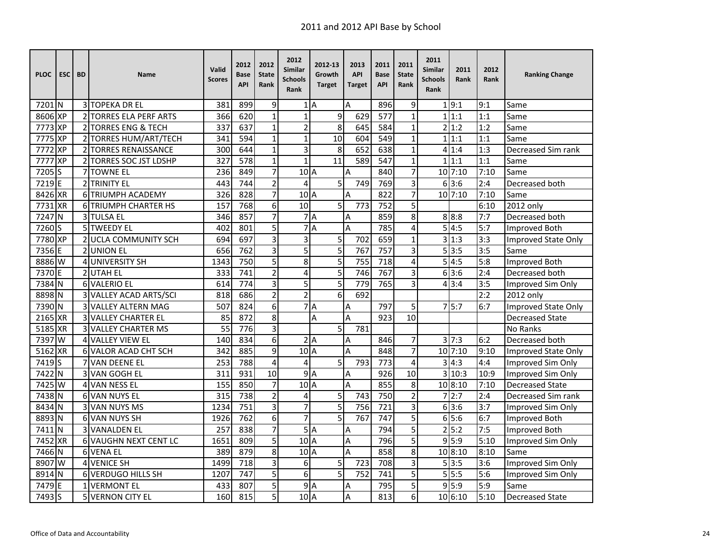| <b>PLOC</b>       | <b>ESC</b> | <b>BD</b>    | <b>Name</b>                   | Valid<br><b>Scores</b> | 2012<br>Base<br><b>API</b> | 2012<br><b>State</b><br>Rank | 2012<br>Similar<br><b>Schools</b><br>Rank | 2012-13<br>Growth<br><b>Target</b> | 2013<br><b>API</b><br><b>Target</b> | 2011<br><b>Base</b><br><b>API</b> | 2011<br><b>State</b><br>Rank | 2011<br>Similar<br><b>Schools</b><br>Rank | 2011<br>Rank       | 2012<br>Rank | <b>Ranking Change</b>  |
|-------------------|------------|--------------|-------------------------------|------------------------|----------------------------|------------------------------|-------------------------------------------|------------------------------------|-------------------------------------|-----------------------------------|------------------------------|-------------------------------------------|--------------------|--------------|------------------------|
| 7201 N            |            |              | <b>3 TOPEKA DR EL</b>         | 381                    | 899                        | 9                            |                                           | 1A                                 | A                                   | 896                               | 9                            |                                           | 1 9:1              | 9:1          | Same                   |
| 8606 XP           |            |              | <b>2 TORRES ELA PERF ARTS</b> | 366                    | 620                        | $\mathbf{1}$                 | $\overline{1}$                            | 9                                  | 629                                 | 577                               | $\mathbf{1}$                 |                                           | 1 1:1              | 1:1          | Same                   |
| 7773 XP           |            |              | 2 TORRES ENG & TECH           | 337                    | $\overline{637}$           | $\mathbf{1}$                 | $\overline{c}$                            | $\overline{8}$                     | 645                                 | 584                               | $\mathbf{1}$                 |                                           | 2 1:2              | 1:2          | Same                   |
| 7775              | <b>XP</b>  |              | 2 TORRES HUM/ART/TECH         | 341                    | 594                        | $\mathbf 1$                  | $\mathbf{1}$                              | $\overline{10}$                    | 604                                 | 549                               | $\mathbf{1}$                 | 1                                         | 1:1                | 1:1          | Same                   |
| 7772              | <b>XP</b>  |              | 2 TORRES RENAISSANCE          | 300                    | 644                        | $\mathbf 1$                  | 3                                         | 8                                  | 652                                 | 638                               | $\mathbf{1}$                 | 4                                         | 1:4                | 1:3          | Decreased Sim rank     |
| 7777              | <b>XP</b>  |              | 2 TORRES SOC JST LDSHP        | 327                    | 578                        | $\mathbf 1$                  | $\overline{1}$                            | 11                                 | 589                                 | 547                               | 1                            | $\mathbf{1}$                              | 1:1                | 1:1          | Same                   |
| 7205 S            |            |              | 7 TOWNE EL                    | 236                    | 849                        | $\overline{7}$               | 10 <sub>A</sub>                           |                                    | A                                   | 840                               | 7                            |                                           | $10$ 7:10          | 7:10         | Same                   |
| 7219E             |            |              | 2 TRINITY EL                  | 443                    | 744                        | $\overline{2}$               | 4                                         | 5                                  | 749                                 | 769                               | 3                            |                                           | 63:6               | 2:4          | Decreased both         |
| 8426 XR           |            |              | <b>6 TRIUMPH ACADEMY</b>      | 326                    | 828                        | $\overline{7}$               | 10 <sup>1</sup> A                         |                                    | A                                   | 822                               | 7                            |                                           | $10$ 7:10          | 7:10         | Same                   |
| 7731 XR           |            |              | <b>6 TRIUMPH CHARTER HS</b>   | 157                    | 768                        | 6                            | 10                                        | 5                                  | 773                                 | 752                               | 5                            |                                           |                    | 6:10         | 2012 only              |
| 7247              | N          |              | 3 TULSA EL                    | 346                    | 857                        | $\overline{7}$               |                                           | 7A                                 | Α                                   | 859                               | 8                            |                                           | 8 8:8              | 7:7          | Decreased both         |
| 7260S             |            |              | <b>5 TWEEDY EL</b>            | 402                    | 801                        | 5                            | $\overline{7}$                            | $\overline{A}$                     | A                                   | 785                               | 4                            | 5                                         | 4:5                | 5:7          | <b>Improved Both</b>   |
| 7780 XP           |            |              | 2 UCLA COMMUNITY SCH          | 694                    | 697                        | 3                            | 3                                         | 5                                  | 702                                 | 659                               | $\mathbf 1$                  |                                           | 3 1:3              | 3:3          | Improved State Only    |
| 7356 E            |            |              | 2 UNION EL                    | 656                    | 762                        | 3                            | 5                                         | 5                                  | 767                                 | 757                               | 3                            |                                           | 5 3:5              | 3:5          | Same                   |
| 8886 W            |            |              | 4 UNIVERSITY SH               | 1343                   | 750                        | 5                            | 8                                         | 5                                  | 755                                 | 718                               | 4                            | 5                                         | 4:5                | 5:8          | Improved Both          |
| 7370 E            |            |              | 2 UTAH EL                     | 333                    | 741                        | $\overline{2}$               | 4                                         | 5                                  | 746                                 | 767                               | 3                            |                                           | 63:6               | 2:4          | Decreased both         |
| 7384              | ΙN         |              | 6 VALERIO EL                  | 614                    | 774                        | 3                            | 5                                         | 5                                  | 779                                 | 765                               | 3                            |                                           | 4 3:4              | 3:5          | Improved Sim Only      |
| 8898 N            |            |              | 3 VALLEY ACAD ARTS/SCI        | 818                    | 686                        | $\overline{2}$               | $\overline{2}$                            | 6                                  | 692                                 |                                   |                              |                                           |                    | 2:2          | $2012$ only            |
| 7390 N            |            | 3            | <b>VALLEY ALTERN MAG</b>      | 507                    | 824                        | 6                            |                                           | 7A                                 | A                                   | 797                               | 5                            |                                           | 75:7               | 6:7          | Improved State Only    |
| 2165 XR           |            |              | <b>VALLEY CHARTER EL</b>      | 85                     | 872                        | 8                            |                                           | А                                  | A                                   | 923                               | 10                           |                                           |                    |              | <b>Decreased State</b> |
| 5185 XR           |            |              | <b>3 VALLEY CHARTER MS</b>    | 55                     | 776                        | $\overline{3}$               |                                           | $\overline{5}$                     | 781                                 |                                   |                              |                                           |                    |              | <b>No Ranks</b>        |
| 7397 W            |            |              | <b>4 VALLEY VIEW EL</b>       | 140                    | 834                        | 6                            |                                           | 2A                                 | Α                                   | 846                               | 7                            |                                           | $3 \overline{7:3}$ | 6:2          | Decreased both         |
| 5162 XR           |            |              | <b>6 VALOR ACAD CHT SCH</b>   | 342                    | 885                        | 9                            | 10A                                       |                                    | A                                   | 848                               | $\overline{7}$               |                                           | 10 7:10            | 9:10         | Improved State Only    |
| 7419 <sub>S</sub> |            |              | <b>VAN DEENE EL</b>           | 253                    | 788                        | $\overline{4}$               | $\overline{4}$                            | 5                                  | 793                                 | 773                               | $\overline{4}$               | 3                                         | 4:3                | 4:4          | Improved Sim Only      |
| 7422 N            |            |              | 3 VAN GOGH EL                 | 311                    | 931                        | 10                           | 9                                         | A                                  | Α                                   | 926                               | 10                           |                                           | 3 10:3             | 10:9         | Improved Sim Only      |
| 7425 W            |            |              | 4 VAN NESS EL                 | 155                    | 850                        | $\overline{7}$               | 10A                                       |                                    | A                                   | 855                               | 8                            |                                           | 10 8:10            | 7:10         | <b>Decreased State</b> |
| 7438 N            |            |              | 6 VAN NUYS EL                 | 315                    | 738                        | $\overline{2}$               | 4                                         | 5                                  | 743                                 | 750                               | $\overline{2}$               |                                           | 72:7               | 2:4          | Decreased Sim rank     |
| 8434 N            |            |              | 3 VAN NUYS MS                 | 1234                   | 751                        | 3                            | $\overline{7}$                            | 5                                  | 756                                 | 721                               | 3                            |                                           | 63:6               | 3:7          | Improved Sim Only      |
| 8893 N            |            |              | 6 VAN NUYS SH                 | 1926                   | 762                        | 6                            | $\overline{7}$                            | $\overline{5}$                     | 767                                 | $\overline{747}$                  | 5                            |                                           | 65:6               | 6:7          | <b>Improved Both</b>   |
| 7411              | N          |              | 3 VANALDEN EL                 | 257                    | 838                        | $\overline{7}$               | 5                                         | A                                  | Α                                   | 794                               | 5                            | $\overline{2}$                            | 5:2                | 7:5          | Improved Both          |
| 7452              | <b>XR</b>  |              | <b>6 VAUGHN NEXT CENT LC</b>  | 1651                   | 809                        | 5                            | 10 <sup>1</sup> A                         |                                    | Α                                   | 796                               | 5                            |                                           | 915:9              | 5:10         | Improved Sim Only      |
| 7466 N            |            |              | 6 VENA EL                     | 389                    | 879                        | 8                            | 10A                                       |                                    | A                                   | 858                               | 8                            |                                           | 10 8:10            | 8:10         | Same                   |
| 8907 W            |            | 4            | <b>VENICE SH</b>              | 1499                   | 718                        | 3                            | 6                                         | 5                                  | 723                                 | 708                               | 3                            |                                           | 5 3:5              | 3:6          | Improved Sim Only      |
| 8914 N            |            |              | 6 VERDUGO HILLS SH            | 1207                   | 747                        | 5                            | 6                                         | 5                                  | 752                                 | 741                               | 5                            |                                           | 5!5:5              | 5:6          | Improved Sim Only      |
| 7479 E            |            | $\mathbf{1}$ | <b>VERMONT EL</b>             | 433                    | 807                        | 5                            | 9A                                        |                                    | Α                                   | 795                               | 5                            |                                           | 9 5:9              | 5:9          | Same                   |
| 7493 S            |            |              | <b>5 VERNON CITY EL</b>       | 160                    | 815                        | 5                            | 10 <sub>A</sub>                           |                                    | A                                   | 813                               | 6                            |                                           | 10 6:10            | 5:10         | <b>Decreased State</b> |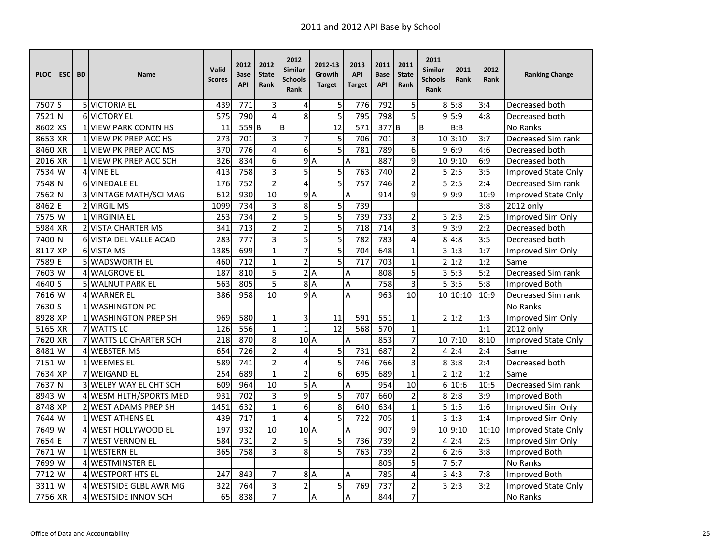| <b>PLOC</b>        | <b>ESC</b> | <b>BD</b> | <b>Name</b>                 | Valid<br><b>Scores</b> | 2012<br>Base<br><b>API</b> | 2012<br><b>State</b><br>Rank | 2012<br>Similar<br><b>Schools</b><br>Rank | 2012-13<br>Growth<br><b>Target</b> | 2013<br><b>API</b><br><b>Target</b> | 2011<br><b>Base</b><br><b>API</b> | 2011<br><b>State</b><br>Rank | 2011<br><b>Similar</b><br><b>Schools</b><br>Rank | 2011<br>Rank       | 2012<br><b>Rank</b> | <b>Ranking Change</b>      |
|--------------------|------------|-----------|-----------------------------|------------------------|----------------------------|------------------------------|-------------------------------------------|------------------------------------|-------------------------------------|-----------------------------------|------------------------------|--------------------------------------------------|--------------------|---------------------|----------------------------|
| 7507 <sub>IS</sub> |            |           | 5 VICTORIA EL               | 439                    | 771                        | 3                            | 4                                         | 5                                  | 776                                 | 792                               | 5                            |                                                  | 8 5:8              | 3:4                 | Decreased both             |
| 7521 <sub>N</sub>  |            |           | <b>6 VICTORY EL</b>         | 575                    | 790                        | 4                            | 8                                         | $\overline{5}$                     | 795                                 | 798                               | 5                            |                                                  | 95:9               | 4:8                 | Decreased both             |
| 8602               | <b>xs</b>  |           | <b>VIEW PARK CONTN HS</b>   | 11                     | 559B                       |                              | B                                         | $\overline{12}$                    | 571                                 | 377 <sub>B</sub>                  |                              | B                                                | B:B                |                     | No Ranks                   |
| 8653               | <b>XR</b>  |           | <b>VIEW PK PREP ACC HS</b>  | $\overline{273}$       | 701                        | 3                            | 7                                         | 5                                  | 706                                 | 701                               | 3                            |                                                  | 10 3:10            | 3:7                 | Decreased Sim rank         |
| 8460 XR            |            |           | <b>VIEW PK PREP ACC MS</b>  | 370                    | 776                        | 4                            | 6                                         | 5                                  | 781                                 | 789                               | 6                            | 9                                                | 6:9                | 4:6                 | Decreased both             |
| 2016 XR            |            |           | <b>VIEW PK PREP ACC SCH</b> | 326                    | 834                        | 6                            | $\overline{9}$                            | A                                  | A                                   | 887                               | 9                            |                                                  | 10 9:10            | 6:9                 | Decreased both             |
| 7534 W             |            |           | 4 VINE EL                   | 413                    | 758                        | $\overline{3}$               | 5                                         | 5                                  | 763                                 | 740                               | $\overline{2}$               |                                                  | 5 2:5              | 3:5                 | Improved State Only        |
| 7548 N             |            |           | 6 VINEDALE EL               | 176                    | 752                        | $\overline{2}$               | 4                                         | $\overline{5}$                     | 757                                 | 746                               | $\overline{2}$               | 5                                                | 2:5                | 2:4                 | Decreased Sim rank         |
| 7562 N             |            |           | 3 VINTAGE MATH/SCI MAG      | 612                    | 930                        | 10                           |                                           | 9A                                 | A                                   | 914                               | 9                            |                                                  | 9.9:9              | 10:9                | <b>Improved State Only</b> |
| 8462               | E          |           | 2 VIRGIL MS                 | 1099                   | 734                        | 3                            | 8                                         | 5                                  | 739                                 |                                   |                              |                                                  |                    | 3:8                 | 2012 only                  |
| 7575               | W          |           | <b>VIRGINIA EL</b>          | 253                    | 734                        | $\overline{2}$               | 5                                         | 5                                  | 739                                 | 733                               | $\overline{2}$               |                                                  | 3 2:3              | 2:5                 | Improved Sim Only          |
| 5984 XR            |            |           | <b>2 VISTA CHARTER MS</b>   | 341                    | 713                        | $\overline{2}$               | $\overline{c}$                            | 5                                  | 718                                 | 714                               | 3                            |                                                  | 93:9               | 2:2                 | Decreased both             |
| 7400 N             |            |           | 6 VISTA DEL VALLE ACAD      | 283                    | 777                        | 3                            | 5                                         | 5                                  | 782                                 | 783                               | 4                            | 8                                                | 4:8                | 3:5                 | Decreased both             |
| 8117 XP            |            |           | 6 VISTA MS                  | 1385                   | 699                        | $\mathbf{1}$                 | $\overline{7}$                            | 5                                  | 704                                 | 648                               | $\mathbf{1}$                 |                                                  | 3 1:3              | 1:7                 | Improved Sim Only          |
| 7589 E             |            |           | 5 WADSWORTH EL              | 460                    | 712                        | $\mathbf{1}$                 | $\overline{2}$                            | 5                                  | 717                                 | 703                               | $\mathbf{1}$                 |                                                  | 2 1:2              | 1:2                 | Same                       |
| 7603               | W          |           | 4 WALGROVE EL               | 187                    | 810                        | 5                            |                                           | 2A                                 | A                                   | 808                               | 5                            |                                                  | $3\overline{)5:3}$ | 5:2                 | Decreased Sim rank         |
| 4640               | S          |           | <b>5 WALNUT PARK EL</b>     | 563                    | 805                        | 5                            | 8 <sup>1</sup>                            | $\overline{A}$                     | Α                                   | 758                               | 3                            |                                                  | 5 3:5              | 5:8                 | Improved Both              |
| 7616 W             |            |           | <b>4 WARNER EL</b>          | 386                    | 958                        | 10                           | 9                                         | A                                  | Α                                   | 963                               | 10                           |                                                  | 10 10:10           | 10:9                | Decreased Sim rank         |
| 7630 S             |            |           | <b>1 WASHINGTON PC</b>      |                        |                            |                              |                                           |                                    |                                     |                                   |                              |                                                  |                    |                     | No Ranks                   |
| 8928 XP            |            |           | <b>1 WASHINGTON PREP SH</b> | 969                    | 580                        | $\mathbf{1}$                 | 3                                         | 11                                 | 591                                 | 551                               | $\mathbf{1}$                 |                                                  | 2 1:2              | 1:3                 | Improved Sim Only          |
| 5165 XR            |            |           | 7 WATTS LC                  | 126                    | 556                        | $\overline{1}$               | $\overline{1}$                            | $\overline{12}$                    | 568                                 | 570                               | $\mathbf{1}$                 |                                                  |                    | 1:1                 | 2012 only                  |
| 7620 XR            |            |           | 7 WATTS LC CHARTER SCH      | 218                    | 870                        | 8                            | $10$ <sup>A</sup>                         |                                    | A                                   | 853                               | $\overline{7}$               |                                                  | 10 7:10            | 8:10                | Improved State Only        |
| 8481               | W          |           | <b>4 WEBSTER MS</b>         | 654                    | 726                        | $\overline{2}$               | 4                                         | 5                                  | 731                                 | 687                               | $\overline{c}$               |                                                  | 4 2:4              | 2:4                 | Same                       |
| 7151               | W          |           | 1 WEEMES EL                 | 589                    | 741                        | $\overline{2}$               | 4                                         | 5                                  | 746                                 | 766                               | 3                            |                                                  | 8 3:8              | 2:4                 | Decreased both             |
| 7634 XP            |            |           | <b>WEIGAND EL</b>           | 254                    | 689                        | $\mathbf{1}$                 | $\overline{2}$                            | 6                                  | 695                                 | 689                               | $\mathbf{1}$                 |                                                  | 2 1:2              | 1:2                 | Same                       |
| 7637               | <b>N</b>   |           | 3 WELBY WAY EL CHT SCH      | 609                    | 964                        | 10                           | 5                                         | A                                  | A                                   | 954                               | $\overline{10}$              | 6                                                | 10:6               | 10:5                | Decreased Sim rank         |
| 8943               | l W        |           | 4 WESM HLTH/SPORTS MED      | 931                    | 702                        | 3                            | $\overline{9}$                            | 5                                  | 707                                 | 660                               | $\overline{2}$               |                                                  | 8 2:8              | 3:9                 | Improved Both              |
| 8748 XP            |            |           | 2 WEST ADAMS PREP SH        | 1451                   | 632                        | $\mathbf{1}$                 | $\overline{6}$                            | $\overline{8}$                     | 640                                 | 634                               | $\mathbf{1}$                 |                                                  | 5 1:5              | 1:6                 | Improved Sim Only          |
| 7644 W             |            |           | <b>1 IWEST ATHENS EL</b>    | 439                    | 717                        | $\mathbf{1}$                 | 4                                         | 5                                  | 722                                 | 705                               | $\mathbf{1}$                 |                                                  | 31:3               | 1:4                 | Improved Sim Only          |
| 7649               | W          | 4         | <b>IWEST HOLLYWOOD EL</b>   | 197                    | 932                        | 10                           | 10 <sub>A</sub>                           |                                    | A                                   | 907                               | 9                            |                                                  | 10 9:10            | 10:10               | Improved State Only        |
| 7654               | E          |           | <b>WEST VERNON EL</b>       | 584                    | 731                        | $\overline{2}$               | 5                                         | 5                                  | 736                                 | 739                               | $\overline{2}$               |                                                  | 4 2:4              | 2:5                 | Improved Sim Only          |
| 7671W              |            |           | <b>WESTERN EL</b>           | 365                    | 758                        | $\overline{3}$               | $\overline{8}$                            | $\overline{5}$                     | 763                                 | 739                               | $\overline{2}$               |                                                  | 6 2:6              | 3:8                 | Improved Both              |
| 7699 W             |            | 4         | <b>WESTMINSTER EL</b>       |                        |                            |                              |                                           |                                    |                                     | 805                               | 5                            |                                                  | 75:7               |                     | No Ranks                   |
| 7712               | W          |           | <b>4 IWESTPORT HTS EL</b>   | 247                    | 843                        | $\overline{7}$               |                                           | 8A                                 | A                                   | 785                               | 4                            |                                                  | 3 4:3              | 7:8                 | Improved Both              |
| 3311               | W          |           | 4 WESTSIDE GLBL AWR MG      | 322                    | 764                        | 3                            | $\overline{2}$                            | 5                                  | 769                                 | 737                               | $\overline{2}$               |                                                  | 3 2:3              | 3:2                 | Improved State Only        |
| 7756 XR            |            |           | <b>4 WESTSIDE INNOV SCH</b> | 65                     | 838                        | $\overline{7}$               |                                           | Α                                  | A                                   | 844                               | 7                            |                                                  |                    |                     | <b>No Ranks</b>            |